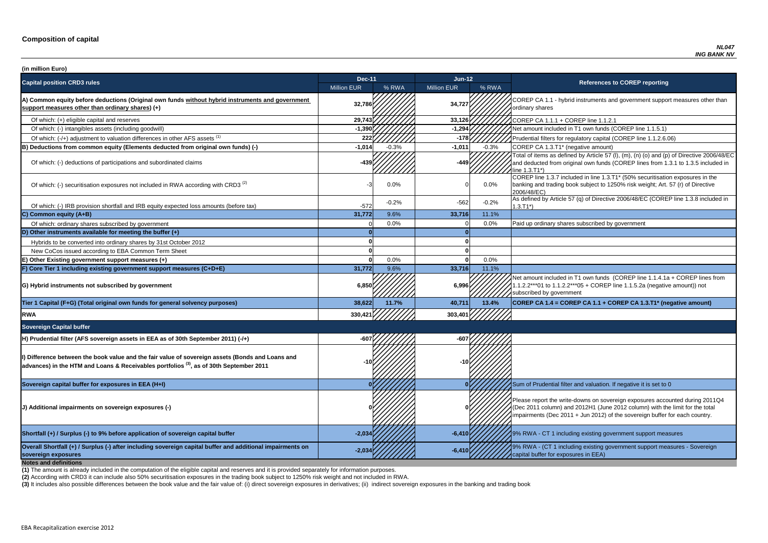of which: filters for regulatory capital (COREP line 1.1.2.6.06)

of items as defined by Article 57 (I),  $(m)$ ,  $(n)$  (o) and  $(p)$  of Directive 2006/48/EC educted from original own funds (COREP lines from 1.3.1 to 1.3.5 included in  $3.71^*$ 

 $\overline{C}$  line 1.3.7 included in line 1.3.T1\* (50% securitisation exposures in the g and trading book subject to 1250% risk weight; Art. 57 (r) of Directive  $8/EC$ )

of which: IRB provided and IRB provided in and IRB equity expected and IRB equity expected in the tax of Directive 2006/48/EC (COREP line 1.3.8 included in

nount included in T1 own funds (COREP line 1.1.4.1a + COREP lines from  $2***01$  to 1.1.2.2\*\*\*05 + COREP line 1.1.5.2a (negative amount)) not ibed by government

**P CA 1.4 = COREP CA 1.1 + COREP CA 1.3.T1<sup>\*</sup> (negative amount)** 

report the write-downs on sovereign exposures accounted during 2011Q4 (011 column) and 2012H1 (June 2012 column) with the limit for the total ments (Dec 2011 + Jun 2012) of the sovereign buffer for each country.

**A** - CT 1 including existing government support measures

**sovereign exposures -2,034 -6,410** 9% RWA - (CT 1 including existing government support measures - Sovereign buffer for exposures in EEA)

| (in million Euro)                                                                                                                                                                                    |                    |         |                    |         |                                                                                                                                                                                   |
|------------------------------------------------------------------------------------------------------------------------------------------------------------------------------------------------------|--------------------|---------|--------------------|---------|-----------------------------------------------------------------------------------------------------------------------------------------------------------------------------------|
| <b>Capital position CRD3 rules</b>                                                                                                                                                                   | <b>Dec-11</b>      |         | $Jun-12$           |         | <b>References to COREP reporting</b>                                                                                                                                              |
|                                                                                                                                                                                                      | <b>Million EUR</b> | % RWA   | <b>Million EUR</b> | % RWA   |                                                                                                                                                                                   |
| A) Common equity before deductions (Original own funds without hybrid instruments and government<br>support measures other than ordinary shares) (+)                                                 | 32,786             |         | 34,727             |         | COREP CA 1.1 - hybrid instruments and government suppo<br>ordinary shares                                                                                                         |
| Of which: (+) eligible capital and reserves                                                                                                                                                          | 29,743             |         | 33,126             |         | COREP CA 1.1.1 + COREP line 1.1.2.1                                                                                                                                               |
| Of which: (-) intangibles assets (including goodwill)                                                                                                                                                | $-1,390$           |         | $-1,294$           |         | Net amount included in T1 own funds (COREP line 1.1.5.1)                                                                                                                          |
| Of which: (-/+) adjustment to valuation differences in other AFS assets <sup>(1)</sup>                                                                                                               | 222                |         | $-178$             |         | Prudential filters for regulatory capital (COREP line 1.1.2.6.                                                                                                                    |
| B) Deductions from common equity (Elements deducted from original own funds) (-)                                                                                                                     | $-1,014$           | $-0.3%$ | $-1,011$           | $-0.3%$ | COREP CA 1.3.T1* (negative amount)                                                                                                                                                |
| Of which: (-) deductions of participations and subordinated claims                                                                                                                                   | $-439$             |         | $-449$             |         | Total of items as defined by Article 57 (I), (m), (n) (o) and (p<br>and deducted from original own funds (COREP lines from 1<br>line 1.3.T1*                                      |
| Of which: (-) securitisation exposures not included in RWA according with CRD3 <sup>(2)</sup>                                                                                                        |                    | 0.0%    |                    | $0.0\%$ | COREP line 1.3.7 included in line 1.3.T1* (50% securitisation<br>banking and trading book subject to 1250% risk weight; Art.<br>2006/48/EC)                                       |
| Of which: (-) IRB provision shortfall and IRB equity expected loss amounts (before tax)                                                                                                              | $-572$             | $-0.2%$ | $-562$             | $-0.2%$ | As defined by Article 57 (q) of Directive 2006/48/EC (CORE<br>$1.3.T1*)$                                                                                                          |
| C) Common equity (A+B)                                                                                                                                                                               | 31,772             | 9.6%    | 33,716             | 11.1%   |                                                                                                                                                                                   |
| Of which: ordinary shares subscribed by government                                                                                                                                                   |                    | 0.0%    |                    | 0.0%    | Paid up ordinary shares subscribed by government                                                                                                                                  |
| D) Other instruments available for meeting the buffer $(+)$                                                                                                                                          |                    |         |                    |         |                                                                                                                                                                                   |
| Hybrids to be converted into ordinary shares by 31st October 2012                                                                                                                                    |                    |         |                    |         |                                                                                                                                                                                   |
| New CoCos issued according to EBA Common Term Sheet                                                                                                                                                  |                    |         |                    |         |                                                                                                                                                                                   |
| E) Other Existing government support measures (+)                                                                                                                                                    |                    | 0.0%    |                    | 0.0%    |                                                                                                                                                                                   |
| F) Core Tier 1 including existing government support measures (C+D+E)                                                                                                                                | 31,772             | 9.6%    | 33,716             | 11.1%   |                                                                                                                                                                                   |
| G) Hybrid instruments not subscribed by government                                                                                                                                                   | 6,850              |         | 6,996              |         | Net amount included in T1 own funds (COREP line 1.1.4.1a<br>1.1.2.2***01 to 1.1.2.2***05 + COREP line 1.1.5.2a (negativ<br>subscribed by government                               |
| Tier 1 Capital (F+G) (Total original own funds for general solvency purposes)                                                                                                                        | 38,622             | 11.7%   | 40,711             | 13.4%   | COREP CA 1.4 = COREP CA 1.1 + COREP CA 1.3.T1* (ne                                                                                                                                |
| <b>RWA</b>                                                                                                                                                                                           | 330,421            |         | 303,40'            |         |                                                                                                                                                                                   |
| <b>Sovereign Capital buffer</b>                                                                                                                                                                      |                    |         |                    |         |                                                                                                                                                                                   |
| H) Prudential filter (AFS sovereign assets in EEA as of 30th September 2011) (-/+)                                                                                                                   |                    |         |                    |         |                                                                                                                                                                                   |
| I) Difference between the book value and the fair value of sovereign assets (Bonds and Loans and<br>$ $ advances) in the HTM and Loans & Receivables portfolios $^{(3)}$ , as of 30th September 2011 |                    |         |                    |         |                                                                                                                                                                                   |
| Sovereign capital buffer for exposures in EEA (H+I)                                                                                                                                                  |                    |         |                    |         | Sum of Prudential filter and valuation. If negative it is set to                                                                                                                  |
| J) Additional impairments on sovereign exposures (-)                                                                                                                                                 |                    |         |                    |         | Please report the write-downs on sovereign exposures acco<br>(Dec 2011 column) and 2012H1 (June 2012 column) with th<br>impairments (Dec 2011 + Jun 2012) of the sovereign buffer |
| Shortfall (+) / Surplus (-) to 9% before application of sovereign capital buffer                                                                                                                     | $-2,034$           |         | $-6,410$           |         | 9% RWA - CT 1 including existing government support mea                                                                                                                           |
| Overall Shortfall (+) / Surplus (-) after including sovereign capital buffer and additional impairments on<br>sovereign exposures<br><b>Notes and definitions</b>                                    | -2,03              |         | $-6,41$            |         | 9% RWA - (CT 1 including existing government support mea<br>capital buffer for exposures in EEA)                                                                                  |

**(2)** According with CRD3 it can include also 50% securitisation exposures in the trading book subject to 1250% risk weight and not included in RWA.

(3) It includes also possible differences between the book value and the fair value of: (i) direct sovereign exposures in derivatives; (ii) indirect sovereign exposures in the banking and trading book

**(1)** The amount is already included in the computation of the eligible capital and reserves and it is provided separately for information purposes.

**P CA 1.1 - hybrid instruments and government support measures other than** ry shares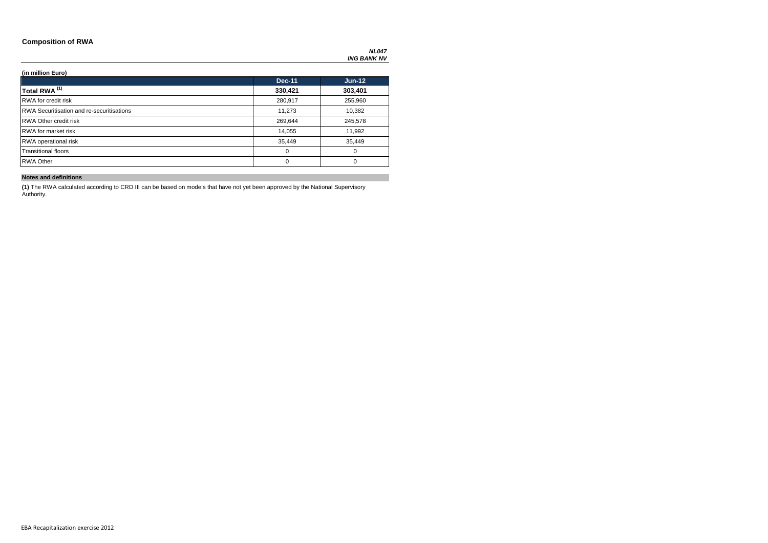### **Composition of RWA**

### **(in million Euro)**

|                                                  | <b>Dec-11</b> | $Jun-12$ |
|--------------------------------------------------|---------------|----------|
| Total RWA <sup>(1)</sup>                         | 330,421       | 303,401  |
| <b>RWA</b> for credit risk                       | 280,917       | 255,960  |
| <b>RWA Securitisation and re-securitisations</b> | 11,273        | 10,382   |
| <b>RWA Other credit risk</b>                     | 269,644       | 245,578  |
| <b>RWA</b> for market risk                       | 14,055        | 11,992   |
| <b>RWA</b> operational risk                      | 35,449        | 35,449   |
| <b>Transitional floors</b>                       | 0             | $\Omega$ |
| <b>RWA Other</b>                                 | 0             | $\Omega$ |

### **Notes and definitions**

**(1)** The RWA calculated according to CRD III can be based on models that have not yet been approved by the National Supervisory Authority.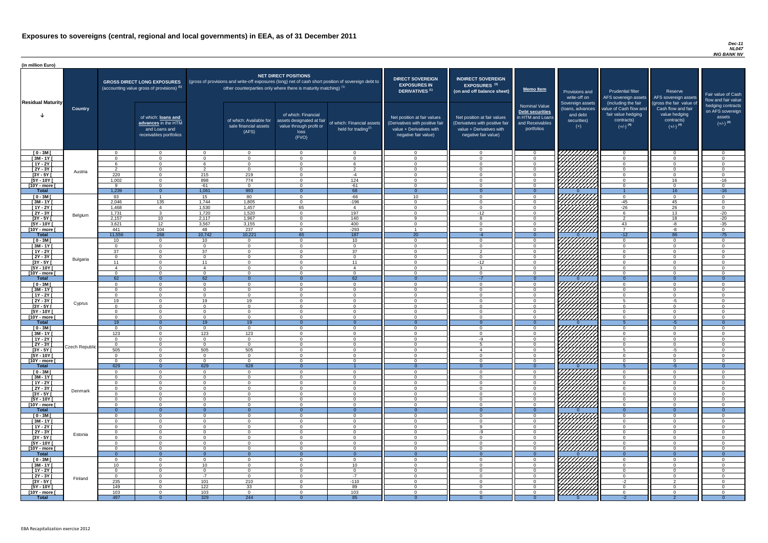#### *Dec-11 NL047 ING BANK NV*

| (in million Euro)             |                 |                      |                                                                                             |                                  |                                                                            |                                                                                              |                                                                                                     |                                                                                                                    |                                                                                                                    |                                                                                              |                                                                          |                                                                                                             |                                                                                                         |                                                                           |
|-------------------------------|-----------------|----------------------|---------------------------------------------------------------------------------------------|----------------------------------|----------------------------------------------------------------------------|----------------------------------------------------------------------------------------------|-----------------------------------------------------------------------------------------------------|--------------------------------------------------------------------------------------------------------------------|--------------------------------------------------------------------------------------------------------------------|----------------------------------------------------------------------------------------------|--------------------------------------------------------------------------|-------------------------------------------------------------------------------------------------------------|---------------------------------------------------------------------------------------------------------|---------------------------------------------------------------------------|
| <b>Residual Maturity</b>      |                 |                      | <b>GROSS DIRECT LONG EXPOSURES</b><br>(accounting value gross of provisions) <sup>(1)</sup> |                                  | other counterparties only where there is maturity matching) <sup>(1)</sup> | <b>NET DIRECT POSITIONS</b>                                                                  | (gross of provisions and write-off exposures (long) net of cash short position of sovereign debt to | <b>DIRECT SOVEREIGN</b><br><b>EXPOSURES IN</b><br><b>DERIVATIVES (1)</b>                                           | <b>INDIRECT SOVEREIGN</b><br>EXPOSURES <sup>(3)</sup><br>(on and off balance sheet)                                | <b>Memo Item</b>                                                                             | Provisions and<br>write-off on                                           | <b>Prudential filter</b><br>AFS sovereign assets                                                            | Reserve<br>AFS sovereign assets                                                                         | Fair value of Cash<br>flow and fair value                                 |
|                               | <b>Country</b>  |                      | of which: loans and<br>advances in the HTM<br>and Loans and<br>receivables portfolios       |                                  | of which: Available for<br>sale financial assets<br>(AFS)                  | of which: Financial<br>assets designated at fair<br>value through profit or<br>loss<br>(FVO) | of which: Financial assets<br>held for trading $(2)$                                                | Net position at fair values<br>(Derivatives with positive fair<br>value + Derivatives with<br>negative fair value) | Net position at fair values<br>(Derivatives with positive fair<br>value + Derivatives with<br>negative fair value) | <b>Nominal Value</b><br>Debt securities<br>in HTM and Loans<br>and Receivables<br>portfolios | Sovereign assets<br>(loans, advances<br>and debt<br>securities)<br>$(+)$ | (including the fair<br>value of Cash flow and<br>fair value hedging<br>contracts)<br>$(+/-)$ <sup>(4)</sup> | (gross the fair value of<br>Cash flow and fair<br>value hedging<br>contracts)<br>$(+/-)$ <sup>(4)</sup> | hedging contracts<br>on AFS sovereign<br>assets<br>$(+/-)$ <sup>(4)</sup> |
| $[0 - 3M]$<br>$\sqrt{3M-1Y}$  |                 | $\Omega$<br>$\Omega$ | $\overline{0}$                                                                              | $\Omega$<br>$\Omega$             | $\Omega$<br>$\Omega$                                                       | $\cap$<br>$\Omega$                                                                           | $\overline{0}$<br>$\Omega$                                                                          | $\Omega$<br>$\Omega$                                                                                               | $\Omega$<br>$\Omega$                                                                                               |                                                                                              | 7777777777                                                               | റ<br>$\Omega$                                                                                               | $\overline{0}$<br>$\Omega$                                                                              | $\overline{0}$<br>$\mathbf 0$                                             |
| $[1Y - 2Y]$                   |                 |                      | $\overline{0}$<br>$\overline{0}$                                                            |                                  | $\Omega$                                                                   | $\cap$                                                                                       | 6                                                                                                   | $\Omega$                                                                                                           | $\Omega$                                                                                                           |                                                                                              |                                                                          | $\Omega$                                                                                                    | $\Omega$                                                                                                | $\overline{0}$                                                            |
| $[2Y - 3Y]$                   |                 | $\mathcal{P}$        | $\Omega$                                                                                    | ົ                                | $\Omega$                                                                   | $\Omega$                                                                                     | $\overline{2}$                                                                                      | $\Omega$                                                                                                           | $\Omega$                                                                                                           |                                                                                              |                                                                          | $\Omega$                                                                                                    | $\Omega$                                                                                                | $\overline{0}$                                                            |
| $[3Y - 5Y]$                   | Austria         | 220                  | $\overline{0}$                                                                              | 215                              | 219                                                                        | $\Omega$                                                                                     | $-4$                                                                                                | $\Omega$                                                                                                           | $\Omega$                                                                                                           |                                                                                              | HAHAH<br>HAAHA                                                           | $\Omega$                                                                                                    | $\Omega$                                                                                                | $\overline{0}$                                                            |
| $[5Y - 10Y]$                  |                 | 1,002                | $\Omega$                                                                                    | 898                              | 774                                                                        | $\cap$                                                                                       | 124                                                                                                 | $\Omega$                                                                                                           | $\Omega$                                                                                                           | $\cap$                                                                                       |                                                                          | $\Omega$                                                                                                    | 16                                                                                                      | $-16$                                                                     |
| [10Y - more [<br><b>Total</b> |                 | റ<br>1,239           | $\Omega$<br>$\Omega$                                                                        | -61<br>1,061                     | $\Omega$<br>993                                                            | $\cap$                                                                                       | $-61$<br>68                                                                                         | $\cap$                                                                                                             | $\Omega$                                                                                                           | $\cap$                                                                                       |                                                                          | $\Omega$                                                                                                    | $\Omega$<br>16                                                                                          | $\overline{0}$<br>$-16$                                                   |
| $[0 - 3M]$                    |                 | 93                   |                                                                                             | 15 <sup>1</sup>                  | 80                                                                         | $\cap$                                                                                       | $-66$                                                                                               | 10 <sup>1</sup>                                                                                                    | $\Omega$                                                                                                           | $\cap$                                                                                       |                                                                          | $\Omega$                                                                                                    | $\overline{0}$                                                                                          | $\overline{0}$                                                            |
| $[3M - 1Y]$                   |                 | 2,046                | 135                                                                                         | 1,744                            | 1,805                                                                      | $\Omega$                                                                                     | $-196$                                                                                              | $\Omega$                                                                                                           | $\Omega$                                                                                                           | $\cap$                                                                                       |                                                                          | $-45$                                                                                                       | 45                                                                                                      | $\overline{0}$                                                            |
| $[1Y - 2Y]$                   |                 | 1,468                | $\overline{4}$                                                                              | 1,530                            | 1,457                                                                      | 65                                                                                           | $\overline{4}$                                                                                      | $\Omega$                                                                                                           | $\overline{0}$                                                                                                     | $\cap$                                                                                       |                                                                          | $-26$                                                                                                       | $\overline{26}$                                                                                         | $\overline{0}$                                                            |
| $[2Y - 3Y]$                   | Belgium         | 1,731                | $\overline{3}$                                                                              | 1,720                            | 1,520                                                                      | $\Omega$                                                                                     | 197                                                                                                 | $\Omega$                                                                                                           | $-12$                                                                                                              | $\cap$                                                                                       |                                                                          | $6^{\circ}$                                                                                                 | 13                                                                                                      | $-20$                                                                     |
| $[3Y - 5Y]$<br>$[5Y - 10Y]$   |                 | 2,157<br>3,621       | 10 <sup>°</sup><br>12                                                                       | 2,117<br>3,567                   | 1,967<br>3,155                                                             | $\Omega$<br>$\Omega$                                                                         | 140<br>400                                                                                          | $\Omega$<br>$\Omega$                                                                                               | $\mathbf{R}$<br>$\Omega$                                                                                           | $\Omega$                                                                                     |                                                                          | $\overline{2}$<br>43                                                                                        | 18<br>$-8$                                                                                              | $-20$<br>$-35$                                                            |
| [10Y - more [                 |                 | 441                  | 104                                                                                         | 48                               | 237                                                                        | $\Omega$                                                                                     | $-293$                                                                                              |                                                                                                                    | $\Omega$                                                                                                           |                                                                                              | <u> 277777777</u>                                                        | $\overline{7}$                                                                                              | $-8$                                                                                                    | $\overline{0}$                                                            |
| <b>Total</b>                  |                 | 11,556               | 268                                                                                         | 10,742                           | 10,221                                                                     | 65                                                                                           | 187                                                                                                 | $\overline{20}$                                                                                                    | $-4$                                                                                                               | $\Omega$                                                                                     |                                                                          | $-12$                                                                                                       | 86                                                                                                      | $-75$                                                                     |
| $[0 - 3M]$                    |                 | 10                   | $\Omega$                                                                                    | 10 <sup>1</sup>                  | $\Omega$                                                                   | $\cap$                                                                                       | 10 <sup>1</sup>                                                                                     | $\Omega$                                                                                                           | $\Omega$                                                                                                           |                                                                                              |                                                                          | $\cap$                                                                                                      | $\Omega$                                                                                                | $\overline{0}$                                                            |
| $[3M - 1Y]$                   |                 | $\Omega$             | $\Omega$                                                                                    | $\Omega$                         | $\Omega$                                                                   | $\cap$                                                                                       | $\overline{0}$                                                                                      | $\Omega$<br>$\cap$                                                                                                 | $\Omega$<br>$\Omega$                                                                                               |                                                                                              |                                                                          | $\Omega$<br>$\Omega$                                                                                        | $\Omega$                                                                                                | $\overline{0}$                                                            |
| $[1Y - 2Y]$<br>$[2Y - 3Y]$    |                 | 37<br>$\Omega$       | $\Omega$<br>$\Omega$                                                                        | 37<br>$\Omega$                   | $\Omega$<br>$\Omega$                                                       | $\Omega$<br>$\cap$                                                                           | 37<br>$\Omega$                                                                                      | $\cap$                                                                                                             | $\Omega$                                                                                                           | $\sqrt{ }$                                                                                   | <i>ШША</i>                                                               | $\cap$                                                                                                      | $\Omega$<br>$\Omega$                                                                                    | $\Omega$<br>$\overline{0}$                                                |
| <u>[3Y - 5Y </u>              | <b>Bulgaria</b> |                      |                                                                                             |                                  |                                                                            |                                                                                              | -11                                                                                                 |                                                                                                                    | -12                                                                                                                |                                                                                              |                                                                          |                                                                                                             |                                                                                                         |                                                                           |
| $[5Y - 10Y]$                  |                 |                      | $\Omega$                                                                                    |                                  | $\Omega$                                                                   | $\Omega$                                                                                     | $\overline{4}$                                                                                      | $\Omega$                                                                                                           | 0                                                                                                                  |                                                                                              | <i>ШШШ</i>                                                               | $\Omega$                                                                                                    | $\Omega$                                                                                                | $\Omega$                                                                  |
| [10Y - more [                 |                 | $\Omega$             | $\Omega$                                                                                    | $\Omega$                         | $\Omega$                                                                   | $\Omega$                                                                                     | $\Omega$                                                                                            | $\Omega$                                                                                                           | $\Omega$                                                                                                           | $\Omega$                                                                                     | <u>77777777</u>                                                          | $\Omega$                                                                                                    | $\Omega$                                                                                                | $\mathbf{0}$                                                              |
| <b>Total</b><br>$[0 - 3M]$    |                 | 62<br>$\Omega$       | $\Omega$<br>$\overline{0}$                                                                  | 62<br>$\Omega$                   | $\Omega$<br>$\Omega$                                                       | $\Omega$<br>$\Omega$                                                                         | 62<br>$\overline{0}$                                                                                | $\Omega$<br>$\Omega$                                                                                               | $-7$<br>$\overline{0}$                                                                                             | $\Omega$                                                                                     |                                                                          | $\Omega$<br>$\Omega$                                                                                        | $\Omega$<br>$\Omega$                                                                                    | $\overline{0}$<br>$\overline{0}$                                          |
| $[3M - 1Y]$                   |                 |                      | $\overline{0}$                                                                              | $\Omega$                         | $\Omega$                                                                   | $\Omega$                                                                                     | $\overline{0}$                                                                                      | $\Omega$                                                                                                           | $\mathbf 0$                                                                                                        |                                                                                              | <i>V7777777</i>                                                          | $\Omega$                                                                                                    | $\overline{0}$                                                                                          | $\mathbf 0$                                                               |
| $[1Y - 2Y]$                   |                 | $\Omega$             | $\Omega$                                                                                    | $\Omega$                         | $\Omega$                                                                   | $\Omega$                                                                                     | $\Omega$                                                                                            | $\Omega$                                                                                                           | $\Omega$                                                                                                           |                                                                                              |                                                                          | $\Omega$                                                                                                    | $\Omega$                                                                                                | $\mathbf 0$                                                               |
| [2Y - 3Y [                    | Cyprus          | 19                   | $\overline{0}$                                                                              | 19                               | 19                                                                         |                                                                                              | $\overline{0}$                                                                                      | $\Omega$                                                                                                           | $\mathbf 0$                                                                                                        |                                                                                              | 7777777                                                                  | 5                                                                                                           | $-5$                                                                                                    | $\mathbf 0$                                                               |
| $[3Y - 5Y]$                   |                 | - 0                  | $\Omega$<br>$\Omega$                                                                        | $\Omega$<br>$\Omega$             | <u>_0</u>                                                                  | $\Omega$<br>$\Omega$                                                                         | $\Omega$<br>$\Omega$                                                                                | $\Omega$<br>$\Omega$                                                                                               | $\Omega$<br>$\Omega$                                                                                               | $\cap$                                                                                       | 777777777                                                                | $\Omega$<br>$\Omega$                                                                                        | $\Omega$                                                                                                | $\Omega$                                                                  |
| [5Y - 10Y]<br>[10Y - more [   |                 | <u>n</u><br>. വ      | $\Omega$                                                                                    | $\Omega$                         | - 0<br>$\Omega$                                                            | $\cap$                                                                                       | $\Omega$                                                                                            | $\Omega$                                                                                                           | $\Omega$                                                                                                           | $\cap$                                                                                       | //////////                                                               | $\cap$                                                                                                      | $\Omega$<br>$\Omega$                                                                                    | $\Omega$<br>$\Omega$                                                      |
| <b>Total</b>                  |                 | 19                   | $\Omega$                                                                                    | 19                               | 19                                                                         |                                                                                              |                                                                                                     |                                                                                                                    |                                                                                                                    |                                                                                              |                                                                          |                                                                                                             | -5                                                                                                      |                                                                           |
| $[0 - 3M]$                    |                 | . വ                  | $\Omega$                                                                                    | $\Omega$                         | $\overline{0}$                                                             | $\cap$                                                                                       | $\Omega$                                                                                            | $\Omega$                                                                                                           | $\Omega$                                                                                                           | $\cap$                                                                                       |                                                                          | $\Omega$                                                                                                    | $\Omega$                                                                                                | - 0                                                                       |
| $\sqrt{3M-1Y}$                |                 | 123                  | $\overline{0}$                                                                              | 123                              | 123                                                                        | $\Omega$                                                                                     | $\Omega$                                                                                            | $\Omega$                                                                                                           | $\Omega$                                                                                                           | $\Omega$                                                                                     | <i>V77777777</i>                                                         | $\overline{0}$                                                                                              | $\overline{0}$                                                                                          | $\overline{0}$                                                            |
| $[1Y - 2Y]$<br>$[2Y - 3Y]$    |                 | $\Omega$<br>$\Omega$ | $\overline{0}$<br>$\overline{0}$                                                            | $\overline{0}$<br>$\overline{0}$ | $\overline{0}$<br>$\Omega$                                                 | $\Omega$<br>$\Omega$                                                                         | $\overline{0}$<br>$\overline{0}$                                                                    | $\Omega$<br>$\Omega$                                                                                               | -9<br>-5                                                                                                           | $\Omega$<br>$\Omega$                                                                         |                                                                          | $\overline{0}$<br>$\overline{0}$                                                                            | $\overline{0}$<br>$\overline{0}$                                                                        | $\overline{0}$<br>$\overline{0}$                                          |
| $[3Y - 5Y]$                   | Czech Republic  | 505                  | $\overline{0}$                                                                              | 505                              | 505                                                                        | $\Omega$                                                                                     | $\overline{0}$                                                                                      | $\Omega$                                                                                                           | $\overline{4}$                                                                                                     | $\Omega$                                                                                     |                                                                          | $5\overline{)}$                                                                                             | $-5$                                                                                                    | $\overline{0}$                                                            |
| $[5Y - 10Y]$                  |                 | $\Omega$             | $\overline{0}$                                                                              | $\Omega$                         | $\Omega$                                                                   | $\Omega$                                                                                     | $\Omega$                                                                                            | $\Omega$                                                                                                           | $\Omega$                                                                                                           | $\cap$                                                                                       |                                                                          | $\Omega$                                                                                                    | $\Omega$                                                                                                | $\overline{0}$                                                            |
| [10Y - more [                 |                 | $\Omega$             | $\Omega$                                                                                    | $\Omega$                         | $\Omega$                                                                   | $\Omega$                                                                                     | $\Omega$                                                                                            | $\Omega$                                                                                                           | $\Omega$                                                                                                           | $\cap$                                                                                       | <u> 77777777</u>                                                         | $\Omega$                                                                                                    | $\Omega$                                                                                                | $\Omega$                                                                  |
| <b>Total</b><br>$[0 - 3M]$    |                 | 629<br>$\Omega$      | $\overline{0}$<br>$\Omega$                                                                  | 629<br>$\Omega$                  | 628<br>$\Omega$                                                            | $\Omega$<br>$\Omega$                                                                         | $\Omega$                                                                                            | $\Omega$                                                                                                           | $\Omega$<br>$\Omega$                                                                                               | $\Omega$<br>$\cap$                                                                           |                                                                          | $\Omega$                                                                                                    | $-5$<br>$\Omega$                                                                                        | $\overline{0}$<br>$\Omega$                                                |
| $[3M - 1Y]$                   |                 | $\Omega$             | $\Omega$                                                                                    | $\Omega$                         | $\Omega$                                                                   | $\Omega$                                                                                     | $\Omega$                                                                                            | $\Omega$                                                                                                           | $\Omega$                                                                                                           | $\cap$                                                                                       |                                                                          | $\Omega$                                                                                                    | $\Omega$                                                                                                | $\Omega$                                                                  |
| $[1Y - 2Y]$                   |                 | $\Omega$             | $\overline{0}$                                                                              | $\Omega$                         | $\Omega$                                                                   | $\Omega$                                                                                     | $\overline{0}$                                                                                      | $\Omega$                                                                                                           | $\Omega$                                                                                                           | $\cap$                                                                                       |                                                                          | $\Omega$                                                                                                    | $\overline{0}$                                                                                          | $\Omega$                                                                  |
| $[2Y - 3Y]$                   | Denmark         | $\Omega$             | $\Omega$                                                                                    | $\Omega$                         | $\Omega$                                                                   | $\Omega$                                                                                     | $\overline{0}$                                                                                      | $\Omega$<br>$\Omega$                                                                                               | $\Omega$                                                                                                           | $\Omega$<br>$\cap$                                                                           |                                                                          | $\Omega$<br>$\cap$                                                                                          | $\overline{0}$                                                                                          | $\overline{0}$                                                            |
| $[3Y - 5Y]$<br>$[5Y - 10Y]$   |                 | $\cap$<br>$\Omega$   | $\Omega$<br>$\Omega$                                                                        | $\Omega$<br>$\Omega$             | $\Omega$<br>$\Omega$                                                       | $\Omega$<br>$\Omega$                                                                         | $\overline{0}$<br>$\Omega$                                                                          | $\Omega$                                                                                                           | $\Omega$<br>$\Omega$                                                                                               | $\cap$                                                                                       |                                                                          | $\Omega$                                                                                                    | $\Omega$<br>$\overline{0}$                                                                              | $\Omega$<br>$\overline{0}$                                                |
| [10Y - more [                 |                 | $\Omega$             | $\Omega$                                                                                    | $\Omega$                         | $\Omega$                                                                   | $\Omega$                                                                                     | $\Omega$                                                                                            | $\Omega$                                                                                                           | $\Omega$                                                                                                           | $\Omega$                                                                                     | UUUU                                                                     | $\Omega$                                                                                                    | $\Omega$                                                                                                | $\overline{0}$                                                            |
| <b>Total</b>                  |                 | - റ                  | $\overline{0}$                                                                              | $\Omega$                         | - 0                                                                        | $\Omega$                                                                                     | $\Omega$                                                                                            | $\Omega$                                                                                                           | $\Omega$                                                                                                           | $\Omega$                                                                                     |                                                                          | $\Omega$                                                                                                    | $\overline{0}$                                                                                          | $\overline{0}$                                                            |
| $[0 - 3M]$                    |                 | $\Omega$             | $\Omega$                                                                                    | $\Omega$                         | $\Omega$                                                                   | $\Omega$<br>$\Omega$                                                                         | $\Omega$                                                                                            | $\Omega$                                                                                                           | $\Omega$                                                                                                           | $\Omega$                                                                                     |                                                                          | $\Omega$<br>$\Omega$                                                                                        | $\Omega$                                                                                                | $\Omega$                                                                  |
| $[3M - 1Y]$<br>$[1Y - 2Y]$    |                 | $\Omega$<br>$\Omega$ | $\Omega$<br>$\Omega$                                                                        | $\Omega$<br>$\Omega$             | $\Omega$<br>$\Omega$                                                       | $\Omega$                                                                                     | $\Omega$<br>$\Omega$                                                                                | $\Omega$<br>$\Omega$                                                                                               | $\Omega$<br>$\Omega$                                                                                               |                                                                                              |                                                                          | $\Omega$                                                                                                    | $\Omega$<br>$\Omega$                                                                                    | $\Omega$<br>$\mathbf 0$                                                   |
| [2Y - 3Y [                    |                 |                      | $\Omega$                                                                                    | $\Omega$                         | $\Omega$                                                                   |                                                                                              | $\Omega$                                                                                            | $\Omega$                                                                                                           | -9                                                                                                                 |                                                                                              |                                                                          | ∩                                                                                                           | $\Omega$                                                                                                | $\mathbf 0$                                                               |
| $[3Y - 5Y]$                   | Estonia         |                      | $\cap$                                                                                      | $\Omega$                         | - ೧                                                                        |                                                                                              | $\Omega$                                                                                            | $\Omega$                                                                                                           | $\Omega$                                                                                                           |                                                                                              | 77777777                                                                 |                                                                                                             | $\Omega$                                                                                                | $\Omega$                                                                  |
| [5Y - 10Y]                    |                 | $\Omega$             | $\Omega$                                                                                    | $\Omega$                         | - ೧                                                                        | $\Omega$                                                                                     | $\Omega$                                                                                            | $\Omega$                                                                                                           | $\Omega$                                                                                                           |                                                                                              |                                                                          | $\Omega$                                                                                                    | $\Omega$                                                                                                | $\Omega$                                                                  |
| [10Y - more [<br><b>Total</b> |                 | $\Omega$             | $\Omega$<br>$\Omega$                                                                        | $\Omega$                         | $\Omega$<br>- 0                                                            | $\Omega$                                                                                     | $\Omega$<br>$\Omega$                                                                                | $\Omega$                                                                                                           | $\Omega$                                                                                                           |                                                                                              | 77777777                                                                 | $\Omega$                                                                                                    | $\Omega$<br>$\Omega$                                                                                    | $\Omega$<br>$\Omega$                                                      |
| $[0 - 3M]$                    |                 | $\Omega$             | $\Omega$                                                                                    | $\Omega$                         | $\Omega$                                                                   | $\Omega$                                                                                     | $\Omega$                                                                                            | $\cap$                                                                                                             | $\Omega$                                                                                                           |                                                                                              | 777777777                                                                | $\Omega$                                                                                                    | $\Omega$                                                                                                |                                                                           |
| $[3M - 1Y]$                   |                 | 10 <sup>°</sup>      | $\overline{0}$                                                                              | 10 <sup>°</sup>                  | $\overline{0}$                                                             | $\Omega$                                                                                     | 10 <sup>°</sup>                                                                                     | $\mathbf 0$                                                                                                        | $\overline{0}$                                                                                                     | $\Omega$                                                                                     |                                                                          | $\overline{0}$                                                                                              | $\mathbf 0$                                                                                             | $\Omega$                                                                  |
| $[1Y - 2Y]$                   |                 | $\Omega$             | $\overline{0}$                                                                              | $\overline{0}$                   | $\overline{0}$                                                             | $\Omega$                                                                                     | $\overline{0}$                                                                                      | $\overline{0}$                                                                                                     | $\overline{0}$                                                                                                     | - 0                                                                                          | $\left[\frac{\%}{\%}\right]$                                             | $\overline{0}$                                                                                              | $\Omega$                                                                                                | $\overline{0}$                                                            |
| $[2Y - 3Y]$                   | Finland         | $\Omega$             | $\overline{0}$                                                                              | $-7$                             | $\Omega$                                                                   | $\overline{0}$<br>$\overline{0}$                                                             | $-7$                                                                                                | $\overline{0}$                                                                                                     | $\Omega$<br>$\overline{0}$                                                                                         | $\Omega$<br>$\overline{0}$                                                                   | ШША<br>ШШШ                                                               | $\overline{0}$                                                                                              | $\overline{0}$                                                                                          | $\overline{0}$                                                            |
| $[3Y - 5Y]$<br>$[5Y - 10Y]$   |                 | 235<br>149           | $\overline{0}$<br>$\overline{0}$                                                            | 101<br>122                       | 210<br>33                                                                  | $\Omega$                                                                                     | $-110$<br>89                                                                                        | $\overline{0}$<br>$\overline{0}$                                                                                   | $\overline{0}$                                                                                                     | $\Omega$                                                                                     |                                                                          | $-2$<br>$\Omega$                                                                                            | $\overline{2}$<br>$\overline{0}$                                                                        | $\overline{0}$<br>$\overline{0}$                                          |
| $[10Y - more]$                |                 | 103                  | $\overline{0}$                                                                              | 103                              | $\Omega$                                                                   | $\Omega$                                                                                     | 103                                                                                                 | $\Omega$                                                                                                           | $\Omega$                                                                                                           | $\cap$                                                                                       | <u>VIIIIIII</u>                                                          | $\Omega$                                                                                                    | $\Omega$                                                                                                | $\Omega$                                                                  |
| <b>Total</b>                  |                 | 497                  | $\overline{0}$                                                                              | 329                              | 244                                                                        |                                                                                              | 85                                                                                                  |                                                                                                                    |                                                                                                                    |                                                                                              |                                                                          | $-2$                                                                                                        |                                                                                                         | $\overline{0}$                                                            |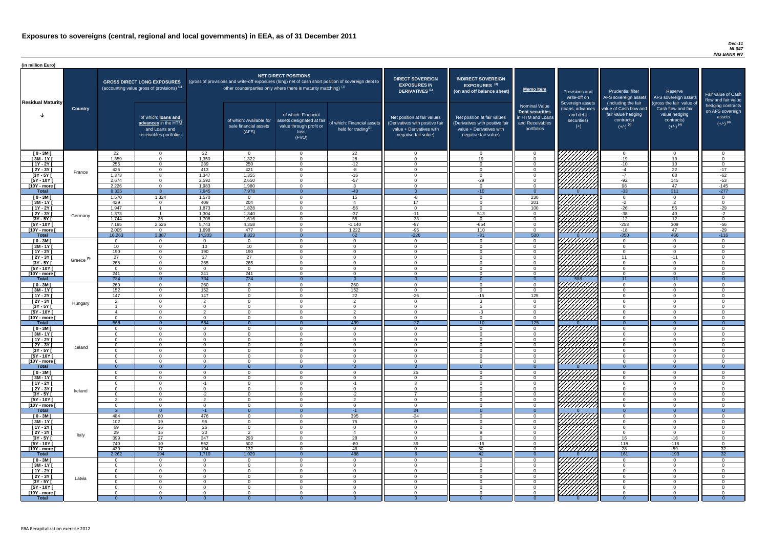#### *Dec-11 NL047 ING BANK NV*

| (in million Euro)             |                       |                                  |                                                                                             |                            |                                                           |                                                                                                                                                                                                                  |                                                      |                                                                                                                    |                                                                                                                    |                                                                                              |                                                                          |                                                                                                             |                                                                                                         |                                                                           |
|-------------------------------|-----------------------|----------------------------------|---------------------------------------------------------------------------------------------|----------------------------|-----------------------------------------------------------|------------------------------------------------------------------------------------------------------------------------------------------------------------------------------------------------------------------|------------------------------------------------------|--------------------------------------------------------------------------------------------------------------------|--------------------------------------------------------------------------------------------------------------------|----------------------------------------------------------------------------------------------|--------------------------------------------------------------------------|-------------------------------------------------------------------------------------------------------------|---------------------------------------------------------------------------------------------------------|---------------------------------------------------------------------------|
| <b>Residual Maturity</b>      |                       |                                  | <b>GROSS DIRECT LONG EXPOSURES</b><br>(accounting value gross of provisions) <sup>(1)</sup> |                            |                                                           | <b>NET DIRECT POSITIONS</b><br>(gross of provisions and write-off exposures (long) net of cash short position of sovereign debt to<br>other counterparties only where there is maturity matching) <sup>(1)</sup> |                                                      | <b>DIRECT SOVEREIGN</b><br><b>EXPOSURES IN</b><br>DERIVATIVES <sup>(1)</sup>                                       | <b>INDIRECT SOVEREIGN</b><br><b>EXPOSURES<sup>(3)</sup></b><br>(on and off balance sheet)                          | <b>Memo Item</b>                                                                             | Provisions and<br>write-off on                                           | <b>Prudential filter</b><br>AFS sovereign assets                                                            | Reserve<br>AFS sovereign assets                                                                         | Fair value of Cash<br>flow and fair value                                 |
|                               | <b>Country</b>        |                                  | of which: loans and<br>advances in the HTM<br>and Loans and<br>receivables portfolios       |                            | of which: Available for<br>sale financial assets<br>(AFS) | of which: Financial<br>assets designated at fair<br>value through profit or<br>loss<br>(FVO)                                                                                                                     | of which: Financial assets<br>held for trading $(2)$ | Net position at fair values<br>(Derivatives with positive fair<br>value + Derivatives with<br>negative fair value) | Net position at fair values<br>(Derivatives with positive fair<br>value + Derivatives with<br>negative fair value) | <b>Nominal Value</b><br>Debt securities<br>in HTM and Loans<br>and Receivables<br>portfolios | Sovereign assets<br>(Ioans, advances<br>and debt<br>securities)<br>$(+)$ | (including the fair<br>value of Cash flow and<br>fair value hedging<br>contracts)<br>$(+/-)$ <sup>(4)</sup> | (gross the fair value of<br>Cash flow and fair<br>value hedging<br>contracts)<br>$(+/-)$ <sup>(4)</sup> | hedging contracts<br>on AFS sovereign<br>assets<br>$(+/-)$ <sup>(4)</sup> |
| $[0 - 3M]$                    |                       | 22                               | $\Omega$                                                                                    | 22                         | $\overline{0}$                                            | $\Omega$                                                                                                                                                                                                         | 22                                                   | $\Omega$                                                                                                           | $\Omega$                                                                                                           | - 0                                                                                          | 777777777                                                                | $\overline{0}$                                                                                              | $\overline{0}$                                                                                          | $\overline{0}$                                                            |
| $[3M - 1Y]$<br>$[1Y - 2Y]$    |                       | 1,359<br>255                     | $\Omega$<br>$\Omega$                                                                        | 1,350<br>239               | 1,322<br>250                                              | $\cap$<br>$\cap$                                                                                                                                                                                                 | $\overline{28}$<br>$-12$                             | $\cap$<br>$\cap$                                                                                                   | 19<br>$\Omega$                                                                                                     | $\cap$<br>$\cap$                                                                             |                                                                          | $-19$<br>$-10$                                                                                              | 19<br>10 <sup>1</sup>                                                                                   | $\Omega$<br>$\overline{0}$                                                |
| $[2Y - 3Y]$                   |                       | 426                              | $\overline{0}$                                                                              | 413                        | 421                                                       | $\Omega$                                                                                                                                                                                                         | $-8$                                                 | $\Omega$                                                                                                           | $\Omega$                                                                                                           | $\Omega$                                                                                     |                                                                          | -4                                                                                                          | $\overline{22}$                                                                                         | $-17$                                                                     |
| $[3Y - 5Y]$                   | France                | 1,373                            | - 8                                                                                         | 1,347                      | 1,355                                                     | $\cap$                                                                                                                                                                                                           | $-16$                                                | $\Omega$                                                                                                           | $\Omega$                                                                                                           | $\Omega$                                                                                     |                                                                          | $-7$                                                                                                        | 68                                                                                                      | $-62$                                                                     |
| $[5Y - 10Y]$                  |                       | 2,674                            | $\overline{0}$                                                                              | 2,592                      | 2,650                                                     | $\Omega$                                                                                                                                                                                                         | $-57$                                                | $\Omega$                                                                                                           | $-29$                                                                                                              | $\Omega$                                                                                     |                                                                          | $-92$                                                                                                       | 145                                                                                                     | $-53$                                                                     |
| [10Y - more [                 |                       | 2,226<br>8,335                   | $\overline{0}$                                                                              | 1,983<br>7,945             | 1,980<br>7,978                                            | $\Omega$                                                                                                                                                                                                         | $\mathbf{3}$<br>$-40$                                | $\overline{0}$<br>- റ                                                                                              | $\overline{0}$                                                                                                     | $\Omega$                                                                                     | 77777777                                                                 | 98                                                                                                          | 47<br>311                                                                                               | $-145$<br>$-277$                                                          |
| <b>Total</b><br>$[0 - 3M]$    |                       | 1,570                            | 1,324                                                                                       | 1,570                      | $\overline{0}$                                            | $\Omega$                                                                                                                                                                                                         | 15                                                   | $-8$                                                                                                               | $-10$<br>$\Omega$                                                                                                  | $\overline{0}$<br>230                                                                        |                                                                          | $-33$<br>$\Omega$                                                                                           | $\overline{0}$                                                                                          | $\Omega$                                                                  |
| $[3M - 1Y]$                   |                       | 429                              | $\overline{0}$                                                                              | 409                        | 204                                                       | $\Omega$                                                                                                                                                                                                         | $\overline{4}$                                       | 17                                                                                                                 | $\Omega$                                                                                                           | 201                                                                                          |                                                                          | $-2$                                                                                                        | $\overline{2}$                                                                                          | $\overline{0}$                                                            |
| $[1Y - 2Y]$                   |                       | 1,947                            |                                                                                             | 1,873                      | 1,828                                                     | $\Omega$                                                                                                                                                                                                         | $-56$                                                | <u>റ</u>                                                                                                           | $\Omega$                                                                                                           | 100                                                                                          |                                                                          | $-26$                                                                                                       | 55                                                                                                      | $-29$                                                                     |
| [2Y - 3Y [                    | Germany               | 1,373                            |                                                                                             | 1,304                      | 1,340                                                     | $\Omega$                                                                                                                                                                                                         | $-37$                                                | $-11$                                                                                                              | 513                                                                                                                | $\cap$                                                                                       |                                                                          | $-38$                                                                                                       | 40                                                                                                      | $-2$                                                                      |
| $[3Y - 5Y]$<br>$[5Y - 10Y]$   |                       | 1,744<br>7,195                   | 35<br>2,526                                                                                 | 1,706<br>5,743             | 1,616<br>4,358                                            | $\Omega$<br>$\Omega$                                                                                                                                                                                             | 55<br>$-1,140$                                       | $-33$<br>$-97$                                                                                                     | $\overline{0}$<br>$-654$                                                                                           | $\cap$<br>റ                                                                                  |                                                                          | $-12$<br>$-253$                                                                                             | 12<br>309                                                                                               | $\overline{0}$                                                            |
| [10Y - more [                 |                       | 2,005                            | $\Omega$                                                                                    | 1,698                      | 477                                                       | $\cap$                                                                                                                                                                                                           | 1,222                                                | $-95$                                                                                                              | 110                                                                                                                | $\cap$                                                                                       | <u>Viitiitin</u>                                                         | $-18$                                                                                                       | 47                                                                                                      | $-56$<br>$-29$                                                            |
| <b>Total</b>                  |                       | 16,263                           | 3,887                                                                                       | 14,303                     | 9,823                                                     | $\Omega$                                                                                                                                                                                                         | 62                                                   | $-226$                                                                                                             | $-31$                                                                                                              | 530                                                                                          |                                                                          | $-350$                                                                                                      | 466                                                                                                     | $-116$                                                                    |
| $[0 - 3M]$                    |                       | $\Omega$                         | $\Omega$                                                                                    | $\Omega$                   | $\Omega$                                                  | $\Omega$                                                                                                                                                                                                         | $\Omega$                                             | $\Omega$                                                                                                           | $\Omega$                                                                                                           | $\cap$                                                                                       |                                                                          | $\cap$                                                                                                      | $\overline{0}$                                                                                          | $\Omega$                                                                  |
| $[3M - 1Y]$                   |                       | 10 <sup>1</sup>                  | $\overline{0}$                                                                              | 10 <sup>1</sup>            | 10                                                        | $\cap$                                                                                                                                                                                                           | $\Omega$                                             | $\Omega$                                                                                                           | $\Omega$                                                                                                           | $\Omega$                                                                                     |                                                                          | $\Omega$                                                                                                    | $\Omega$                                                                                                | $\Omega$                                                                  |
| $[1Y - 2Y]$<br>$[2Y - 3Y]$    |                       | 190<br>$\overline{27}$           | $\Omega$<br>$\cap$                                                                          | 190<br>27                  | 190<br>$\overline{27}$                                    | $\cap$                                                                                                                                                                                                           | $\Omega$<br>$\cap$                                   | $\cap$                                                                                                             | $\Omega$<br>$\Omega$                                                                                               |                                                                                              |                                                                          | $\Omega$<br>11                                                                                              | $\overline{0}$<br>$-11$                                                                                 | $\Omega$                                                                  |
| $[3Y - 5Y]$                   | Greece <sup>(5)</sup> | 265                              |                                                                                             | 265                        | 265                                                       |                                                                                                                                                                                                                  |                                                      |                                                                                                                    |                                                                                                                    |                                                                                              |                                                                          |                                                                                                             |                                                                                                         |                                                                           |
| $[5Y - 10Y]$                  |                       | - 0                              |                                                                                             | $\Omega$                   | $\Omega$                                                  |                                                                                                                                                                                                                  | $\Omega$                                             |                                                                                                                    | $\Omega$                                                                                                           |                                                                                              | <i>UHHH</i>                                                              |                                                                                                             | $\Omega$                                                                                                |                                                                           |
| [10Y - more [                 |                       | 241                              |                                                                                             | 241                        | 241                                                       | ∩                                                                                                                                                                                                                | $\Omega$                                             |                                                                                                                    | $\Omega$                                                                                                           |                                                                                              | ///////////                                                              | റ                                                                                                           | $\Omega$                                                                                                |                                                                           |
| <b>Total</b>                  |                       | 734<br>260                       | $\Omega$<br>$\Omega$                                                                        | 734<br>260                 | 734<br>$\Omega$                                           | $\Omega$                                                                                                                                                                                                         | $\Omega$<br>260                                      | $\Omega$                                                                                                           | $\Omega$<br>$\Omega$                                                                                               | $\Omega$<br>$\cap$                                                                           | 588                                                                      | 11<br>$\cap$                                                                                                | $-11$<br>$\Omega$                                                                                       | $\Omega$                                                                  |
| $[0 - 3M]$<br>$[3M - 1Y]$     |                       | 152                              | $\Omega$                                                                                    | 152                        | $\Omega$                                                  | $\cap$                                                                                                                                                                                                           | 152                                                  | $\cap$                                                                                                             | $\Omega$                                                                                                           | $\cap$                                                                                       |                                                                          | $\Omega$                                                                                                    | $\Omega$                                                                                                | $\cap$                                                                    |
| $[1Y - 2Y]$                   |                       | 147                              | $\Omega$                                                                                    | 147                        | $\overline{0}$                                            | $\Omega$                                                                                                                                                                                                         | 22                                                   | $-26$                                                                                                              | $-15$                                                                                                              | 125                                                                                          |                                                                          | $\Omega$                                                                                                    | $\Omega$                                                                                                | $\Omega$                                                                  |
| $[2Y - 3Y]$                   | Hungary               | - 2                              | $\Omega$                                                                                    | $\mathcal{D}$              | $\Omega$                                                  | $\Omega$                                                                                                                                                                                                         | $\overline{2}$                                       | $\Omega$                                                                                                           | ़                                                                                                                  | $\Omega$                                                                                     |                                                                          | $\Omega$                                                                                                    | $\Omega$                                                                                                | $\cap$                                                                    |
| $[3Y - 5Y]$                   |                       |                                  | $\Omega$                                                                                    | $\Omega$                   | $\Omega$                                                  | $\Omega$                                                                                                                                                                                                         | $\Omega$                                             | $\Omega$                                                                                                           | 5                                                                                                                  | $\Omega$                                                                                     |                                                                          | $\Omega$                                                                                                    | $\Omega$                                                                                                | $\Omega$                                                                  |
| $[5Y - 10Y]$<br>[10Y - more [ |                       | -4<br>$\Omega$                   | $\Omega$<br>$\Omega$                                                                        | 2<br>$\Omega$              | $\Omega$<br>$\Omega$                                      | $\Omega$<br>$\Omega$                                                                                                                                                                                             | $\overline{2}$<br>$\overline{0}$                     | $\Omega$<br>- 0                                                                                                    | $-3$<br>$\Omega$                                                                                                   | $\Omega$<br>$\Omega$                                                                         | //////////<br>777777777                                                  | $\Omega$<br>$\overline{0}$                                                                                  | $\Omega$<br>$\overline{0}$                                                                              | $\Omega$<br>$\Omega$                                                      |
| <b>Total</b>                  |                       | 568                              | $\overline{0}$                                                                              | 564                        | $\Omega$                                                  |                                                                                                                                                                                                                  | 439                                                  | $-27$                                                                                                              | $-10$                                                                                                              | 125                                                                                          |                                                                          | $\overline{0}$                                                                                              | $\Omega$                                                                                                | $\Omega$                                                                  |
| $[0 - 3M]$                    |                       | $\overline{0}$                   | $\Omega$                                                                                    | $\Omega$                   | $\Omega$                                                  | $\Omega$                                                                                                                                                                                                         | $\overline{0}$                                       | $\Omega$                                                                                                           | $\overline{0}$                                                                                                     | $\Omega$                                                                                     |                                                                          | $\overline{0}$                                                                                              | $\overline{0}$                                                                                          | $\Omega$                                                                  |
| $[3M - 1Y]$                   |                       | $\overline{0}$                   | $\Omega$                                                                                    | $\Omega$                   | $\Omega$                                                  | $\Omega$                                                                                                                                                                                                         | $\Omega$                                             | $\Omega$                                                                                                           | $\Omega$                                                                                                           | $\Omega$                                                                                     | 77777777                                                                 | - 0                                                                                                         | $\Omega$                                                                                                | $\Omega$                                                                  |
| $[1Y - 2Y]$<br>$[2Y - 3Y]$    |                       | $\overline{0}$<br>$\overline{0}$ | $\Omega$<br>$\Omega$                                                                        | $\Omega$<br>$\Omega$       | $\Omega$<br>$\Omega$                                      | $\Omega$<br>$\Omega$                                                                                                                                                                                             | $\Omega$<br>$\overline{0}$                           | $\Omega$<br>$\Omega$                                                                                               | $\Omega$<br>$\Omega$                                                                                               | $\Omega$<br>$\Omega$                                                                         |                                                                          | $\Omega$<br>- 0                                                                                             | $\Omega$<br>$\overline{0}$                                                                              | $\Omega$<br>$\Omega$                                                      |
| $[3Y - 5Y]$                   | Iceland               | $\Omega$                         | $\Omega$                                                                                    | $\Omega$                   | $\Omega$                                                  | - റ                                                                                                                                                                                                              | $\Omega$                                             | - റ                                                                                                                | $\Omega$                                                                                                           | - 0                                                                                          |                                                                          | $\Omega$                                                                                                    | $\overline{0}$                                                                                          | $\Omega$                                                                  |
| $[5Y - 10Y]$                  |                       | $\Omega$                         | $\Omega$                                                                                    | $\Omega$                   | $\Omega$                                                  | $\Omega$                                                                                                                                                                                                         | $\Omega$                                             | $\Omega$                                                                                                           | $\Omega$                                                                                                           | $\cap$                                                                                       |                                                                          | $\cap$                                                                                                      | $\Omega$                                                                                                | $\Omega$                                                                  |
| [10Y - more [                 |                       | $\Omega$                         | $\Omega$                                                                                    | - റ                        | $\Omega$                                                  | $\Omega$                                                                                                                                                                                                         | $\Omega$                                             | $\cap$                                                                                                             | $\Omega$                                                                                                           | റ                                                                                            | <u>////////</u>                                                          | $\Omega$                                                                                                    | $\Omega$                                                                                                | $\Omega$                                                                  |
| <b>Total</b><br>$[0 - 3M]$    |                       | - റ<br>$\Omega$                  | $\overline{0}$<br>$\Omega$                                                                  | $\Omega$<br>$\Omega$       | $\Omega$<br>$\Omega$                                      | $\cap$                                                                                                                                                                                                           | $\overline{0}$<br>$\Omega$                           | - 0<br>25                                                                                                          | $\Omega$                                                                                                           | $\Omega$<br>$\cap$                                                                           |                                                                          | $\Omega$<br>$\Omega$                                                                                        | $\overline{0}$<br>$\Omega$                                                                              | $\overline{0}$<br>$\cap$                                                  |
| $[3M - 1Y]$                   |                       | $\Omega$                         | $\Omega$                                                                                    | $\Omega$                   | $\Omega$                                                  | $\Omega$                                                                                                                                                                                                         | $\overline{0}$                                       | - 0                                                                                                                | $\Omega$                                                                                                           | $\cap$                                                                                       |                                                                          | $\Omega$                                                                                                    | $\overline{0}$                                                                                          | $\Omega$                                                                  |
| $[1Y - 2Y]$                   |                       | $\Omega$                         | $\Omega$                                                                                    | $-1$                       | $\Omega$                                                  | $\Omega$                                                                                                                                                                                                         | $-1$                                                 | ົ                                                                                                                  | $\Omega$                                                                                                           | $\Omega$                                                                                     |                                                                          | $\Omega$                                                                                                    | $\overline{0}$                                                                                          | $\Omega$                                                                  |
| $[2Y - 3Y]$                   | Ireland               | $\Omega$                         | $\Omega$                                                                                    | $\Omega$                   | $\Omega$                                                  | $\cap$                                                                                                                                                                                                           | $\Omega$                                             | $\Omega$                                                                                                           | $\Omega$                                                                                                           |                                                                                              |                                                                          |                                                                                                             | $\Omega$                                                                                                |                                                                           |
| $[3Y - 5Y]$<br>$[5Y - 10Y]$   |                       | $\Omega$<br>ົ                    | $\Omega$<br>$\cap$                                                                          | $-2$<br>ົາ                 | $\Omega$<br>$\Omega$                                      | $\Omega$<br>$\cap$                                                                                                                                                                                               | $-2$<br>$\overline{2}$                               | $\Omega$                                                                                                           | $\Omega$<br>$\Omega$                                                                                               |                                                                                              |                                                                          |                                                                                                             | $\Omega$<br>$\Omega$                                                                                    |                                                                           |
| [10Y - more [                 |                       | റ                                | $\cap$                                                                                      | $\Omega$                   | $\Omega$                                                  | $\cap$                                                                                                                                                                                                           | $\Omega$                                             | $\Omega$                                                                                                           | $\Omega$                                                                                                           |                                                                                              | Y <u>////////</u>                                                        | $\cap$                                                                                                      | $\Omega$                                                                                                |                                                                           |
| <b>Total</b>                  |                       | -2                               | $\overline{0}$                                                                              | $-1$                       | $\Omega$                                                  | $\Omega$                                                                                                                                                                                                         | $-1$                                                 | 34                                                                                                                 | $\Omega$                                                                                                           | $\Omega$                                                                                     |                                                                          | $\Omega$                                                                                                    | $\Omega$                                                                                                | $\theta$                                                                  |
| $[0 - 3M]$                    |                       | 484                              | 80                                                                                          | 476                        | $\Omega$                                                  | $\Omega$                                                                                                                                                                                                         | 395                                                  | $-34$                                                                                                              | $\Omega$                                                                                                           |                                                                                              | 777777777                                                                | റ                                                                                                           | $\Omega$                                                                                                |                                                                           |
| $[3M - 1Y]$<br>$[1Y - 2Y]$    |                       | 102<br>69                        | 19<br>26                                                                                    | 95                         | $\Omega$<br>$\overline{0}$                                | $\Omega$<br>$\Omega$                                                                                                                                                                                             | 75<br>$\overline{0}$                                 | $\Omega$<br>$\Omega$                                                                                               | $\Omega$<br>$\Omega$                                                                                               | $\Omega$                                                                                     | <u>V////////</u>                                                         | $\Omega$<br>$\Omega$                                                                                        | $\Omega$<br>$\Omega$                                                                                    | $\Omega$<br>$\Omega$                                                      |
| $[2Y - 3Y]$                   |                       | 29                               | 15                                                                                          | 26<br>20                   | 2                                                         | $\Omega$                                                                                                                                                                                                         | $\overline{4}$                                       | $\Omega$                                                                                                           | $\Omega$                                                                                                           | $\cap$                                                                                       | ///////////                                                              | $\Omega$                                                                                                    | $\overline{0}$                                                                                          | $\Omega$                                                                  |
| $[3Y - 5Y]$                   | Italy                 | 399                              | 27                                                                                          | 347                        | 293                                                       | $\Omega$                                                                                                                                                                                                         | 28                                                   | $\Omega$                                                                                                           | $\Omega$                                                                                                           | $\Omega$                                                                                     |                                                                          | 16                                                                                                          | $-16$                                                                                                   | $\Omega$                                                                  |
| $[5Y - 10Y]$                  |                       | 740                              | 10                                                                                          | 552                        | 602                                                       | $\Omega$                                                                                                                                                                                                         | $-60$                                                | 39                                                                                                                 | $-16$                                                                                                              | $\Omega$                                                                                     | 777777777                                                                | 118                                                                                                         | $-118$                                                                                                  | $\Omega$                                                                  |
| [10Y - more [                 |                       | 439                              | 17                                                                                          | 194                        | 132                                                       | $\Omega$                                                                                                                                                                                                         | 46                                                   | $\Omega$                                                                                                           | 50                                                                                                                 | $\cap$                                                                                       | ////////////                                                             | 28                                                                                                          | $-59$                                                                                                   | 32                                                                        |
| <b>Total</b><br>$[0 - 3M]$    |                       | 2,262<br>$\Omega$                | 194<br>$\Omega$                                                                             | 1,710<br>$\Omega$          | 1,029<br>$\Omega$                                         | $\Omega$                                                                                                                                                                                                         | 488<br>$\Omega$                                      | $\Omega$                                                                                                           | 42<br>$\Omega$                                                                                                     | $\Omega$<br>$\Omega$                                                                         | VIIIIIIIII                                                               | 161<br>$\Omega$                                                                                             | $-193$<br>$\Omega$                                                                                      | 32                                                                        |
| $[3M-1Y]$                     |                       | $\overline{0}$                   | - 0                                                                                         | $\Omega$                   | $\Omega$                                                  | $\Omega$                                                                                                                                                                                                         | $\Omega$                                             | $\Omega$                                                                                                           | $\Omega$                                                                                                           | $\Omega$                                                                                     |                                                                          | - 0                                                                                                         | $\overline{0}$                                                                                          | $\Omega$                                                                  |
| $[1Y - 2Y]$                   |                       | $\overline{0}$                   | $\Omega$                                                                                    | $\Omega$                   | $\Omega$                                                  | $\Omega$                                                                                                                                                                                                         | $\overline{0}$                                       | $\Omega$                                                                                                           | $\Omega$                                                                                                           | $\Omega$                                                                                     |                                                                          | $\Omega$                                                                                                    | $\overline{0}$                                                                                          | $\Omega$                                                                  |
| [2Y - 3Y [                    | Latvia                | $\overline{0}$                   | $\overline{0}$                                                                              | $\overline{0}$             | $\Omega$                                                  | $\Omega$                                                                                                                                                                                                         | $\overline{0}$                                       | $\overline{0}$                                                                                                     | $\overline{0}$                                                                                                     | - 0                                                                                          |                                                                          | $\overline{0}$                                                                                              | $\overline{0}$                                                                                          | $\Omega$                                                                  |
| $[3Y - 5Y]$<br>$[5Y - 10Y]$   |                       | $\Omega$<br>$\Omega$             | $\overline{0}$<br>$\overline{0}$                                                            | $\overline{0}$<br>$\Omega$ | $\Omega$<br>$\Omega$                                      | $\overline{0}$<br>$\Omega$                                                                                                                                                                                       | $\overline{0}$<br>$\overline{0}$                     | - 0<br>- 0                                                                                                         | $\Omega$<br>$\Omega$                                                                                               | $\Omega$<br>. റ                                                                              | HAAA<br>HAAA                                                             | $\overline{0}$<br>$\Omega$                                                                                  | $\overline{0}$<br>$\overline{0}$                                                                        | - 0<br>$\Omega$                                                           |
| [10Y - more [                 |                       | $\Omega$                         | $\overline{0}$                                                                              | $\Omega$                   | $\Omega$                                                  | $\overline{0}$                                                                                                                                                                                                   | $\overline{0}$                                       | - 0                                                                                                                | $\Omega$                                                                                                           | - റ                                                                                          |                                                                          | - 0                                                                                                         | $\overline{0}$                                                                                          | $\overline{0}$                                                            |
| <b>Total</b>                  |                       | - 0                              | $\Omega$                                                                                    |                            |                                                           |                                                                                                                                                                                                                  |                                                      |                                                                                                                    |                                                                                                                    |                                                                                              |                                                                          |                                                                                                             |                                                                                                         |                                                                           |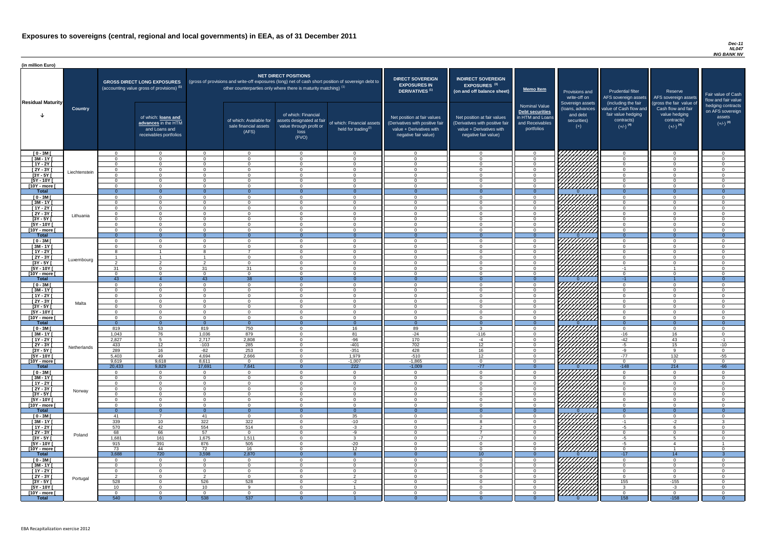#### *Dec-11 NL047 ING BANK NV*

| <b>DIRECT SOVEREIGN</b><br><b>EXPOSURES IN</b><br><b>DERIVATIVES</b> <sup>(1)</sup>                                | <b>INDIRECT SOVEREIGN</b><br>EXPOSURES <sup>(3)</sup><br>(on and off balance sheet)                                | <b>Memo Item</b>                                                                             | Provisions and<br>write-off on                                           | <b>Prudential filter</b><br>AFS sovereign assets                                                            | Reserve<br>AFS sovereign assets                                                                         | Fair value of Cash<br>flow and fair value                                 |
|--------------------------------------------------------------------------------------------------------------------|--------------------------------------------------------------------------------------------------------------------|----------------------------------------------------------------------------------------------|--------------------------------------------------------------------------|-------------------------------------------------------------------------------------------------------------|---------------------------------------------------------------------------------------------------------|---------------------------------------------------------------------------|
| Net position at fair values<br>(Derivatives with positive fair<br>value + Derivatives with<br>negative fair value) | Net position at fair values<br>(Derivatives with positive fair<br>value + Derivatives with<br>negative fair value) | <b>Nominal Value</b><br>Debt securities<br>in HTM and Loans<br>and Receivables<br>portfolios | Sovereign assets<br>(loans, advances<br>and debt<br>securities)<br>$(+)$ | (including the fair<br>value of Cash flow and<br>fair value hedging<br>contracts)<br>$(+/-)$ <sup>(4)</sup> | (gross the fair value of<br>Cash flow and fair<br>value hedging<br>contracts)<br>$(+/-)$ <sup>(4)</sup> | hedging contracts<br>on AFS sovereign<br>assets<br>$(+/-)$ <sup>(4)</sup> |
| $\mathbf 0$                                                                                                        | $\mathbf 0$                                                                                                        | 0                                                                                            |                                                                          | $\mathbf 0$                                                                                                 | $\mathbf 0$                                                                                             | 0                                                                         |
| $\mathbf 0$                                                                                                        | $\mathbf 0$                                                                                                        | $\mathbf 0$                                                                                  |                                                                          | $\mathbf 0$                                                                                                 | $\mathbf 0$                                                                                             | $\mathbf 0$                                                               |
| $\mathbf 0$                                                                                                        | 0                                                                                                                  | $\mathbf 0$                                                                                  |                                                                          | $\mathbf 0$                                                                                                 | $\mathbf 0$                                                                                             | $\mathbf 0$                                                               |
| $\mathbf 0$                                                                                                        | 0                                                                                                                  | $\mathbf 0$                                                                                  |                                                                          | $\mathbf 0$                                                                                                 | $\mathbf 0$                                                                                             | $\mathbf 0$                                                               |
| $\pmb{0}$                                                                                                          | $\mathbf 0$                                                                                                        | $\pmb{0}$                                                                                    |                                                                          | $\pmb{0}$                                                                                                   | $\mathbf 0$                                                                                             | $\mathbf 0$                                                               |
| $\pmb{0}$<br>$\pmb{0}$                                                                                             | $\mathbf 0$<br>0                                                                                                   | $\mathbf 0$<br>$\mathbf 0$                                                                   |                                                                          | $\mathbf 0$<br>$\mathbf 0$                                                                                  | $\mathbf 0$<br>$\mathbf 0$                                                                              | $\mathbf 0$<br>$\mathbf 0$                                                |
| $\overline{0}$                                                                                                     | $\overline{0}$                                                                                                     | $\overline{0}$                                                                               | $\Omega$                                                                 | $\overline{0}$                                                                                              | $\overline{0}$                                                                                          | $\overline{0}$                                                            |
| $\mathbf 0$                                                                                                        | $\mathbf 0$                                                                                                        | $\mathbf 0$                                                                                  |                                                                          | $\mathbf 0$                                                                                                 | $\mathbf 0$                                                                                             | $\mathbf 0$                                                               |
| $\mathbf 0$                                                                                                        | $\mathbf 0$                                                                                                        | $\mathbf 0$                                                                                  |                                                                          | $\mathbf 0$                                                                                                 | $\mathbf 0$                                                                                             | $\mathbf 0$                                                               |
| $\pmb{0}$                                                                                                          | $\mathbf 0$                                                                                                        | $\pmb{0}$                                                                                    |                                                                          | $\pmb{0}$                                                                                                   | $\mathbf 0$                                                                                             | $\mathbf 0$                                                               |
| $\mathbf 0$                                                                                                        | $\mathbf 0$                                                                                                        | $\mathbf 0$                                                                                  |                                                                          | $\mathbf 0$                                                                                                 | $\mathbf 0$                                                                                             | $\mathbf 0$                                                               |
| $\mathbf 0$<br>$\mathbf 0$                                                                                         | $\pmb{0}$<br>$\mathbf 0$                                                                                           | $\mathbf 0$<br>$\mathbf 0$                                                                   |                                                                          | $\mathbf 0$<br>$\mathbf 0$                                                                                  | $\mathbf 0$<br>$\mathbf 0$                                                                              | $\mathbf 0$<br>$\mathbf 0$                                                |
| $\mathbf 0$                                                                                                        | $\mathbf 0$                                                                                                        | $\mathbf 0$                                                                                  |                                                                          | $\mathbf 0$                                                                                                 | $\mathbf 0$                                                                                             | $\mathbf 0$                                                               |
| $\mathbf{0}$                                                                                                       | $\overline{0}$                                                                                                     | $\overline{0}$                                                                               | $\Omega$                                                                 | $\mathbf 0$                                                                                                 | $\overline{0}$                                                                                          | $\overline{0}$                                                            |
| $\mathbf 0$                                                                                                        | $\mathbf 0$                                                                                                        | $\mathbf 0$                                                                                  |                                                                          | $\pmb{0}$                                                                                                   | $\mathbf 0$                                                                                             | $\mathbf 0$                                                               |
| $\mathbf 0$                                                                                                        | 0                                                                                                                  | $\mathbf 0$                                                                                  |                                                                          | $\mathbf 0$                                                                                                 | $\mathbf 0$                                                                                             | $\mathbf 0$                                                               |
| $\mathbf 0$                                                                                                        | $\mathbf 0$                                                                                                        | $\pmb{0}$                                                                                    |                                                                          | $\mathbf 0$                                                                                                 | $\mathbf 0$                                                                                             | $\mathbf 0$                                                               |
| $\mathbf 0$<br>$\Omega$                                                                                            | $\mathbf 0$<br>$\Omega$                                                                                            | $\pmb{0}$<br>$\Omega$                                                                        |                                                                          | $\mathbf 0$<br>$\Omega$                                                                                     | $\mathbf 0$<br>$\Omega$                                                                                 | $\mathbf 0$<br>$\Omega$                                                   |
| $\mathbf 0$                                                                                                        | 0                                                                                                                  | 0                                                                                            |                                                                          | $-1$                                                                                                        | 1                                                                                                       | 0                                                                         |
| $\mathbf 0$                                                                                                        | 0                                                                                                                  | 0                                                                                            |                                                                          | $\mathbf 0$                                                                                                 | 0                                                                                                       | 0                                                                         |
| $\mathbf{0}$                                                                                                       | $\overline{O}$                                                                                                     | $\overline{0}$                                                                               | $\Omega$                                                                 | $-1$                                                                                                        |                                                                                                         | $\overline{0}$                                                            |
| $\mathbf 0$                                                                                                        | 0                                                                                                                  | 0                                                                                            |                                                                          | 0                                                                                                           | 0                                                                                                       | 0                                                                         |
| $\mathbf 0$                                                                                                        | 0                                                                                                                  | 0                                                                                            |                                                                          | 0                                                                                                           | 0                                                                                                       | 0                                                                         |
| $\mathbf 0$<br>0                                                                                                   | 0<br>0                                                                                                             | $\mathbf 0$<br>0                                                                             |                                                                          | $\mathbf 0$<br>0                                                                                            | 0<br>$\Omega$                                                                                           | $\mathbf 0$<br>0                                                          |
| $\mathbf 0$                                                                                                        | 0                                                                                                                  | 0                                                                                            |                                                                          | $\mathbf 0$                                                                                                 | 0                                                                                                       | $\mathbf 0$                                                               |
| $\pmb{0}$                                                                                                          | 0                                                                                                                  | $\pmb{0}$                                                                                    |                                                                          | $\mathbf 0$                                                                                                 | 0                                                                                                       | $\mathbf 0$                                                               |
| $\pmb{0}$                                                                                                          | 0                                                                                                                  | $\pmb{0}$                                                                                    |                                                                          | $\mathbf 0$                                                                                                 | $\mathbf 0$                                                                                             | $\mathbf 0$                                                               |
| $\overline{0}$                                                                                                     | $\overline{0}$                                                                                                     | $\mathbf 0$                                                                                  | 0                                                                        | $\overline{0}$                                                                                              | $\overline{0}$                                                                                          | $\overline{0}$                                                            |
| 89                                                                                                                 | 3<br>$-116$                                                                                                        | 0<br>0                                                                                       |                                                                          | $\mathbf 0$<br>$-16$                                                                                        | 0<br>16                                                                                                 | $\mathbf 0$<br>$\mathbf 0$                                                |
| $-24$<br>170                                                                                                       | $-4$                                                                                                               | 0                                                                                            |                                                                          | $-42$                                                                                                       | 43                                                                                                      | $-1$                                                                      |
| 702                                                                                                                | $\overline{12}$                                                                                                    | $\mathbf 0$                                                                                  |                                                                          | $-5$                                                                                                        | 15                                                                                                      | $-10$                                                                     |
| 428                                                                                                                | 16                                                                                                                 | 0                                                                                            |                                                                          | $-9$                                                                                                        | $\boldsymbol{9}$                                                                                        | 0                                                                         |
| $-510$                                                                                                             | 12                                                                                                                 | 0                                                                                            |                                                                          | $-77$                                                                                                       | 132                                                                                                     | $-55$                                                                     |
| $-1,865$                                                                                                           | $\mathbf 0$                                                                                                        | $\mathbf 0$                                                                                  |                                                                          | $\mathbf 0$                                                                                                 | $\mathbf 0$                                                                                             | $\mathbf 0$                                                               |
| $-1,009$                                                                                                           | $-77$                                                                                                              | $\boldsymbol{0}$                                                                             | $\overline{0}$                                                           | $-148$                                                                                                      | 214                                                                                                     | $-66$                                                                     |
| $\mathbf 0$<br>$\mathbf 0$                                                                                         | $\mathbf 0$<br>$\mathbf 0$                                                                                         | $\,0\,$<br>$\pmb{0}$                                                                         |                                                                          | 0<br>$\mathbf 0$                                                                                            | $\mathbf 0$<br>$\mathbf 0$                                                                              | 0<br>$\mathbf 0$                                                          |
| $\pmb{0}$                                                                                                          | $\mathbf 0$                                                                                                        | $\pmb{0}$                                                                                    |                                                                          | $\pmb{0}$                                                                                                   | 0                                                                                                       | $\mathbf 0$                                                               |
| $\mathbf 0$                                                                                                        | 0                                                                                                                  | $\pmb{0}$                                                                                    |                                                                          | $\mathbf 0$                                                                                                 | 0                                                                                                       | $\mathsf 0$                                                               |
| $\mathbf 0$                                                                                                        | $\mathbf 0$                                                                                                        | 0                                                                                            |                                                                          | $\mathbf 0$                                                                                                 | 0                                                                                                       | $\mathbf 0$                                                               |
| $\mathbf 0$                                                                                                        | 0                                                                                                                  | 0                                                                                            |                                                                          | $\mathbf 0$                                                                                                 | 0                                                                                                       | $\mathbf 0$                                                               |
| $\mathbf 0$<br>$\mathbf{0}$                                                                                        | 0<br>$\overline{O}$                                                                                                | 0<br>$\overline{0}$                                                                          | $\overline{0}$                                                           | $\mathbf 0$<br>$\overline{0}$                                                                               | 0<br>$\overline{0}$                                                                                     | 0<br>$\overline{0}$                                                       |
| $\mathbf 0$                                                                                                        | 0                                                                                                                  | 0                                                                                            |                                                                          | 0                                                                                                           | 0                                                                                                       | 0                                                                         |
| $\mathbf 0$                                                                                                        | 8                                                                                                                  | 0                                                                                            |                                                                          | $-1$                                                                                                        | $-2$                                                                                                    | 3                                                                         |
| $\mathbf 0$                                                                                                        | $\overline{2}$                                                                                                     | 0                                                                                            |                                                                          | $-5$                                                                                                        | 6                                                                                                       | 0                                                                         |
| 0                                                                                                                  | $\overline{7}$                                                                                                     | 0                                                                                            |                                                                          | $\mathbf 0$                                                                                                 | 0                                                                                                       | $\mathbf 0$                                                               |
| $\mathbf 0$                                                                                                        | $-7$                                                                                                               | 0                                                                                            |                                                                          | $-5$                                                                                                        | 5                                                                                                       | $\mathbf 0$                                                               |
| $\mathbf 0$<br>$\pmb{0}$                                                                                           | 0<br>0                                                                                                             | $\mathbf 0$<br>0                                                                             |                                                                          | $-5$<br>$\mathbf 0$                                                                                         | 4<br>1                                                                                                  | $\mathbf 0$                                                               |
| $\overline{0}$                                                                                                     | 10                                                                                                                 | $\overline{0}$                                                                               | 0                                                                        | $-17$                                                                                                       | 14                                                                                                      | $\overline{3}$                                                            |
| $\pmb{0}$                                                                                                          | 0                                                                                                                  | 0                                                                                            |                                                                          | 0                                                                                                           | 0                                                                                                       | $\mathbf 0$                                                               |
| $\pmb{0}$                                                                                                          | $\mathbf 0$                                                                                                        | $\,0\,$                                                                                      | <u>VIIIIIIII</u>                                                         | $\pmb{0}$                                                                                                   | $\mathbf 0$                                                                                             | 0                                                                         |
| $\mathbf 0$                                                                                                        | $\overline{0}$                                                                                                     | $\mathbf 0$                                                                                  |                                                                          | $\overline{0}$                                                                                              | $\overline{0}$                                                                                          | $\mathbf 0$                                                               |
| $\mathsf 0$                                                                                                        | $\mathbf 0$                                                                                                        | $\mathbf 0$                                                                                  |                                                                          | $\overline{0}$                                                                                              | $\overline{0}$                                                                                          | $\boldsymbol{0}$                                                          |
| $\mathbf 0$                                                                                                        | $\mathbf 0$                                                                                                        | $\pmb{0}$                                                                                    |                                                                          | 155                                                                                                         | $-155$                                                                                                  | $\mathbf 0$                                                               |
| $\mathbf 0$<br>$\overline{0}$                                                                                      | $\mathbf 0$<br>$\overline{0}$                                                                                      | $\mathbf 0$<br>$\mathbf 0$                                                                   |                                                                          | $\mathbf{3}$<br>$\overline{0}$                                                                              | $-3$<br>$\overline{0}$                                                                                  | $\mathbf 0$<br>$\mathbf 0$                                                |
| $\overline{0}$                                                                                                     | $\overline{0}$                                                                                                     | $\overline{0}$                                                                               | 0                                                                        | 158                                                                                                         | $-158$                                                                                                  | $\overline{0}$                                                            |

| (in million Euro)                 |                |                       |                                                                                             |                                |                                                                                                                                                                          |                                                                                              |                                                               |                                                                                                                    |                                                                                                                    |                                                                                              |                                                                          |                                                                                                             |                                                                                                         |                                            |
|-----------------------------------|----------------|-----------------------|---------------------------------------------------------------------------------------------|--------------------------------|--------------------------------------------------------------------------------------------------------------------------------------------------------------------------|----------------------------------------------------------------------------------------------|---------------------------------------------------------------|--------------------------------------------------------------------------------------------------------------------|--------------------------------------------------------------------------------------------------------------------|----------------------------------------------------------------------------------------------|--------------------------------------------------------------------------|-------------------------------------------------------------------------------------------------------------|---------------------------------------------------------------------------------------------------------|--------------------------------------------|
| <b>Residual Maturity</b>          |                |                       | <b>GROSS DIRECT LONG EXPOSURES</b><br>(accounting value gross of provisions) <sup>(1)</sup> |                                | (gross of provisions and write-off exposures (long) net of cash short position of sovereign debt to<br>other counterparties only where there is maturity matching) $(1)$ | <b>NET DIRECT POSITIONS</b>                                                                  |                                                               | <b>DIRECT SOVEREIGN</b><br><b>EXPOSURES IN</b><br><b>DERIVATIVES<sup>(1)</sup></b>                                 | <b>INDIRECT SOVEREIGN</b><br>EXPOSURES <sup>(3)</sup><br>(on and off balance sheet)                                | <b>Memo Item</b>                                                                             | Provisions and<br>write-off on                                           | <b>Prudential filter</b><br>AFS sovereign assets                                                            | Reserve<br>AFS sovereign assets                                                                         | Fair value<br>flow and fa                  |
|                                   | <b>Country</b> |                       | of which: loans and<br>advances in the HTM<br>and Loans and<br>receivables portfolios       |                                | of which: Available for<br>sale financial assets<br>(AFS)                                                                                                                | of which: Financial<br>assets designated at fair<br>value through profit or<br>loss<br>(FVO) | of which: Financial assets<br>held for trading <sup>(2)</sup> | Net position at fair values<br>(Derivatives with positive fair<br>value + Derivatives with<br>negative fair value) | Net position at fair values<br>(Derivatives with positive fair<br>value + Derivatives with<br>negative fair value) | <b>Nominal Value</b><br>Debt securities<br>in HTM and Loans<br>and Receivables<br>portfolios | Sovereign assets<br>(loans, advances<br>and debt<br>securities)<br>$(+)$ | (including the fair<br>value of Cash flow and<br>fair value hedging<br>contracts)<br>$(+/-)$ <sup>(4)</sup> | (gross the fair value of<br>Cash flow and fair<br>value hedging<br>contracts)<br>$(+/-)$ <sup>(4)</sup> | hedging co<br>on AFS sc<br>asse<br>$(+/-)$ |
| $[0 - 3M]$                        |                | റ                     | $\Omega$                                                                                    | റ                              | $\overline{0}$                                                                                                                                                           | - 0                                                                                          | $\overline{0}$                                                | - റ                                                                                                                | $\overline{0}$                                                                                                     | - 0                                                                                          | THUR SHIPPING                                                            |                                                                                                             | $\overline{0}$                                                                                          |                                            |
| $[3M - 1Y]$                       |                | $\cap$<br>$\cap$      | $\Omega$                                                                                    | റ<br>$\Omega$                  | $\Omega$<br>$\Omega$                                                                                                                                                     | $\cap$<br>$\cap$                                                                             | $\Omega$                                                      | റ<br>$\cap$                                                                                                        | $\Omega$                                                                                                           | - 0<br>$\cap$                                                                                |                                                                          | $\Omega$                                                                                                    | $\Omega$<br>$\Omega$                                                                                    |                                            |
| $[1Y - 2Y]$<br>$[2Y - 3Y]$        |                | $\cap$                | $\Omega$<br>$\Omega$                                                                        | $\bigcap$                      | $\overline{0}$                                                                                                                                                           | $\Omega$                                                                                     | $\Omega$<br>$\Omega$                                          | $\cap$                                                                                                             | $\Omega$<br>$\overline{0}$                                                                                         | $\Omega$                                                                                     |                                                                          | $\cap$                                                                                                      | $\Omega$                                                                                                |                                            |
| $\overline{[3Y - 5Y]}$            | Liechtenstein  | $\cap$                | $\Omega$                                                                                    | $\Omega$                       | $\Omega$                                                                                                                                                                 | $\cap$                                                                                       | $\Omega$                                                      | $\cap$                                                                                                             | $\Omega$                                                                                                           | $\Omega$                                                                                     |                                                                          | $\Omega$                                                                                                    | $\cap$                                                                                                  |                                            |
| [5Y - 10Y [                       |                | $\Omega$              | $\Omega$                                                                                    | $\bigcap$                      | $\Omega$                                                                                                                                                                 | $\cap$                                                                                       | $\overline{0}$                                                | $\Omega$                                                                                                           | $\Omega$                                                                                                           | $\Omega$                                                                                     |                                                                          | $\cap$                                                                                                      | $\Omega$                                                                                                |                                            |
| [10Y - more [                     |                | $\Omega$              | $\Omega$                                                                                    | $\cap$                         | $\overline{0}$                                                                                                                                                           | $\Omega$                                                                                     | $\overline{0}$                                                | $\Omega$                                                                                                           | $\overline{0}$                                                                                                     | $\overline{0}$                                                                               |                                                                          | $\Omega$                                                                                                    | $\Omega$                                                                                                |                                            |
| <b>Total</b><br>$[0 - 3M]$        |                | $\Omega$<br>$\Omega$  | $\Omega$<br>$\Omega$                                                                        | $\Omega$<br>$\bigcap$          | $\Omega$<br>$\overline{0}$                                                                                                                                               | - 0<br>$\Omega$                                                                              | $\Omega$<br>$\Omega$                                          | $\Omega$<br>$\cap$                                                                                                 | $\Omega$<br>$\Omega$                                                                                               | $\Omega$<br>$\Omega$                                                                         |                                                                          | $\Omega$<br>$\Omega$                                                                                        | $\Omega$<br>$\Omega$                                                                                    |                                            |
| $[3M - 1Y]$                       |                | $\Omega$              | $\Omega$                                                                                    | റ                              | $\Omega$                                                                                                                                                                 | $\cap$                                                                                       | $\Omega$                                                      | റ                                                                                                                  | $\Omega$                                                                                                           | $\cap$                                                                                       | <i>WHAHA</i>                                                             | $\cap$                                                                                                      | $\Omega$                                                                                                | $\cap$                                     |
| $[1Y - 2Y]$                       |                |                       | $\Omega$                                                                                    |                                | $\Omega$                                                                                                                                                                 | _റ                                                                                           | $\Omega$                                                      |                                                                                                                    | $\Omega$                                                                                                           | $\Omega$                                                                                     | HAAAN<br>HAAAN                                                           |                                                                                                             | $\Omega$                                                                                                |                                            |
| $[2Y - 3Y]$                       | Lithuania      | $\Omega$              | $\Omega$                                                                                    |                                | $\Omega$                                                                                                                                                                 | $\cap$                                                                                       | $\Omega$                                                      |                                                                                                                    | $\Omega$                                                                                                           | $\Omega$                                                                                     |                                                                          |                                                                                                             | $\Omega$                                                                                                |                                            |
| $[3Y - 5Y]$<br>$[5Y - 10Y]$       |                | $\cap$<br>$\cap$      | $\Omega$<br>$\Omega$                                                                        | റ                              | $\Omega$<br>$\Omega$                                                                                                                                                     | $\cap$<br>$\cap$                                                                             | $\Omega$<br>$\Omega$                                          | $\cap$<br>$\cap$                                                                                                   | $\overline{0}$<br>$\Omega$                                                                                         | $\Omega$<br>$\cap$                                                                           | HATA S                                                                   |                                                                                                             | $\Omega$<br>$\Omega$                                                                                    | $\Omega$                                   |
| [10Y - more [                     |                | $\cap$                | $\Omega$                                                                                    | $\Omega$                       | $\Omega$                                                                                                                                                                 | $\cap$                                                                                       | $\Omega$                                                      | $\cap$                                                                                                             | $\Omega$                                                                                                           | $\cap$                                                                                       | ZZZZZZZAI                                                                | $\Omega$                                                                                                    | $\cap$                                                                                                  | $\Omega$                                   |
| <b>Total</b>                      |                | $\Omega$              | $\Omega$                                                                                    |                                | $\Omega$                                                                                                                                                                 | - വ                                                                                          | $\Omega$                                                      | $\Omega$                                                                                                           | $\Omega$                                                                                                           | $\Omega$                                                                                     |                                                                          |                                                                                                             | $\Omega$                                                                                                | $\Omega$                                   |
| $[0 - 3M]$                        |                | $\cap$                | $\Omega$                                                                                    | റ                              | $\Omega$                                                                                                                                                                 | $\cap$                                                                                       | $\Omega$                                                      | $\cap$                                                                                                             | $\Omega$                                                                                                           | $\cap$                                                                                       | HAAN SAAHAS                                                              | $\cap$                                                                                                      | $\cap$                                                                                                  | $\cap$                                     |
| $[3M - 1Y]$<br>$[1Y - 2Y]$        |                | $\cap$                | $\Omega$                                                                                    | $\Omega$                       | $\Omega$<br>$\overline{ }$                                                                                                                                               | $\bigcap$<br>$\cap$                                                                          | $\Omega$<br>$\Omega$                                          | $\Omega$<br>$\cap$                                                                                                 | $\Omega$<br>$\Omega$                                                                                               | $\cap$<br>$\Omega$                                                                           |                                                                          | $\Omega$<br>$\Omega$                                                                                        | $\Omega$<br>$\Omega$                                                                                    | $\Omega$<br>$\Omega$                       |
| $[2Y - 3Y]$                       |                | $\overline{1}$        |                                                                                             | $\overline{ }$                 | $\Omega$                                                                                                                                                                 | $\cap$                                                                                       | $\Omega$                                                      | $\cap$                                                                                                             | $\Omega$                                                                                                           | $\Omega$                                                                                     |                                                                          | $\Omega$                                                                                                    | $\cap$                                                                                                  | $\cap$                                     |
| [3Y - 5Y                          | Luxembourg     |                       |                                                                                             |                                |                                                                                                                                                                          |                                                                                              |                                                               |                                                                                                                    |                                                                                                                    |                                                                                              |                                                                          |                                                                                                             |                                                                                                         |                                            |
| $[5Y - 10Y]$                      |                | 31                    | $\Omega$                                                                                    | 31                             | 31                                                                                                                                                                       | $\cap$                                                                                       | $\Omega$                                                      |                                                                                                                    | $\Omega$                                                                                                           |                                                                                              | HHHH                                                                     | $-1$                                                                                                        |                                                                                                         |                                            |
| $[10Y - more]$<br><b>Total</b>    |                | $\cap$<br>43          | $\Omega$                                                                                    | $\cap$<br>43                   | $\Omega$<br>$\overline{38}$                                                                                                                                              | റ<br>$\Omega$                                                                                | $\Omega$<br>$\Omega$                                          |                                                                                                                    | $\Omega$<br>$\Omega$                                                                                               | $\cap$<br>$\Omega$                                                                           | 777777777                                                                | $-1$                                                                                                        |                                                                                                         |                                            |
| $[0 - 3M]$                        |                | $\cap$                | $\Omega$                                                                                    | $\cap$                         | $\Omega$                                                                                                                                                                 | - വ                                                                                          | $\Omega$                                                      |                                                                                                                    | $\Omega$                                                                                                           | $\cap$                                                                                       |                                                                          |                                                                                                             | $\Omega$                                                                                                |                                            |
| $[3M - 1Y]$                       |                | $\cap$                | $\Omega$                                                                                    | $\cap$                         | $\Omega$                                                                                                                                                                 | - വ                                                                                          | $\Omega$                                                      |                                                                                                                    | $\Omega$                                                                                                           | $\Omega$                                                                                     | HAANAS<br>HAAANAS                                                        |                                                                                                             | $\Omega$                                                                                                |                                            |
| $[1Y - 2Y]$                       |                | റ<br>റ                | $\Omega$                                                                                    | $\Omega$<br>$\cap$             | $\Omega$<br>$\Omega$                                                                                                                                                     | $\cap$<br>$\cap$                                                                             | $\Omega$                                                      | $\Omega$<br>റ                                                                                                      | $\Omega$                                                                                                           | $\Omega$<br>$\cap$                                                                           |                                                                          | $\cap$                                                                                                      | $\Omega$                                                                                                |                                            |
| $[2Y - 3Y]$<br>$[3Y - 5Y]$        | Malta          |                       | റ -<br>$\Omega$                                                                             | $\cap$                         | $\Omega$                                                                                                                                                                 | $\Omega$                                                                                     | $\Omega$<br>$\overline{0}$                                    | $\Omega$                                                                                                           | $\Omega$<br>$\Omega$                                                                                               | $\cap$                                                                                       |                                                                          | ∩                                                                                                           | <u>റ</u><br>$\Omega$                                                                                    |                                            |
| [5Y - 10Y [                       |                | $\cap$                | $\overline{0}$                                                                              | $\Omega$                       | $\Omega$                                                                                                                                                                 | $\Omega$                                                                                     | $\overline{0}$                                                | $\cap$                                                                                                             | $\overline{0}$                                                                                                     | $\Omega$                                                                                     |                                                                          | $\Omega$                                                                                                    | $\Omega$                                                                                                |                                            |
| [10Y - more [                     |                | $\cap$                | $\Omega$                                                                                    | $\cap$                         | $\Omega$                                                                                                                                                                 | $\cap$                                                                                       | $\overline{0}$                                                | $\cap$                                                                                                             | $\Omega$                                                                                                           | $\Omega$                                                                                     | HAHA<br>HAHA                                                             | - വ                                                                                                         | $\Omega$                                                                                                |                                            |
| <b>Total</b><br>$[0 - 3M]$        |                | $\overline{0}$<br>819 | $\Omega$<br>53                                                                              | $\overline{\mathbf{0}}$<br>819 | $\overline{0}$<br>750                                                                                                                                                    | $\Omega$<br>$\Omega$                                                                         | $\Omega$<br>16                                                | $\Omega$<br>89                                                                                                     | $\Omega$<br>$\mathbf{3}$                                                                                           | $\Omega$<br>$\Omega$                                                                         |                                                                          | $\Omega$<br>$\Omega$                                                                                        | $\Omega$<br>$\overline{0}$                                                                              |                                            |
| $[3M - 1Y]$                       |                | 1,043                 | 76                                                                                          | 1,036                          | 879                                                                                                                                                                      | $\cap$                                                                                       | 81                                                            | $-24$                                                                                                              | $-116$                                                                                                             | $\Omega$                                                                                     | Ø                                                                        | $-16$                                                                                                       | 16                                                                                                      |                                            |
| $[1Y - 2Y]$                       |                | 2,827                 | 5                                                                                           | 2,717                          | 2,808                                                                                                                                                                    | $\cap$                                                                                       | $-96$                                                         | 170                                                                                                                | $-4$                                                                                                               | $\Omega$                                                                                     | HAAN.                                                                    | $-42$                                                                                                       | 43                                                                                                      | -1                                         |
| [2Y - 3Y [                        | Netherlands    | 433                   | 12                                                                                          | $-103$                         | 285                                                                                                                                                                      | - 0                                                                                          | $-401$                                                        | 702                                                                                                                | 12                                                                                                                 | $\cap$                                                                                       | $\neg \sharp \mathscr{G}$                                                | $-5$                                                                                                        | 15                                                                                                      | $-10$                                      |
| $[3Y - 5Y]$<br><b>[5Y - 10Y [</b> |                | 289<br>5,403          | 16<br>49                                                                                    | $-82$<br>4,694                 | 253<br>2,666                                                                                                                                                             | - 0<br>- വ                                                                                   | $-351$<br>1,979                                               | 428<br>$-510$                                                                                                      | 16<br>12 <sup>2</sup>                                                                                              |                                                                                              | 777771<br>$\sim$                                                         | -9<br>$-77$                                                                                                 | Q<br>132                                                                                                | $-55$                                      |
| [10Y - more [                     |                | 9,619                 | 9,618                                                                                       | 8,611                          | $\Omega$                                                                                                                                                                 | റ                                                                                            | $-1,007$                                                      | $-1,865$                                                                                                           | $\Omega$                                                                                                           | $\cap$                                                                                       | HHHA                                                                     | $\cap$                                                                                                      | $\Omega$                                                                                                | - റ                                        |
| <b>Total</b>                      |                | 20,433                | 9,829                                                                                       | 17,691                         | 7,641                                                                                                                                                                    | - ೧                                                                                          | 222                                                           | $-1,009$                                                                                                           | $-77$                                                                                                              | - ೧                                                                                          |                                                                          | $-148$                                                                                                      | 214                                                                                                     | $-66$                                      |
| $[0 - 3M]$                        |                | $\cap$                | $\overline{0}$                                                                              | റ                              | $\overline{0}$                                                                                                                                                           | $\cap$                                                                                       | $\overline{0}$                                                | $\cap$                                                                                                             | $\Omega$                                                                                                           | $\Omega$                                                                                     |                                                                          | $\cap$                                                                                                      | $\Omega$                                                                                                |                                            |
| $[3M - 1Y]$<br>$[1Y - 2Y]$        |                | $\Omega$<br>$\Omega$  | $\overline{0}$<br>$\Omega$                                                                  | - 0<br>$\cap$                  | $\overline{0}$<br>$\Omega$                                                                                                                                               | $\cap$<br>$\cap$                                                                             | $\overline{0}$<br>$\Omega$                                    | $\Omega$<br>$\cap$                                                                                                 | $\Omega$<br>$\Omega$                                                                                               | - 0<br>- 0                                                                                   | HA<br>HA                                                                 | $\Omega$<br>$\cap$                                                                                          | $\Omega$<br>$\Omega$                                                                                    |                                            |
| $[2Y - 3Y]$                       |                | $\Omega$              | $\Omega$                                                                                    | $\cap$                         | $\Omega$                                                                                                                                                                 | $\cap$                                                                                       | $\Omega$                                                      | $\cap$                                                                                                             | $\Omega$                                                                                                           | - 0                                                                                          |                                                                          | $\Omega$                                                                                                    | $\Omega$                                                                                                |                                            |
| $[3Y - 5Y]$                       | Norway         | $\cap$                | $\Omega$                                                                                    | $\cap$                         | $\overline{0}$                                                                                                                                                           | $\Omega$                                                                                     | $\Omega$                                                      | $\Omega$                                                                                                           | $\Omega$                                                                                                           | - 0                                                                                          |                                                                          | $\Omega$                                                                                                    | $\Omega$                                                                                                |                                            |
| $[5Y - 10Y]$                      |                |                       | $\Omega$                                                                                    | $\cap$                         | $\Omega$                                                                                                                                                                 | റ                                                                                            | $\Omega$                                                      |                                                                                                                    | $\Omega$                                                                                                           | $\cap$                                                                                       | $\not\!\!\!\!/$                                                          | $\cap$                                                                                                      | $\Omega$                                                                                                |                                            |
| [10Y - more  <br><b>Total</b>     |                | $\Omega$              | $\Omega$<br>$\Omega$                                                                        | $\cap$<br>- 0                  | $\Omega$<br>$\Omega$                                                                                                                                                     | റ                                                                                            | $\Omega$<br>$\Omega$                                          |                                                                                                                    | $\Omega$<br>$\Omega$                                                                                               | $\cap$<br>$\Omega$                                                                           |                                                                          |                                                                                                             | $\Omega$                                                                                                |                                            |
| $[0 - 3M]$                        |                | 41                    | - 7                                                                                         | 41                             | $\Omega$                                                                                                                                                                 | - വ                                                                                          | 35                                                            |                                                                                                                    | $\Omega$                                                                                                           | $\cap$                                                                                       |                                                                          |                                                                                                             | $\Omega$                                                                                                |                                            |
| $[3M - 1Y]$                       |                | 339                   | 10 <sup>1</sup>                                                                             | 322                            | 322                                                                                                                                                                      | - 0                                                                                          | $-10$                                                         |                                                                                                                    | 8                                                                                                                  | $\cap$                                                                                       | THIRA<br>MANA                                                            | $-1$                                                                                                        | $-2$                                                                                                    |                                            |
| [ 1Y - 2Y [                       |                | 570                   | 42                                                                                          | 554                            | 514                                                                                                                                                                      | $\Omega$                                                                                     | $-3$                                                          |                                                                                                                    | $\overline{2}$                                                                                                     | $\Omega$                                                                                     |                                                                          | $-5$                                                                                                        |                                                                                                         |                                            |
| $[2Y - 3Y]$<br>$[3Y - 5Y]$        | Poland         | 68<br>1,681           | 66<br>161                                                                                   | 57<br>1,675                    | $\overline{0}$<br>1,511                                                                                                                                                  | $\cap$<br>$\cap$                                                                             | -9<br>$\mathcal{R}$                                           | റ                                                                                                                  | 7<br>$-7$                                                                                                          | $\Omega$<br>$\cap$                                                                           |                                                                          | $\cap$<br>-5                                                                                                | $\Omega$                                                                                                |                                            |
| $[5Y - 10Y]$                      |                | 915                   | 391                                                                                         | 876                            | 505                                                                                                                                                                      | $\Omega$                                                                                     | $-20$                                                         |                                                                                                                    | $\Omega$                                                                                                           | $\Omega$                                                                                     |                                                                          | $-5$                                                                                                        |                                                                                                         |                                            |
| [10Y - more ]                     |                | 73                    | 44                                                                                          | 72                             | 16                                                                                                                                                                       | $\Omega$                                                                                     | 12 <sup>7</sup>                                               |                                                                                                                    | $\Omega$                                                                                                           | $\cap$                                                                                       |                                                                          | $\Omega$                                                                                                    |                                                                                                         |                                            |
| <b>Total</b>                      |                | 3,688                 | 720                                                                                         | 3,598                          | 2,870                                                                                                                                                                    | $\Omega$                                                                                     |                                                               | $\Omega$                                                                                                           | 10 <sup>°</sup>                                                                                                    | $\Omega$                                                                                     |                                                                          | $-17$                                                                                                       | 14                                                                                                      |                                            |
| $[0 - 3M]$<br>$[3M - 1Y]$         |                | $\Omega$              | $\Omega$<br>0                                                                               | $\cap$                         | $\overline{0}$<br>$\Omega$                                                                                                                                               | $\Omega$<br>- 0                                                                              | $\Omega$<br>$\overline{0}$                                    |                                                                                                                    | $\Omega$<br>- 0                                                                                                    | $\cap$<br>$\Omega$                                                                           | <i>VIIIIIII</i> I                                                        | $\Omega$                                                                                                    | $\Omega$<br>$\Omega$                                                                                    |                                            |
| $[1Y - 2Y]$                       |                | $\Omega$              | $\Omega$                                                                                    | $\Omega$                       | $\mathbf 0$                                                                                                                                                              | $\Omega$                                                                                     | $\overline{0}$                                                |                                                                                                                    | $\Omega$                                                                                                           | $\Omega$                                                                                     |                                                                          | $\Omega$                                                                                                    | $\Omega$                                                                                                | $\Omega$                                   |
| $[2Y - 3Y]$                       | Portugal       | $\mathcal{D}$         | $\overline{0}$                                                                              | $\overline{2}$                 | $\overline{0}$                                                                                                                                                           | - 0                                                                                          | $\overline{2}$                                                | റ                                                                                                                  | $\overline{0}$                                                                                                     | - 0                                                                                          |                                                                          | $\Omega$                                                                                                    | $\Omega$                                                                                                | $\Omega$                                   |
| $[3Y - 5Y]$                       |                | 528                   | $\Omega$                                                                                    | 526                            | 528                                                                                                                                                                      | - ೧                                                                                          | $-2$                                                          |                                                                                                                    | $\overline{0}$                                                                                                     | $\Omega$                                                                                     |                                                                          | 155                                                                                                         | $-155$                                                                                                  | $\Omega$                                   |
| $[5Y - 10Y]$<br>[10Y - more [     |                | 10<br>$\Omega$        | $\Omega$<br>$\Omega$                                                                        | 10<br>റ                        | -9<br>$\overline{0}$                                                                                                                                                     | $\Omega$<br>$\cap$                                                                           | $\Omega$                                                      | - 0<br>റ                                                                                                           | $\overline{0}$<br>$\Omega$                                                                                         | $\Omega$<br>$\cap$                                                                           | William                                                                  | $\mathbf{B}$<br>- റ                                                                                         | $-3$<br>$\Omega$                                                                                        | $\Omega$<br>$\Omega$                       |
| <b>Total</b>                      |                | 540                   | -0                                                                                          | 538                            | 537                                                                                                                                                                      |                                                                                              |                                                               |                                                                                                                    | $\Omega$                                                                                                           | - 0                                                                                          |                                                                          | 158                                                                                                         | $-158$                                                                                                  | $\overline{0}$                             |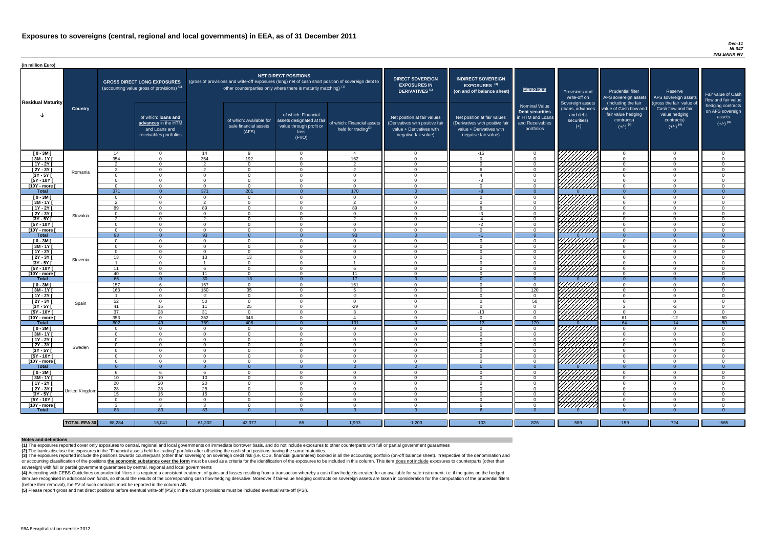#### *Dec-11 NL047 ING BANK NV*

(4) According with CEBS Guidelines on prudential filters it is required a consistent treatment of gains and losses resulting from a transaction whereby a cash flow hedge is created for an available for sale instrument: i.e item are recognised in additional own funds, so should the results of the corresponding cash flow hedging derivative. Moreover if fair-value hedging contracts on sovereign assets are taken in consideration for the computat (before their removal), the FV of such contracts must be reported in the column AB.

| (in million Euro)             |                     |                      |                                                                                             |                      |                                                                            |                                                                                              |                                                                                                     |                                                                                                                    |                                                                                                                    |                                                                                              |                                                                          |                                                                                      |                                                                             |                                                                           |
|-------------------------------|---------------------|----------------------|---------------------------------------------------------------------------------------------|----------------------|----------------------------------------------------------------------------|----------------------------------------------------------------------------------------------|-----------------------------------------------------------------------------------------------------|--------------------------------------------------------------------------------------------------------------------|--------------------------------------------------------------------------------------------------------------------|----------------------------------------------------------------------------------------------|--------------------------------------------------------------------------|--------------------------------------------------------------------------------------|-----------------------------------------------------------------------------|---------------------------------------------------------------------------|
| <b>Residual Maturity</b>      |                     |                      | <b>GROSS DIRECT LONG EXPOSURES</b><br>(accounting value gross of provisions) <sup>(1)</sup> |                      | other counterparties only where there is maturity matching) <sup>(1)</sup> | <b>NET DIRECT POSITIONS</b>                                                                  | (gross of provisions and write-off exposures (long) net of cash short position of sovereign debt to | <b>DIRECT SOVEREIGN</b><br><b>EXPOSURES IN</b><br><b>DERIVATIVES (1)</b>                                           | <b>INDIRECT SOVEREIGN</b><br>EXPOSURES <sup>(3)</sup><br>(on and off balance sheet)                                | <b>Memo Item</b>                                                                             | Provisions and<br>write-off on                                           | <b>Prudential filter</b><br>AFS sovereign assets<br>(including the fair              | Reserve<br>AFS sovereign assets<br>(gross the fair value of                 | Fair value of Cash<br>flow and fair value                                 |
|                               | <b>Country</b>      |                      | of which: loans and<br>advances in the HTM<br>and Loans and<br>receivables portfolios       |                      | of which: Available for<br>sale financial assets<br>(AFS)                  | of which: Financial<br>assets designated at fair<br>value through profit or<br>loss<br>(FVO) | of which: Financial assets<br>held for trading $(2)$                                                | Net position at fair values<br>(Derivatives with positive fair<br>value + Derivatives with<br>negative fair value) | Net position at fair values<br>(Derivatives with positive fair<br>value + Derivatives with<br>negative fair value) | <b>Nominal Value</b><br>Debt securities<br>in HTM and Loans<br>and Receivables<br>portfolios | Sovereign assets<br>(loans, advances<br>and debt<br>securities)<br>$(+)$ | value of Cash flow and<br>fair value hedging<br>contracts)<br>$(+/-)$ <sup>(4)</sup> | Cash flow and fair<br>value hedging<br>contracts)<br>$(+/-)$ <sup>(4)</sup> | hedging contracts<br>on AFS sovereign<br>assets<br>$(+/-)$ <sup>(4)</sup> |
| $[0 - 3M]$                    |                     | 14                   | $\Omega$                                                                                    | 14                   | - 9                                                                        | $\Omega$                                                                                     | 4                                                                                                   | $\overline{0}$                                                                                                     | $-15$                                                                                                              | $\cap$                                                                                       | VIIIIIIII                                                                | $\overline{\mathbf{0}}$                                                              | $\overline{0}$                                                              | $\Omega$                                                                  |
| $[3M - 1Y]$                   |                     | 354                  | $\Omega$                                                                                    | 354                  | 192                                                                        | $\Omega$                                                                                     | 162                                                                                                 | $\overline{0}$                                                                                                     | $\Omega$                                                                                                           | $\cap$                                                                                       |                                                                          | $\Omega$                                                                             | $\overline{0}$                                                              | $\Omega$                                                                  |
| $[1Y - 2Y]$                   |                     | 2                    | $\Omega$                                                                                    | $\mathcal{D}$        | $\Omega$                                                                   | $\Omega$                                                                                     | 2                                                                                                   | $\Omega$                                                                                                           | $\Omega$                                                                                                           | $\cap$                                                                                       |                                                                          | $\Omega$                                                                             | $\Omega$                                                                    | $\Omega$                                                                  |
| [2Y - 3Y [                    | Romania             | 2                    | $\Omega$                                                                                    | $\overline{2}$       | $\Omega$                                                                   | $\Omega$                                                                                     | 2                                                                                                   | $\overline{0}$                                                                                                     | -6                                                                                                                 | $\cap$<br>$\cap$                                                                             |                                                                          | $\overline{0}$                                                                       | $\overline{0}$                                                              | $\overline{0}$                                                            |
| $[3Y - 5Y]$<br>$[5Y - 10Y]$   |                     | $\Omega$<br>$\Omega$ | $\Omega$<br>$\Omega$                                                                        | $\Omega$<br>$\cap$   | $\Omega$<br>$\Omega$                                                       | $\Omega$<br>$\Omega$                                                                         | $\Omega$<br>$\Omega$                                                                                | $\Omega$<br>$\Omega$                                                                                               | $\overline{4}$<br>$-3$                                                                                             | $\Omega$                                                                                     |                                                                          | $\Omega$<br>$\Omega$                                                                 | $\Omega$<br>$\Omega$                                                        | $\Omega$<br>$\overline{0}$                                                |
| [10Y - more [                 |                     | $\Omega$             | $\Omega$                                                                                    | $\cap$               | $\Omega$                                                                   | $\cap$                                                                                       | $\Omega$                                                                                            | $\Omega$                                                                                                           | $\Omega$                                                                                                           |                                                                                              | 977777777                                                                | $\Omega$                                                                             | $\Omega$                                                                    | $\Omega$                                                                  |
| <b>Total</b>                  |                     | 371                  | $\Omega$                                                                                    | 371                  | 201                                                                        |                                                                                              | 170                                                                                                 |                                                                                                                    | $-8$                                                                                                               |                                                                                              |                                                                          |                                                                                      | $\Omega$                                                                    |                                                                           |
| $[0 - 3M]$                    |                     | $\Omega$             | $\Omega$                                                                                    | $\cap$               | $\Omega$                                                                   | $\Omega$                                                                                     | $\overline{0}$                                                                                      | - റ                                                                                                                | $\Omega$                                                                                                           |                                                                                              |                                                                          | $\cap$                                                                               | $\Omega$                                                                    | $\Omega$                                                                  |
| $[3M - 1Y]$                   |                     | $\mathcal{P}$        | $\Omega$                                                                                    | $\mathcal{P}$        | $\Omega$                                                                   | $\Omega$                                                                                     | $\overline{2}$                                                                                      | $\overline{0}$                                                                                                     | $\overline{0}$                                                                                                     |                                                                                              |                                                                          | $\cap$                                                                               | $\Omega$                                                                    | $\Omega$                                                                  |
| $[1Y - 2Y]$                   |                     | 89                   | $\Omega$                                                                                    | 89                   | $\Omega$                                                                   | $\cap$                                                                                       | 89                                                                                                  | $\Omega$                                                                                                           | $\mathsf{R}$                                                                                                       |                                                                                              |                                                                          | $\cap$                                                                               | $\Omega$                                                                    | $\Omega$                                                                  |
| $[2Y - 3Y]$                   | Slovakia            | $\Omega$             | $\Omega$                                                                                    | $\Omega$             | $\Omega$                                                                   | $\cap$                                                                                       | $\Omega$                                                                                            | $\Omega$                                                                                                           | $-3$                                                                                                               |                                                                                              |                                                                          | $\Omega$                                                                             | $\Omega$                                                                    | $\Omega$                                                                  |
| $[3Y - 5Y]$                   |                     | $\mathcal{D}$        | $\Omega$                                                                                    | $\overline{2}$       | $\cap$                                                                     | $\Omega$                                                                                     | $\overline{2}$                                                                                      | $\Omega$                                                                                                           | $-4$                                                                                                               |                                                                                              | HAAA                                                                     | $\cap$                                                                               | $\overline{0}$                                                              | $\Omega$                                                                  |
| [5Y - 10Y [                   |                     | $\Omega$             | $\Omega$                                                                                    | $\Omega$             | $\Omega$                                                                   | $\Omega$                                                                                     | $\overline{0}$                                                                                      | $\Omega$                                                                                                           | $-2$                                                                                                               | $\Omega$                                                                                     |                                                                          | $\cap$                                                                               | $\overline{0}$                                                              | $\Omega$                                                                  |
| [10Y - more [                 |                     | $\Omega$             | $\Omega$                                                                                    | $\Omega$             | $\Omega$                                                                   | $\Omega$                                                                                     | $\Omega$                                                                                            | - റ                                                                                                                | $\Omega$                                                                                                           | $\sqrt{ }$                                                                                   | ////////////                                                             | $\cap$                                                                               | $\Omega$                                                                    | $\Omega$                                                                  |
| Total                         |                     | $\overline{93}$      | $\Omega$                                                                                    | $\overline{93}$      | $\Omega$                                                                   | $\Omega$                                                                                     | 93                                                                                                  | - 0                                                                                                                | $-1$                                                                                                               | $\Omega$                                                                                     |                                                                          | $\Omega$                                                                             | $\Omega$                                                                    | $\overline{0}$                                                            |
| $[0 - 3M]$                    |                     | $\Omega$             | $\Omega$                                                                                    | $\Omega$             | <u>റ</u>                                                                   | $\Omega$                                                                                     | $\overline{0}$                                                                                      | $\Omega$                                                                                                           | $\Omega$                                                                                                           | $\cap$                                                                                       |                                                                          | $\cap$                                                                               | $\overline{0}$                                                              | $\Omega$                                                                  |
| $[3M - 1Y]$                   |                     | - 0                  | $\Omega$                                                                                    | $\cap$               | $\Omega$                                                                   | $\Omega$                                                                                     | $\overline{0}$                                                                                      | $\Omega$                                                                                                           | $\Omega$                                                                                                           |                                                                                              |                                                                          | $\Omega$                                                                             | $\Omega$                                                                    | $\Omega$                                                                  |
| $[1Y - 2Y]$                   |                     | $\Omega$             |                                                                                             |                      | $\Omega$                                                                   | $\Omega$                                                                                     | $\overline{0}$                                                                                      | $\Omega$                                                                                                           | $\Omega$                                                                                                           |                                                                                              |                                                                          | $\Omega$                                                                             | $\Omega$                                                                    | $\Omega$                                                                  |
| $[2Y - 3Y]$                   | Slovenia            | 13                   |                                                                                             | 13 <sup>7</sup>      | 13                                                                         | $\Omega$                                                                                     | $\Omega$                                                                                            | - 0                                                                                                                | $\Omega$                                                                                                           |                                                                                              |                                                                          |                                                                                      | $\Omega$                                                                    |                                                                           |
| $[3Y - 5Y]$<br>$[5Y - 10Y]$   |                     |                      |                                                                                             |                      | - ( )<br>$\cap$                                                            |                                                                                              |                                                                                                     | - 0<br>- 0                                                                                                         | $\Omega$<br>$\Omega$                                                                                               |                                                                                              | <i>Chillib</i>                                                           | $\Omega$                                                                             | $\overline{0}$                                                              |                                                                           |
|                               |                     | 11                   | $\Omega$                                                                                    | 11                   | $\Omega$                                                                   | $\Omega$                                                                                     |                                                                                                     | $\overline{0}$                                                                                                     | $\Omega$                                                                                                           | $\cap$                                                                                       |                                                                          | $\cap$                                                                               | $\overline{0}$<br>$\Omega$                                                  | $\Omega$                                                                  |
| [10Y - more [<br><b>Total</b> |                     | -40<br>65            | $\Omega$                                                                                    | 30 <sup>°</sup>      | 13 <sup>°</sup>                                                            |                                                                                              | 11<br>17                                                                                            | -0                                                                                                                 |                                                                                                                    |                                                                                              | 7777777777                                                               | $\Omega$                                                                             | $\Omega$                                                                    | $\Omega$                                                                  |
| $[0 - 3M]$                    |                     | 157                  |                                                                                             | 157                  | $\Omega$                                                                   | $\Omega$                                                                                     | 151                                                                                                 | $\overline{0}$                                                                                                     | $\Omega$                                                                                                           | $\Omega$                                                                                     | 777777777                                                                | $\Omega$                                                                             | $\overline{0}$                                                              | $\Omega$                                                                  |
| $[3M - 1Y]$                   |                     | 163                  | $\Omega$                                                                                    | 160                  | 35                                                                         | $\Omega$                                                                                     | 5                                                                                                   | $\overline{0}$                                                                                                     | $\Omega$                                                                                                           | 120                                                                                          | 777777777                                                                | $\Omega$                                                                             | $\overline{0}$                                                              | $\Omega$                                                                  |
| $[1Y - 2Y]$                   |                     | - 1                  | $\Omega$                                                                                    | $-2$                 | $\Omega$                                                                   | $\Omega$                                                                                     | $-2$                                                                                                | $\overline{0}$                                                                                                     | $\Omega$                                                                                                           | $\Omega$                                                                                     |                                                                          | $\overline{0}$                                                                       | $\overline{0}$                                                              | $\overline{0}$                                                            |
| $[2Y - 3Y]$                   |                     | 52                   | $\Omega$                                                                                    | 50                   | $\Omega$                                                                   | $\Omega$                                                                                     | $\overline{0}$                                                                                      | $\overline{0}$                                                                                                     | $\Omega$                                                                                                           | 50                                                                                           |                                                                          | $\Omega$                                                                             | $\overline{0}$                                                              | $\Omega$                                                                  |
| $[3Y - 5Y]$                   | Spain               | -41                  | 15                                                                                          | 11                   | 25                                                                         | $\Omega$                                                                                     | $-29$                                                                                               | $\overline{0}$                                                                                                     | $\Omega$                                                                                                           | $\Omega$                                                                                     |                                                                          | 2                                                                                    | $-2$                                                                        | $\Omega$                                                                  |
| $[5Y - 10Y]$                  |                     | 37                   | 28                                                                                          | 31                   | $\overline{0}$                                                             | $\Omega$                                                                                     | $\mathbf{3}$                                                                                        | $\overline{0}$                                                                                                     | $-13$                                                                                                              | $\Omega$                                                                                     |                                                                          | $\overline{0}$                                                                       | $\overline{0}$                                                              | $\overline{0}$                                                            |
| [10Y - more ]                 |                     | 353                  | $\Omega$                                                                                    | 352                  | 348                                                                        | $\Omega$                                                                                     | $\overline{4}$                                                                                      | $\overline{0}$                                                                                                     | $\overline{0}$                                                                                                     | $\Omega$                                                                                     | <u>777777777</u>                                                         | 61                                                                                   | $-12$                                                                       | $-50$                                                                     |
| <b>Total</b>                  |                     | 802                  | 49                                                                                          | 759                  | 408                                                                        |                                                                                              | $\overline{131}$                                                                                    | $\Omega$                                                                                                           | $-13$                                                                                                              | 170                                                                                          |                                                                          | 64                                                                                   | $-14$                                                                       | $-50$                                                                     |
| $[0 - 3M]$                    |                     | $\Omega$             | $\Omega$                                                                                    | $\Omega$             | $\Omega$                                                                   | $\Omega$                                                                                     | $\overline{0}$                                                                                      | $\Omega$                                                                                                           | $\overline{0}$                                                                                                     | $\Omega$                                                                                     | UNITA<br>UNITA                                                           | $\Omega$                                                                             | $\overline{0}$                                                              | $\mathbf{0}$                                                              |
| $[3M-1Y]$                     |                     | $\Omega$             | $\Omega$                                                                                    | $\Omega$             | $\Omega$                                                                   | $\Omega$                                                                                     | $\overline{0}$                                                                                      | $\overline{0}$                                                                                                     | $\overline{0}$                                                                                                     | $\Omega$                                                                                     |                                                                          | $\Omega$                                                                             | $\overline{0}$                                                              | $\Omega$                                                                  |
| $[1Y - 2Y]$                   |                     | $\Omega$             | $\Omega$                                                                                    | $\Omega$             | $\Omega$                                                                   | $\Omega$                                                                                     | $\overline{0}$                                                                                      | $\overline{0}$                                                                                                     | $\Omega$                                                                                                           | $\Omega$                                                                                     |                                                                          | $\Omega$                                                                             | $\overline{0}$                                                              | $\Omega$                                                                  |
| $[2Y - 3Y]$                   | Sweden              | $\Omega$             | $\Omega$                                                                                    | $\Omega$             | $\Omega$                                                                   | $\Omega$                                                                                     | $\overline{0}$                                                                                      | $\overline{0}$                                                                                                     | $\overline{0}$                                                                                                     | $\Omega$                                                                                     |                                                                          | $\overline{0}$                                                                       | $\overline{0}$                                                              | $\overline{0}$                                                            |
| [3Y - 5Y]                     |                     | $\Omega$             | $\Omega$                                                                                    | - റ                  | $\Omega$                                                                   | $\Omega$                                                                                     | $\Omega$                                                                                            | $\overline{0}$                                                                                                     | $\overline{0}$                                                                                                     | റ                                                                                            |                                                                          | $\Omega$                                                                             | $\overline{0}$                                                              | $\overline{0}$                                                            |
| [5Y - 10Y [                   |                     | $\Omega$             | $\Omega$<br>$\Omega$                                                                        | $\Omega$             | $\Omega$                                                                   | $\Omega$                                                                                     | $\overline{0}$                                                                                      | $\Omega$                                                                                                           | $\Omega$                                                                                                           | $\Omega$<br>$\cap$                                                                           |                                                                          | $\Omega$                                                                             | $\overline{0}$                                                              | $\Omega$                                                                  |
| [10Y - more [<br><b>Total</b> |                     | $\Omega$<br>- 0      | $\Omega$                                                                                    | $\Omega$<br>$\Omega$ | $\Omega$<br>-0                                                             | $\Omega$                                                                                     | $\overline{0}$<br>$\Omega$                                                                          | - റ                                                                                                                | $\Omega$                                                                                                           |                                                                                              |                                                                          | $\Omega$<br>$\Omega$                                                                 | $\overline{0}$<br>$\Omega$                                                  | $\Omega$<br>$\overline{0}$                                                |
|                               |                     | -6                   |                                                                                             | -6                   | $\Omega$                                                                   | $\Omega$                                                                                     | $\overline{0}$                                                                                      | $\Omega$<br>$\overline{0}$                                                                                         | $\Omega$                                                                                                           | $\Omega$                                                                                     |                                                                          | $\Omega$                                                                             | $\overline{0}$                                                              | $\Omega$                                                                  |
| $[0 - 3M]$<br>$[3M - 1Y]$     |                     | 10 <sup>1</sup>      | 10 <sup>°</sup>                                                                             | 10 <sup>°</sup>      | $\Omega$                                                                   | $\Omega$                                                                                     | $\overline{0}$                                                                                      | $\overline{0}$                                                                                                     | $\Omega$                                                                                                           | $\Omega$                                                                                     |                                                                          | $\Omega$                                                                             | $\overline{0}$                                                              | $\Omega$                                                                  |
| $[1Y - 2Y]$                   |                     | 20                   | 20                                                                                          | 20                   | $\Omega$                                                                   | $\Omega$                                                                                     | $\Omega$                                                                                            | $\overline{0}$                                                                                                     | $\Omega$                                                                                                           |                                                                                              | HAAHA<br>HAAHAA                                                          | $\Omega$                                                                             | $\overline{0}$                                                              | $\Omega$                                                                  |
| [2Y - 3Y]                     |                     | 28                   | 28                                                                                          | 28                   | $\Omega$                                                                   | $\Omega$                                                                                     | $\Omega$                                                                                            | $\Omega$                                                                                                           | $\Omega$                                                                                                           |                                                                                              |                                                                          | $\cap$                                                                               | $\Omega$                                                                    | $\Omega$                                                                  |
| $[3Y - 5Y]$                   | United Kingdom      | 15                   | 15                                                                                          | 15 <sub>1</sub>      | $\Omega$                                                                   | $\Omega$                                                                                     | $\overline{0}$                                                                                      | $\Omega$                                                                                                           | $\Omega$                                                                                                           |                                                                                              |                                                                          | $\Omega$                                                                             | $\Omega$                                                                    | $\Omega$                                                                  |
| [5Y - 10Y [                   |                     | $\Omega$             | $\Omega$                                                                                    | $\Omega$             | $\cap$                                                                     | $\Omega$                                                                                     | $\Omega$                                                                                            | - 0                                                                                                                | $\Omega$                                                                                                           |                                                                                              | ШША<br>ШША                                                               |                                                                                      | $\Omega$                                                                    | $\Omega$                                                                  |
| [10Y - more [                 |                     | $\mathcal{R}$        |                                                                                             | $\mathcal{R}$        | $\cap$                                                                     | $\Omega$                                                                                     | $\Omega$                                                                                            | $\cap$                                                                                                             |                                                                                                                    |                                                                                              | 77777777                                                                 | $\cap$                                                                               | $\cap$                                                                      | $\Omega$                                                                  |
| <b>Total</b>                  |                     | 83                   | 83                                                                                          | 83                   |                                                                            |                                                                                              |                                                                                                     |                                                                                                                    |                                                                                                                    |                                                                                              |                                                                          |                                                                                      |                                                                             |                                                                           |
|                               |                     |                      |                                                                                             |                      |                                                                            |                                                                                              |                                                                                                     |                                                                                                                    |                                                                                                                    |                                                                                              |                                                                          |                                                                                      |                                                                             |                                                                           |
|                               | <b>TOTAL EEA 30</b> | 68,284               | 15,041                                                                                      | 61,302               | 43,377                                                                     | 65                                                                                           | 1,993                                                                                               | $-1,203$                                                                                                           | $-103$                                                                                                             | 826                                                                                          | 589                                                                      | $-159$                                                                               | 724                                                                         | $-565$                                                                    |

(3) The exposures reported include the positions towards counterparts (other than sovereign) on sovereign credit risk (i.e. CDS, financial guarantees) booked in all the accounting portfolio (on-off balance sheet). Irrespec or accounting classification of the positions the economic substance over the form must be used as a criteria for the identification of the exposures to be included in this column. This item does not include exposures to c sovereign) with full or partial government guarantees by central, regional and local governments

**(5)** Please report gross and net direct positions before eventual write-off (PSI); in the column provisions must be included eventual write-off (PSI).

#### **Notes and definitions**

**(1)** The exposures reported cover only exposures to central, regional and local governments on immediate borrower basis, and do not include exposures to other counterparts with full or partial government guarantees **(2)** The banks disclose the exposures in the "Financial assets held for trading" portfolio after offsetting the cash short positions having the same maturities.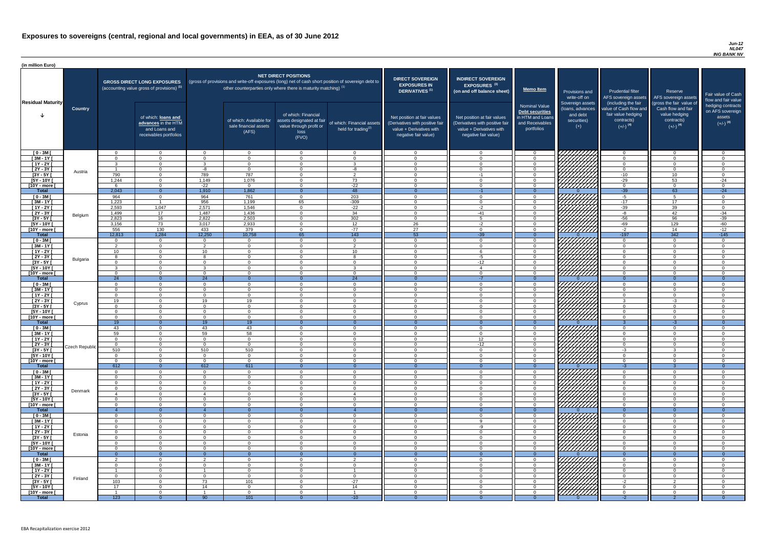#### *Jun-12 NL047 ING BANK NV*

| (in million Euro)             |                 |                      |                                                                                             |                      |                                                                                                                                                                                   |                                                                                              |                                                      |                                                                                                                    |                                                                                                                    |                                                                                                     |                                                                          |                                                                                      |                                                                                  |                                                                           |
|-------------------------------|-----------------|----------------------|---------------------------------------------------------------------------------------------|----------------------|-----------------------------------------------------------------------------------------------------------------------------------------------------------------------------------|----------------------------------------------------------------------------------------------|------------------------------------------------------|--------------------------------------------------------------------------------------------------------------------|--------------------------------------------------------------------------------------------------------------------|-----------------------------------------------------------------------------------------------------|--------------------------------------------------------------------------|--------------------------------------------------------------------------------------|----------------------------------------------------------------------------------|---------------------------------------------------------------------------|
| <b>Residual Maturity</b>      |                 |                      | <b>GROSS DIRECT LONG EXPOSURES</b><br>(accounting value gross of provisions) <sup>(1)</sup> |                      | (gross of provisions and write-off exposures (long) net of cash short position of sovereign debt to<br>other counterparties only where there is maturity matching) <sup>(1)</sup> | <b>NET DIRECT POSITIONS</b>                                                                  |                                                      | <b>DIRECT SOVEREIGN</b><br><b>EXPOSURES IN</b><br><b>DERIVATIVES (1)</b>                                           | <b>INDIRECT SOVEREIGN</b><br><b>EXPOSURES<sup>(3)</sup></b><br>(on and off balance sheet)                          | Memo Item                                                                                           | Provisions and<br>write-off on                                           | <b>Prudential filter</b><br>(including the fair                                      | Reserve<br>AFS sovereign assets AFS sovereign assets<br>(gross the fair value of | Fair value of Cash<br>flow and fair value                                 |
|                               | <b>Country</b>  |                      | of which: loans and<br>advances in the HTM<br>and Loans and<br>receivables portfolios       |                      | of which: Available for<br>sale financial assets<br>(AFS)                                                                                                                         | of which: Financial<br>assets designated at fair<br>value through profit or<br>loss<br>(FVO) | of which: Financial assets<br>held for trading $(2)$ | Net position at fair values<br>(Derivatives with positive fair<br>value + Derivatives with<br>negative fair value) | Net position at fair values<br>(Derivatives with positive fair<br>value + Derivatives with<br>negative fair value) | <b>Nominal Value</b><br><b>Debt securities</b><br>in HTM and Loans<br>and Receivables<br>portfolios | Sovereign assets<br>(loans, advances<br>and debt<br>securities)<br>$(+)$ | value of Cash flow and<br>fair value hedging<br>contracts)<br>$(+/-)$ <sup>(4)</sup> | Cash flow and fair<br>value hedging<br>contracts)<br>$(+/-)$ <sup>(4)</sup>      | hedging contracts<br>on AFS sovereign<br>assets<br>$(+/-)$ <sup>(4)</sup> |
| $[0 - 3M]$                    |                 | $\cap$<br>$\cap$     | $\overline{0}$<br>$\Omega$                                                                  | $\cap$<br>$\Omega$   | $\Omega$<br>$\Omega$                                                                                                                                                              | $\Omega$<br>$\Omega$                                                                         | $\Omega$<br>$\Omega$                                 | . വ<br>$\Omega$                                                                                                    | $\Omega$<br>$\Omega$                                                                                               | റ<br>$\Omega$                                                                                       | 777777777                                                                | - റ<br>റ                                                                             | $\overline{0}$<br>$\overline{0}$                                                 | . വ<br>$\Omega$                                                           |
| $[3M - 1Y]$<br>$[1Y - 2Y]$    |                 | ູ                    | $\Omega$                                                                                    | ્ર                   | $\Omega$                                                                                                                                                                          | $\Omega$                                                                                     | $\mathbf{3}$                                         | $\cap$                                                                                                             | $\Omega$                                                                                                           | $\cap$                                                                                              | УННН                                                                     | $\cap$                                                                               | $\overline{0}$                                                                   | $\Omega$                                                                  |
| $[2Y - 3Y]$                   | Austria         |                      | $\Omega$                                                                                    | -8                   | $\Omega$                                                                                                                                                                          | $\Omega$                                                                                     | -8                                                   | $\cap$                                                                                                             | $\Omega$                                                                                                           | $\Omega$                                                                                            |                                                                          | $\Omega$                                                                             | $\Omega$                                                                         | $\Omega$                                                                  |
| $[3Y - 5Y]$                   |                 | 790                  | $\Omega$                                                                                    | 789                  | 787                                                                                                                                                                               | $\Omega$                                                                                     | $\overline{2}$                                       | $\Omega$                                                                                                           | $-1$                                                                                                               |                                                                                                     | HAAAA<br>HAAAAA                                                          | $-10$                                                                                | 10 <sup>°</sup>                                                                  | $\Omega$                                                                  |
| $[5Y - 10Y]$<br>[10Y - more [ |                 | 1,244                | $\Omega$<br>$\Omega$                                                                        | 1,149<br>$-22$       | 1,076<br>$\Omega$                                                                                                                                                                 | $\Omega$<br>$\Omega$                                                                         | 73<br>$-22$                                          | $\cap$                                                                                                             | $\Omega$<br>$\Omega$                                                                                               |                                                                                                     |                                                                          | $-29$<br>- റ                                                                         | 53<br>$\Omega$                                                                   | $-24$<br>$\Omega$                                                         |
| <b>Total</b>                  |                 | 2,043                | $\Omega$                                                                                    | 1,910                | 1,862                                                                                                                                                                             | $\Omega$                                                                                     | 48                                                   | - റ                                                                                                                | $-1$                                                                                                               | $\Omega$                                                                                            |                                                                          | $-39$                                                                                | 63                                                                               | $-24$                                                                     |
| $[0 - 3M]$                    |                 | 964                  | $\Omega$                                                                                    | 964                  | 761                                                                                                                                                                               | $\Omega$                                                                                     | 203                                                  | $\cap$                                                                                                             | $\Omega$                                                                                                           | $\Omega$                                                                                            | <u>VIIIIIII</u>                                                          | $-5$                                                                                 | -5                                                                               | $\Omega$                                                                  |
| $\sqrt{3M-1Y}$                |                 | 1,223                |                                                                                             | 956                  | 1,199                                                                                                                                                                             | 65                                                                                           | $-309$                                               | $\cap$                                                                                                             | $\Omega$                                                                                                           | $\cap$                                                                                              | ,,,,,,,,,,,,                                                             | $-17$                                                                                | 17                                                                               | $\Omega$                                                                  |
| $[1Y - 2Y]$<br>$[2Y - 3Y]$    |                 | 2,593<br>1,499       | 1,047<br>17                                                                                 | 2,571<br>1,487       | 1,546<br>1,436                                                                                                                                                                    | $\Omega$<br>$\Omega$                                                                         | $-22$<br>34                                          | $\Omega$<br>$\Omega$                                                                                               | $-2$<br>$-41$                                                                                                      | $\cap$<br>$\cap$                                                                                    | 777777777                                                                | $-39$<br>-8                                                                          | 39<br>42                                                                         | $\overline{0}$<br>$-34$                                                   |
| $[3Y - 5Y]$                   | Belgium         | 2,823                | 16                                                                                          | 2,822                | 2,503                                                                                                                                                                             | $\Omega$                                                                                     | 302                                                  | $\cap$                                                                                                             | 5                                                                                                                  | $\Omega$                                                                                            |                                                                          | $-56$                                                                                | 96                                                                               | $-39$                                                                     |
| $[5Y - 10Y]$                  |                 | 3,156                | 73                                                                                          | 3,017                | 2,933                                                                                                                                                                             | $\Omega$                                                                                     | 12                                                   | 26                                                                                                                 | $-2$                                                                                                               | $\Omega$                                                                                            |                                                                          | $-69$                                                                                | 129                                                                              | $-60$                                                                     |
| [10Y - more [                 |                 | 556                  | 130                                                                                         | 433                  | 379                                                                                                                                                                               | $\Omega$                                                                                     | $-77$                                                | 27                                                                                                                 | $\Omega$                                                                                                           | $\overline{0}$                                                                                      |                                                                          | $-2$                                                                                 | 14                                                                               | $-12$                                                                     |
| <b>Total</b><br>$[0 - 3M]$    |                 | 12,813<br>$\Omega$   | 1,284<br>$\overline{0}$                                                                     | 12,250<br>$\Omega$   | 10,758<br>$\overline{0}$                                                                                                                                                          | 65<br>$\Omega$                                                                               | $\overline{143}$<br>$\overline{0}$                   | 53<br>$\Omega$                                                                                                     | $-39$<br>$\Omega$                                                                                                  | $\Omega$<br>$\overline{0}$                                                                          | 7777777777                                                               | $-197$<br>$\overline{0}$                                                             | $\overline{342}$<br>$\overline{0}$                                               | $-145$<br>$\Omega$                                                        |
| $[3M - 1Y]$                   |                 | ົາ                   | $\overline{0}$                                                                              | $\mathcal{D}$        | $\Omega$                                                                                                                                                                          | $\Omega$                                                                                     | $\overline{2}$                                       | $\Omega$                                                                                                           | $\Omega$                                                                                                           | $\Omega$                                                                                            | <u>777777777</u>                                                         | $\Omega$                                                                             | $\Omega$                                                                         | $\Omega$                                                                  |
| $[1Y - 2Y]$                   |                 | 10                   | $\Omega$                                                                                    | 10 <sup>1</sup>      | $\Omega$                                                                                                                                                                          | $\Omega$                                                                                     | 10 <sup>1</sup>                                      | $\Omega$                                                                                                           |                                                                                                                    | $\Omega$                                                                                            |                                                                          | $\Omega$                                                                             | $\Omega$                                                                         | $\Omega$                                                                  |
| $[2Y - 3Y]$                   | <b>Bulgaria</b> |                      | $\overline{0}$                                                                              |                      | $\Omega$                                                                                                                                                                          | $\Omega$                                                                                     | -8                                                   | - 0                                                                                                                | -5                                                                                                                 | $\Omega$                                                                                            | <i>ЧННН</i> А                                                            | $\Omega$                                                                             | $\overline{0}$                                                                   | $\Omega$                                                                  |
| $[3Y - 5Y]$<br>$[5Y - 10Y]$   |                 | ാ                    | $\Omega$                                                                                    | ્વ                   | - 0<br>$\Omega$                                                                                                                                                                   | $\Omega$                                                                                     | $\Omega$<br>3 <sup>5</sup>                           | $\cap$                                                                                                             | -12                                                                                                                | $\cap$                                                                                              | 177777777                                                                | $\Omega$                                                                             | 0<br>$\Omega$                                                                    | $\cap$                                                                    |
| $[10Y - more]$                |                 | <u>__</u>            | $\Omega$                                                                                    | $\Omega$             | $\Omega$                                                                                                                                                                          | $\Omega$                                                                                     | $\overline{0}$                                       | $\cap$                                                                                                             | $\Omega$                                                                                                           | റ                                                                                                   | <u>UMMA</u>                                                              | $\Omega$                                                                             | $\Omega$                                                                         | $\cap$                                                                    |
| <b>Total</b>                  |                 | 24                   | $\Omega$                                                                                    | 24                   |                                                                                                                                                                                   |                                                                                              | 24                                                   |                                                                                                                    |                                                                                                                    |                                                                                                     |                                                                          | $\Omega$                                                                             |                                                                                  |                                                                           |
| $[0 - 3M]$                    |                 | $\cap$<br>$\Omega$   | $\Omega$                                                                                    | $\Omega$             | $\Omega$                                                                                                                                                                          | $\Omega$                                                                                     | $\overline{0}$                                       | $\cap$<br>$\Omega$                                                                                                 | $\Omega$<br>$\Omega$                                                                                               | $\cap$<br>$\Omega$                                                                                  |                                                                          | $\cap$<br>$\Omega$                                                                   | $\overline{0}$                                                                   | $\Omega$<br>$\Omega$                                                      |
| $[3M - 1Y]$<br>$[1Y - 2Y]$    |                 | $\Omega$             | $\overline{0}$<br>$\overline{0}$                                                            | $\Omega$<br>$\Omega$ | $\overline{0}$<br>$\Omega$                                                                                                                                                        | $\Omega$<br>$\Omega$                                                                         | $\overline{0}$<br>$\overline{0}$                     | $\cap$                                                                                                             | $\Omega$                                                                                                           | $\Omega$                                                                                            |                                                                          | $\Omega$                                                                             | $\overline{0}$<br>$\overline{0}$                                                 | $\Omega$                                                                  |
| [2Y - 3Y [                    | Cyprus          | 19                   | $\overline{0}$                                                                              | 19                   | 19                                                                                                                                                                                | $\Omega$                                                                                     | $\overline{0}$                                       | $\Omega$                                                                                                           | $\Omega$                                                                                                           | $\Omega$                                                                                            |                                                                          | -3                                                                                   | $-3$                                                                             | $\Omega$                                                                  |
| $[3Y - 5Y]$                   |                 |                      | $\Omega$                                                                                    | $\Omega$             | $\Omega$                                                                                                                                                                          | $\Omega$                                                                                     | $\Omega$                                             | $\cap$                                                                                                             | $\Omega$                                                                                                           | $\cap$                                                                                              |                                                                          | $\cap$                                                                               | $\Omega$                                                                         | $\cap$                                                                    |
| [5Y - 10Y]<br>[10Y - more [   |                 | $\Omega$<br>$\Omega$ | $\Omega$<br>$\Omega$                                                                        | $\Omega$<br>$\Omega$ | $\Omega$<br>$\Omega$                                                                                                                                                              | $\Omega$<br>$\cap$                                                                           | $\Omega$<br>$\Omega$                                 |                                                                                                                    | $\Omega$<br>$\Omega$                                                                                               | $\cap$<br>$\Omega$                                                                                  | <u>//////////</u>                                                        | $\cap$                                                                               | $\Omega$<br>$\Omega$                                                             |                                                                           |
| <b>Total</b>                  |                 | 19                   | $\Omega$                                                                                    | 19                   | 19                                                                                                                                                                                | $\Omega$                                                                                     | $\Omega$                                             |                                                                                                                    | $\Omega$                                                                                                           | $\Omega$                                                                                            |                                                                          | -3                                                                                   | $-3$                                                                             | $\Omega$                                                                  |
| $[0 - 3M]$                    |                 | 43                   | $\Omega$                                                                                    | 43                   | 43                                                                                                                                                                                | $\Omega$                                                                                     | $\Omega$                                             | $\cap$                                                                                                             | $\Omega$                                                                                                           | $\cap$                                                                                              |                                                                          | $\cap$                                                                               | $\Omega$                                                                         |                                                                           |
| $[3M - 1Y]$                   |                 | 59                   | $\Omega$                                                                                    | 59                   | 58                                                                                                                                                                                | $\Omega$                                                                                     | $\overline{0}$                                       | $\Omega$                                                                                                           | $\Omega$                                                                                                           | $\Omega$                                                                                            |                                                                          | $\Omega$                                                                             | $\overline{0}$                                                                   | $\Omega$                                                                  |
| $[1Y - 2Y]$<br>$[2Y - 3Y]$    |                 | $\Omega$<br>$\Omega$ | $\Omega$<br>$\Omega$                                                                        | $\Omega$<br>$\Omega$ | $\Omega$<br>$\Omega$                                                                                                                                                              | $\Omega$<br>$\Omega$                                                                         | $\Omega$<br>$\Omega$                                 | $\Omega$<br>$\Omega$                                                                                               | 12<br>$-12$                                                                                                        | $\Omega$<br>$\Omega$                                                                                |                                                                          | $\Omega$<br>$\Omega$                                                                 | $\Omega$<br>$\Omega$                                                             | $\Omega$<br>$\Omega$                                                      |
| $[3Y - 5Y]$                   | Czech Republic  | 510                  | $\overline{0}$                                                                              | 510                  | 510                                                                                                                                                                               | $\Omega$                                                                                     | $\Omega$                                             | $\Omega$                                                                                                           | $\Omega$                                                                                                           | $\Omega$                                                                                            |                                                                          | $-3$                                                                                 | $\mathbf{3}$                                                                     | $\Omega$                                                                  |
| $[5Y - 10Y]$                  |                 | $\cap$               | $\Omega$                                                                                    | $\Omega$             | $\overline{0}$                                                                                                                                                                    | $\Omega$                                                                                     | $\overline{0}$                                       | $\Omega$                                                                                                           | $\Omega$                                                                                                           | $\Omega$                                                                                            | 777777777                                                                | $\Omega$                                                                             | $\Omega$                                                                         | $\Omega$                                                                  |
| [10Y - more [<br><b>Total</b> |                 | $\Omega$<br>612      | $\Omega$<br>$\Omega$                                                                        | $\Omega$             | $\Omega$<br>611                                                                                                                                                                   | $\Omega$                                                                                     | $\Omega$<br>$\Omega$                                 | $\Omega$                                                                                                           | $\Omega$                                                                                                           | $\Omega$<br>$\Omega$                                                                                | ,,,,,,,,,,                                                               | $\Omega$<br>$-3$                                                                     | $\Omega$<br>3                                                                    | $\Omega$                                                                  |
| $[0 - 3M]$                    |                 | $\Omega$             | $\overline{0}$                                                                              | 612<br>$\Omega$      | $\Omega$                                                                                                                                                                          | $\Omega$                                                                                     | $\overline{0}$                                       | $\Omega$                                                                                                           | $\Omega$                                                                                                           | $\Omega$                                                                                            | 777777777                                                                | $\Omega$                                                                             | $\overline{0}$                                                                   |                                                                           |
| $1$ 3M - 1Y I                 |                 | - 0                  | $\Omega$                                                                                    | $\Omega$             | $\Omega$                                                                                                                                                                          | $\Omega$                                                                                     | $\overline{0}$                                       | $\Omega$                                                                                                           | ∩                                                                                                                  | $\Omega$                                                                                            |                                                                          | $\Omega$                                                                             | $\Omega$                                                                         |                                                                           |
| $[1Y - 2Y]$                   |                 | $\Omega$             | $\overline{0}$                                                                              | 0                    | $\Omega$                                                                                                                                                                          | $\Omega$                                                                                     | $\overline{0}$                                       |                                                                                                                    |                                                                                                                    | $\Omega$                                                                                            | 777777777                                                                | $\overline{0}$                                                                       | $\overline{0}$                                                                   |                                                                           |
| $[2Y - 3Y]$<br>$[3Y - 5Y]$    | Denmark         | - 0                  | $\Omega$<br>$\Omega$                                                                        | $\Omega$             | <u>_ ೧</u><br>- 0                                                                                                                                                                 | $\Omega$<br>$\Omega$                                                                         | $\Omega$<br>4                                        | $\cap$                                                                                                             |                                                                                                                    | $\Omega$                                                                                            |                                                                          | $\Omega$<br>$\Omega$                                                                 | $\Omega$<br>$\Omega$                                                             |                                                                           |
| [5Y - 10Y]                    |                 | <u>n</u>             | $\Omega$                                                                                    | $\Omega$             | $\Omega$                                                                                                                                                                          | $\Omega$                                                                                     | $\overline{0}$                                       | $\Omega$                                                                                                           | $\Omega$                                                                                                           | $\Omega$                                                                                            | 7777777777                                                               | - 0                                                                                  | $\overline{0}$                                                                   | $\Omega$                                                                  |
| [10Y - more [                 |                 | . വ                  | $\Omega$                                                                                    | $\cap$               | $\Omega$                                                                                                                                                                          | $\Omega$                                                                                     | $\Omega$                                             | $\cap$                                                                                                             | $\Omega$                                                                                                           | റ                                                                                                   | ////////////                                                             | $\overline{0}$                                                                       | $\Omega$                                                                         | $\Omega$                                                                  |
| <b>Total</b>                  |                 |                      | $\Omega$                                                                                    |                      | - 0                                                                                                                                                                               |                                                                                              |                                                      |                                                                                                                    |                                                                                                                    | $\Omega$                                                                                            |                                                                          | $\Omega$                                                                             | $\Omega$                                                                         |                                                                           |
| $[0 - 3M]$<br>$[3M - 1Y]$     |                 | . വ<br>$\Omega$      | $\overline{0}$<br>$\overline{0}$                                                            | $\Omega$<br>$\Omega$ | $\Omega$<br>$\Omega$                                                                                                                                                              | $\Omega$<br>$\Omega$                                                                         | $\overline{0}$<br>$\overline{0}$                     | $\Omega$<br>$\Omega$                                                                                               | $\Omega$<br><b>Q</b>                                                                                               | $\Omega$<br>$\Omega$                                                                                |                                                                          | $\overline{0}$<br>$\overline{0}$                                                     | $\overline{0}$<br>$\overline{0}$                                                 | $\Omega$<br>$\Omega$                                                      |
| $[1Y - 2Y]$                   |                 | $\Omega$             | $\Omega$                                                                                    | $\Omega$             | $\Omega$                                                                                                                                                                          | $\Omega$                                                                                     | $\Omega$                                             | $\Omega$                                                                                                           | -9                                                                                                                 | $\Omega$                                                                                            | 777777777                                                                | $\Omega$                                                                             | $\overline{0}$                                                                   | $\Omega$                                                                  |
| $[2Y - 3Y]$                   | Estonia         | $\Omega$             | $\overline{0}$                                                                              | $\Omega$             | $\Omega$                                                                                                                                                                          | $\Omega$                                                                                     | $\overline{0}$                                       | $\Omega$                                                                                                           | $\Omega$                                                                                                           | $\Omega$                                                                                            |                                                                          | $\Omega$                                                                             | $\overline{0}$                                                                   | $\Omega$                                                                  |
| $[3Y - 5Y]$                   |                 | $\Omega$             | $\Omega$                                                                                    | $\Omega$             | - 0                                                                                                                                                                               | $\Omega$                                                                                     | $\Omega$                                             | $\Omega$                                                                                                           | $\Omega$                                                                                                           | $\Omega$                                                                                            |                                                                          | $\Omega$                                                                             | $\Omega$                                                                         | $\Omega$                                                                  |
| $[5Y - 10Y]$<br>[10Y - more [ |                 | $\Omega$<br>$\Omega$ | $\Omega$<br>$\Omega$                                                                        | $\Omega$<br>$\Omega$ | $\Omega$<br>$\Omega$                                                                                                                                                              | $\Omega$<br>$\Omega$                                                                         | $\Omega$<br>$\Omega$                                 | $\cap$<br>$\cap$                                                                                                   | $\Omega$<br>$\Omega$                                                                                               | $\Omega$<br>$\Omega$                                                                                |                                                                          | $\cap$<br>$\Omega$                                                                   | $\Omega$<br>$\Omega$                                                             | $\Omega$<br>$\Omega$                                                      |
| <b>Total</b>                  |                 |                      | $\Omega$                                                                                    |                      |                                                                                                                                                                                   |                                                                                              | $\Omega$                                             |                                                                                                                    |                                                                                                                    |                                                                                                     | <u>////////</u>                                                          |                                                                                      | $\overline{0}$                                                                   |                                                                           |
| $[0 - 3M]$                    |                 |                      | $\Omega$                                                                                    |                      | $\Omega$                                                                                                                                                                          |                                                                                              | $\mathcal{L}$                                        |                                                                                                                    |                                                                                                                    |                                                                                                     | VIIIIII                                                                  |                                                                                      | $\Omega$                                                                         |                                                                           |
| $[3M - 1Y]$                   |                 | $\Omega$             | $\Omega$                                                                                    | $\Omega$             | $\Omega$                                                                                                                                                                          | $\Omega$                                                                                     | $\overline{0}$                                       | $\Omega$                                                                                                           | $\Omega$                                                                                                           |                                                                                                     | $\left \frac{\mathcal{L}}{\mathcal{L}}\right $                           | $\Omega$                                                                             | $\overline{0}$                                                                   |                                                                           |
| $[1Y - 2Y]$<br>$[2Y - 3Y]$    |                 | - 0                  | $\overline{0}$<br>$\overline{0}$                                                            | $\Omega$             | $\Omega$<br>$\overline{0}$                                                                                                                                                        | $\overline{0}$<br>$\overline{0}$                                                             | $\overline{1}$<br>$\overline{0}$                     | $\Omega$<br>$\Omega$                                                                                               | $\Omega$<br>$\Omega$                                                                                               | $\Omega$<br>$\Omega$                                                                                |                                                                          | $\Omega$<br>$\Omega$                                                                 | $\overline{0}$<br>$\overline{0}$                                                 | $\overline{0}$<br>$\Omega$                                                |
| $[3Y - 5Y]$                   | Finland         | 103                  | $\overline{0}$                                                                              | 73                   | 101                                                                                                                                                                               | $\overline{0}$                                                                               | $-27$                                                | $\Omega$                                                                                                           | $\Omega$                                                                                                           | $\overline{0}$                                                                                      |                                                                          | $-2$                                                                                 | $\overline{2}$                                                                   | $\overline{0}$                                                            |
| [5Y - 10Y [                   |                 | 17                   | $\overline{0}$                                                                              | 14                   | $\overline{0}$                                                                                                                                                                    | $\overline{0}$                                                                               | 14                                                   | $\Omega$                                                                                                           | $\Omega$                                                                                                           | $\Omega$                                                                                            | HHHA.                                                                    | $\Omega$                                                                             | $\overline{0}$                                                                   | $\Omega$                                                                  |
| [10Y - more [                 |                 |                      | $\overline{0}$                                                                              |                      | $\overline{0}$                                                                                                                                                                    | $\Omega$                                                                                     |                                                      | $\Omega$                                                                                                           | $\Omega$                                                                                                           | $\Omega$                                                                                            |                                                                          | $\Omega$                                                                             | $\Omega$                                                                         | $\Omega$                                                                  |
| <b>Total</b>                  |                 | 123                  | $\overline{0}$                                                                              | 90                   | 101                                                                                                                                                                               | $\overline{0}$                                                                               | $-10$                                                |                                                                                                                    | $\overline{0}$                                                                                                     | $\Omega$                                                                                            |                                                                          | $-2$                                                                                 | $\overline{2}$                                                                   | $\overline{0}$                                                            |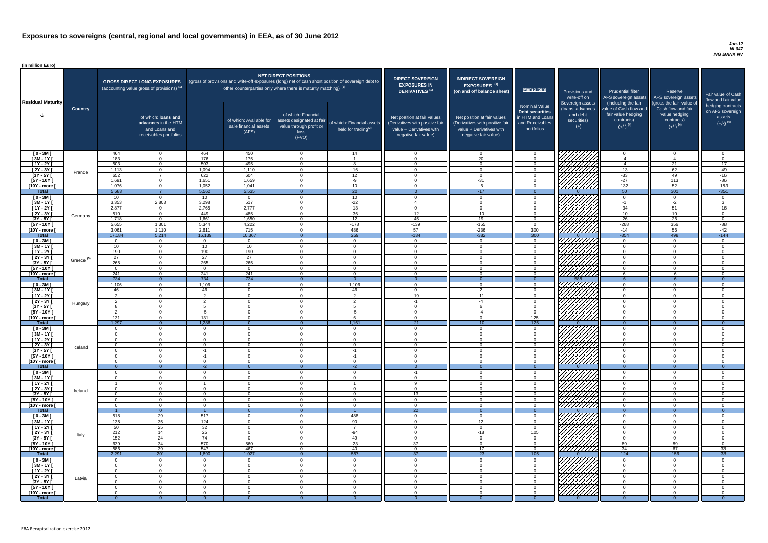#### *Jun-12 NL047 ING BANK NV*

| (in million Euro)                |                       |                 |                                                                                             |                          |                                                                            |                                                                                              |                                                                                                     |                                                                                                                    |                                                                                                                    |                                                                                              |                                                                                                                |                                                                                      |                                                                                  |                                                                           |
|----------------------------------|-----------------------|-----------------|---------------------------------------------------------------------------------------------|--------------------------|----------------------------------------------------------------------------|----------------------------------------------------------------------------------------------|-----------------------------------------------------------------------------------------------------|--------------------------------------------------------------------------------------------------------------------|--------------------------------------------------------------------------------------------------------------------|----------------------------------------------------------------------------------------------|----------------------------------------------------------------------------------------------------------------|--------------------------------------------------------------------------------------|----------------------------------------------------------------------------------|---------------------------------------------------------------------------|
| <b>Residual Maturity</b>         |                       |                 | <b>GROSS DIRECT LONG EXPOSURES</b><br>(accounting value gross of provisions) <sup>(1)</sup> |                          | other counterparties only where there is maturity matching) <sup>(1)</sup> | <b>NET DIRECT POSITIONS</b>                                                                  | (gross of provisions and write-off exposures (long) net of cash short position of sovereign debt to | <b>DIRECT SOVEREIGN</b><br><b>EXPOSURES IN</b><br>DERIVATIVES <sup>(1)</sup>                                       | <b>INDIRECT SOVEREIGN</b><br><b>EXPOSURES<sup>(3)</sup></b><br>(on and off balance sheet)                          | Memo Item                                                                                    | Provisions and<br>write-off on                                                                                 | <b>Prudential filter</b><br>(including the fair                                      | Reserve<br>AFS sovereign assets AFS sovereign assets<br>(gross the fair value of | Fair value of Cash<br>flow and fair value                                 |
|                                  | <b>Country</b>        |                 | of which: loans and<br>advances in the HTM<br>and Loans and<br>receivables portfolios       |                          | of which: Available for<br>sale financial assets<br>(AFS)                  | of which: Financial<br>assets designated at fair<br>value through profit or<br>loss<br>(FVO) | of which: Financial assets<br>held for trading <sup>(2)</sup>                                       | Net position at fair values<br>(Derivatives with positive fair<br>value + Derivatives with<br>negative fair value) | Net position at fair values<br>(Derivatives with positive fair<br>value + Derivatives with<br>negative fair value) | <b>Nominal Value</b><br>Debt securities<br>in HTM and Loans<br>and Receivables<br>portfolios | Sovereign assets<br>(loans, advances<br>and debt<br>securities)<br>$(+)$                                       | value of Cash flow and<br>fair value hedging<br>contracts)<br>$(+/-)$ <sup>(4)</sup> | Cash flow and fair<br>value hedging<br>contracts)<br>$(+/-)$ <sup>(4)</sup>      | hedging contracts<br>on AFS sovereign<br>assets<br>$(+/-)$ <sup>(4)</sup> |
| $[0 - 3M]$                       |                       | 464             | $\overline{0}$                                                                              | 464                      | 450                                                                        | $\overline{0}$                                                                               | 14                                                                                                  | - 0                                                                                                                | റ                                                                                                                  | $\Omega$                                                                                     |                                                                                                                | $\overline{0}$                                                                       | $\overline{0}$                                                                   | റ                                                                         |
| $[3M - 1Y]$<br>$[1Y - 2Y]$       |                       | 183<br>503      | $\Omega$<br>$\Omega$                                                                        | 176<br>503               | 175<br>495                                                                 | $\Omega$<br>$\Omega$                                                                         | 8                                                                                                   | - 0<br>- 0                                                                                                         | 20<br>$\Omega$                                                                                                     | $\Omega$<br>$\Omega$                                                                         |                                                                                                                | $-4$<br>$-4$                                                                         | $\Lambda$<br>21                                                                  | $\Omega$<br>$-17$                                                         |
| $[2Y - 3Y]$                      |                       | 1,113           | $\overline{0}$                                                                              | 1,094                    | 1,110                                                                      | $\Omega$                                                                                     | $-16$                                                                                               | $\overline{0}$                                                                                                     | $\Omega$                                                                                                           | $\Omega$                                                                                     |                                                                                                                | $-13$                                                                                | 62                                                                               | $-49$                                                                     |
| $[3Y - 5Y]$                      | France                | 652             | $\overline{7}$                                                                              | 622                      | 604                                                                        | $\Omega$                                                                                     | 12                                                                                                  | $\Omega$                                                                                                           | $\cap$                                                                                                             | $\Omega$                                                                                     |                                                                                                                | $-33$                                                                                | 49                                                                               | $-16$                                                                     |
| $[5Y - 10Y]$                     |                       | 1,691           | $\Omega$                                                                                    | 1,651                    | 1,659                                                                      | $\Omega$                                                                                     | -9                                                                                                  | $\cap$                                                                                                             | $-31$                                                                                                              | $\Omega$                                                                                     |                                                                                                                | $-27$                                                                                | 113                                                                              | $-86$                                                                     |
| [10Y - more [<br><b>Total</b>    |                       | 1,076<br>5,683  | $\Omega$                                                                                    | 1,052                    | 1,041<br>5,535                                                             | $\cap$                                                                                       | 10 <sup>1</sup><br>$\overline{20}$                                                                  | $\cap$                                                                                                             | -6                                                                                                                 | $\Omega$                                                                                     | <u>VIIIIIII</u> II                                                                                             | $\overline{132}$<br>50                                                               | 52                                                                               | $-183$<br>$-351$                                                          |
| $[0 - 3M]$                       |                       | 10 <sup>1</sup> | $\Omega$                                                                                    | 5,562<br>10 <sup>1</sup> | $\overline{0}$                                                             | $\cap$                                                                                       | 10 <sup>1</sup>                                                                                     | - ೧<br>$\cap$                                                                                                      | $-17$<br>$\Omega$                                                                                                  | $\Omega$<br>$\Omega$                                                                         |                                                                                                                | $\Omega$                                                                             | 301<br>$\Omega$                                                                  | $\cap$                                                                    |
| $[3M - 1Y]$                      |                       | 3,353           | 2,803                                                                                       | 3,298                    | 517                                                                        | $\Omega$                                                                                     | $-22$                                                                                               | $\overline{4}$                                                                                                     | $\cap$                                                                                                             | $\Omega$                                                                                     |                                                                                                                | $-1$                                                                                 | $-2$                                                                             | 3 <sup>5</sup>                                                            |
| $[1Y - 2Y]$                      |                       | 2,877           | $\overline{0}$                                                                              | 2,765                    | 2,777                                                                      | $\Omega$                                                                                     | $-13$                                                                                               | $\sqrt{ }$                                                                                                         | $\sqrt{ }$                                                                                                         | $\Omega$                                                                                     |                                                                                                                | $-34$                                                                                | 51                                                                               | $-16$                                                                     |
| $[2Y - 3Y]$                      | Germany               | 510             | $\overline{0}$                                                                              | 449                      | 485                                                                        | $\Omega$                                                                                     | $-36$                                                                                               | $-12$                                                                                                              | $-10$                                                                                                              | $\Omega$                                                                                     |                                                                                                                | $-10$<br>$-26$                                                                       | 10 <sup>1</sup>                                                                  | $\Omega$<br>$\cap$                                                        |
| $[3Y - 5Y]$<br>$[5Y - 10Y]$      |                       | 1,718<br>5,655  | $\overline{0}$<br>1,301                                                                     | 1,661<br>5,344           | 1,650<br>4,222                                                             | $\Omega$<br>$\Omega$                                                                         | 12<br>$-178$                                                                                        | $-45$<br>$-139$                                                                                                    | 19<br>$-155$                                                                                                       | $\Omega$<br>$\Omega$                                                                         |                                                                                                                | $-268$                                                                               | 26<br>356                                                                        | $-88$                                                                     |
| [10Y - more [                    |                       | 3,061           | 1,110                                                                                       | 2,611                    | 715                                                                        | $\Omega$                                                                                     | 486                                                                                                 | 57                                                                                                                 | $-236$                                                                                                             | 300                                                                                          | 7777777777                                                                                                     | $-14$                                                                                | 56                                                                               | $-42$                                                                     |
| <b>Total</b>                     |                       | 17,184          | 5,214                                                                                       | 16,139                   | 10,367                                                                     | 0                                                                                            | 259                                                                                                 | $-134$                                                                                                             | $-382$                                                                                                             | 300                                                                                          |                                                                                                                | $-354$                                                                               | 498                                                                              | $-144$                                                                    |
| $[0 - 3M]$                       |                       |                 | $\overline{0}$                                                                              |                          | $\Omega$                                                                   | $\Omega$                                                                                     | $\overline{0}$                                                                                      | $\cap$                                                                                                             |                                                                                                                    | $\Omega$                                                                                     |                                                                                                                | $\Omega$                                                                             | $\Omega$                                                                         | $\cap$                                                                    |
| $[3M - 1Y]$<br>$[1Y - 2Y]$       |                       | 10<br>190       | $\overline{0}$<br>$\Omega$                                                                  | 10<br>190                | 10<br>190                                                                  | $\Omega$<br>$\Omega$                                                                         | $\Omega$<br>$\Omega$                                                                                | $\cap$<br>$\cap$                                                                                                   |                                                                                                                    | $\Omega$<br>$\Omega$                                                                         |                                                                                                                | $\Omega$<br>$\overline{0}$                                                           | $\Omega$<br>$\Omega$                                                             | $\cap$<br>$\cap$                                                          |
| $[2Y - 3Y]$                      |                       | 27              | $\Omega$                                                                                    | 27                       | $\overline{27}$                                                            | $\Omega$                                                                                     | $\Omega$                                                                                            | $\cap$                                                                                                             | $\cap$                                                                                                             | $\Omega$                                                                                     | <i>ЧНННА</i>                                                                                                   | $\overline{0}$                                                                       | $\Omega$                                                                         | $\cap$                                                                    |
| [3Y - 5Y                         | Greece <sup>(5)</sup> | 265             |                                                                                             | 265                      | 265                                                                        |                                                                                              |                                                                                                     |                                                                                                                    |                                                                                                                    |                                                                                              |                                                                                                                |                                                                                      |                                                                                  |                                                                           |
| $[5Y - 10Y]$                     |                       | $\sqrt{ }$      | $\Omega$                                                                                    | $\Omega$                 | $\overline{0}$                                                             | $\Omega$                                                                                     | $\Omega$                                                                                            | - വ                                                                                                                |                                                                                                                    | $\Omega$                                                                                     | HHHH                                                                                                           | $\overline{0}$                                                                       | $\Omega$                                                                         |                                                                           |
| [10Y - more ]<br><b>Total</b>    |                       | 241<br>734      | $\Omega$<br>$\overline{0}$                                                                  | 241<br>734               | 241<br>734                                                                 | $\Omega$                                                                                     | $\Omega$<br>$\Omega$                                                                                | $\cap$<br>$\Omega$                                                                                                 | $\cap$                                                                                                             | $\Omega$<br>$\Omega$                                                                         | /////////////<br>588                                                                                           | -6                                                                                   | -6<br>$-6$                                                                       | $\Omega$                                                                  |
| $[0 - 3M]$                       |                       | 1,106           | $\overline{0}$                                                                              | 1,106                    | $\overline{0}$                                                             | $\Omega$                                                                                     | 1,106                                                                                               | - റ                                                                                                                | $\cap$                                                                                                             | $\overline{0}$                                                                               |                                                                                                                | $\Omega$                                                                             | $\mathbf{0}$                                                                     |                                                                           |
| $[3M - 1Y]$                      |                       | 46              | $\Omega$                                                                                    | 46                       | $\overline{0}$                                                             | $\Omega$                                                                                     | 46                                                                                                  | - 0                                                                                                                | $\overline{2}$                                                                                                     | $\Omega$                                                                                     | 777777777                                                                                                      | $\Omega$                                                                             | $\Omega$                                                                         |                                                                           |
| $[1Y - 2Y]$                      |                       | 2               | $\overline{0}$                                                                              | 2                        | $\Omega$                                                                   | $\Omega$                                                                                     | $\overline{2}$                                                                                      | $-19$                                                                                                              | $-11$                                                                                                              | $\Omega$                                                                                     |                                                                                                                | $\overline{0}$                                                                       | $\mathbf 0$                                                                      |                                                                           |
| $[2Y - 3Y]$<br>$[3Y - 5Y]$       | Hungary               |                 | $\Omega$<br>$\Omega$                                                                        | $\mathcal{P}$            | $\Omega$<br>$\Omega$                                                       | $\Omega$<br>$\Omega$                                                                         | $\overline{2}$<br>-5                                                                                | $-1$<br>$\cap$                                                                                                     | $-4$                                                                                                               | $\Omega$<br>$\Omega$                                                                         |                                                                                                                | $\Omega$<br>$\Omega$                                                                 | $\Omega$<br>$\Omega$                                                             | $\cap$                                                                    |
| $[5Y - 10Y]$                     |                       | - 2             | $\overline{0}$                                                                              | -5                       | $\Omega$                                                                   | $\Omega$                                                                                     | -5                                                                                                  | $\overline{0}$                                                                                                     | -4                                                                                                                 | $\overline{0}$                                                                               |                                                                                                                | $\overline{0}$                                                                       | $\Omega$                                                                         | $\Omega$                                                                  |
| [10Y - more [                    |                       | 131             | $\Omega$                                                                                    | 131                      | $\Omega$                                                                   | $\Omega$                                                                                     | -6                                                                                                  | $\cap$                                                                                                             | $\cap$                                                                                                             | 125                                                                                          | Millin                                                                                                         | $\overline{0}$                                                                       | $\Omega$                                                                         | റ                                                                         |
| <b>Total</b>                     |                       | 1,297           | $\Omega$                                                                                    | 1,286                    | - വ                                                                        |                                                                                              | 1,161                                                                                               | $-21$                                                                                                              | $-10$                                                                                                              | 125                                                                                          |                                                                                                                | $\Omega$                                                                             | $\Omega$                                                                         |                                                                           |
| $[0 - 3M]$<br>$[3M - 1Y]$        |                       | റ<br>$\cap$     | $\overline{0}$<br>$\overline{0}$                                                            | $\Omega$<br>$\Omega$     | $\Omega$<br>$\Omega$                                                       | $\Omega$<br>$\Omega$                                                                         | $\overline{0}$<br>$\overline{0}$                                                                    | - 0<br>$\cap$                                                                                                      | $\Omega$<br>$\Omega$                                                                                               | $\overline{0}$<br>$\overline{0}$                                                             |                                                                                                                | $\overline{0}$<br>$\overline{0}$                                                     | $\Omega$<br>$\Omega$                                                             | $\Omega$<br>$\Omega$                                                      |
| $[1Y - 2Y]$                      |                       | $\cap$          | $\Omega$                                                                                    | $\cap$                   | $\Omega$                                                                   | $\Omega$                                                                                     | $\overline{0}$                                                                                      | $\cap$                                                                                                             | $\Omega$                                                                                                           | $\Omega$                                                                                     |                                                                                                                | $\overline{0}$                                                                       | $\Omega$                                                                         | $\cap$                                                                    |
| $[2Y - 3Y]$                      | Iceland               |                 | $\overline{0}$                                                                              | $\Omega$                 | $\overline{0}$                                                             | $\Omega$                                                                                     | $\overline{0}$                                                                                      | - 0                                                                                                                | $\Omega$                                                                                                           | $\overline{0}$                                                                               |                                                                                                                | $\overline{0}$                                                                       | $\Omega$                                                                         | $\Omega$                                                                  |
| $[3Y - 5Y]$                      |                       |                 | $\Omega$                                                                                    | $-1$                     | $\Omega$                                                                   | $\Omega$                                                                                     | $-1$                                                                                                | $\cap$<br>$\cap$                                                                                                   |                                                                                                                    | $\Omega$                                                                                     |                                                                                                                | $\Omega$<br>$\Omega$                                                                 | $\Omega$                                                                         | $\cap$                                                                    |
| $[5Y - 10Y]$<br>[10Y - more [    |                       |                 | $\Omega$<br>$\Omega$                                                                        | $-1$<br>$\Omega$         | $\Omega$<br>$\Omega$                                                       | $\Omega$<br>$\Omega$                                                                         | $-1$<br>$\Omega$                                                                                    | $\cap$                                                                                                             |                                                                                                                    | $\Omega$<br>$\Omega$                                                                         | ///////////                                                                                                    | $\Omega$                                                                             | $\Omega$<br>$\Omega$                                                             | $\cap$                                                                    |
| <b>Total</b>                     |                       |                 | $\Omega$                                                                                    | $-2$                     | - 0                                                                        |                                                                                              | $-2$                                                                                                | $\Omega$                                                                                                           |                                                                                                                    | $\Omega$                                                                                     |                                                                                                                | $\Omega$                                                                             | $\Omega$                                                                         | $\Omega$                                                                  |
| $[0 - 3M]$                       |                       |                 | $\Omega$                                                                                    |                          | $\Omega$                                                                   | $\Omega$                                                                                     | $\Omega$                                                                                            | - 1                                                                                                                |                                                                                                                    | $\cap$                                                                                       |                                                                                                                | $\Omega$                                                                             | $\Omega$                                                                         |                                                                           |
| $[3M - 1Y]$                      |                       |                 | $\Omega$<br>$\Omega$                                                                        | $\cap$                   | $\Omega$<br>$\Omega$                                                       | $\Omega$<br>$\Omega$                                                                         | $\Omega$                                                                                            | $\cap$<br>$\Omega$                                                                                                 |                                                                                                                    | $\Omega$<br>$\Omega$                                                                         |                                                                                                                | $\Omega$<br>$\Omega$                                                                 | $\Omega$<br>$\Omega$                                                             | $\Omega$<br>$\Omega$                                                      |
| $[1Y - 2Y]$<br>$[2Y - 3Y]$       |                       | $\cap$          | $\overline{0}$                                                                              | $\cap$                   | $\Omega$                                                                   | $\Omega$                                                                                     | $\Omega$                                                                                            | $\cap$                                                                                                             |                                                                                                                    | $\Omega$                                                                                     |                                                                                                                | $\Omega$                                                                             | $\Omega$                                                                         | $\Omega$                                                                  |
| $[3Y - 5Y]$                      | Ireland               |                 | $\overline{0}$                                                                              | $\Omega$                 | $\Omega$                                                                   | $\Omega$                                                                                     | $\Omega$                                                                                            | 13                                                                                                                 | $\Omega$                                                                                                           | $\Omega$                                                                                     |                                                                                                                | $\Omega$                                                                             | $\mathbf{0}$                                                                     | $\Omega$                                                                  |
| $[5Y - 10Y]$                     |                       | $\cap$          | $\Omega$                                                                                    | $\cap$                   | $\Omega$                                                                   | $\Omega$                                                                                     | $\Omega$                                                                                            | $\cap$                                                                                                             | $\Omega$                                                                                                           | $\Omega$                                                                                     | 777777777                                                                                                      | $\Omega$                                                                             | $\Omega$                                                                         | $\Omega$                                                                  |
| [10Y - more ]<br><b>Total</b>    |                       | $\cap$          | $\Omega$<br>$\Omega$                                                                        | $\Omega$                 | $\Omega$<br>$\Omega$                                                       | $\Omega$                                                                                     | $\Omega$                                                                                            | $\Omega$<br>22                                                                                                     | $\Omega$                                                                                                           | $\Omega$<br>$\Omega$                                                                         | <u>77777777</u>                                                                                                | $\overline{0}$<br>$\Omega$                                                           | $\Omega$<br>$\Omega$                                                             | $\Omega$<br>$\Omega$                                                      |
| $[0 - 3M]$                       |                       | 518             | 29                                                                                          | 517                      | $\Omega$                                                                   | $\Omega$                                                                                     | 488                                                                                                 | റ                                                                                                                  | $\cap$                                                                                                             | $\Omega$                                                                                     | 7777777777                                                                                                     | $\Omega$                                                                             | $\Omega$                                                                         |                                                                           |
| $[3M - 1Y]$                      |                       | 135             | 35                                                                                          | 124                      | $\Omega$                                                                   | $\Omega$                                                                                     | 90                                                                                                  | $\cap$                                                                                                             | 12                                                                                                                 | $\Omega$                                                                                     |                                                                                                                | $\Omega$                                                                             | $\Omega$                                                                         |                                                                           |
| $[1Y - 2Y]$                      |                       | 50              | 25                                                                                          | 32                       | $\Omega$                                                                   | $\Omega$                                                                                     | $\overline{7}$                                                                                      | - 0                                                                                                                |                                                                                                                    | $\Omega$                                                                                     |                                                                                                                | $\overline{0}$                                                                       | $\mathbf 0$                                                                      |                                                                           |
| $\boxed{2Y - 3Y}$<br>$[3Y - 5Y]$ | Italy                 | 212<br>152      | 14<br>24                                                                                    | 25<br>74                 | $\Omega$<br>$\Omega$                                                       | $\Omega$<br>$\Omega$                                                                         | $-94$<br>49                                                                                         | - 0<br>$\cap$                                                                                                      | $-18$<br>$\Omega$                                                                                                  | 105<br>$\Omega$                                                                              | 777777777                                                                                                      | $\Omega$<br>$\Omega$                                                                 | $\Omega$<br>$\Omega$                                                             | $\cap$                                                                    |
| $[5Y - 10Y]$                     |                       | 639             | 34                                                                                          | 570                      | 560                                                                        | $\Omega$                                                                                     | $-23$                                                                                               | 37                                                                                                                 | $\Omega$                                                                                                           | $\Omega$                                                                                     |                                                                                                                | 89                                                                                   | $-89$                                                                            | $\Omega$                                                                  |
| [10Y - more [                    |                       | 586             | 39                                                                                          | 547                      | 467                                                                        | $\Omega$                                                                                     | 40                                                                                                  | റ                                                                                                                  | $-17$                                                                                                              | $\Omega$                                                                                     | 777777777                                                                                                      | 34                                                                                   | $-67$                                                                            | 33                                                                        |
| <b>Total</b>                     |                       | 2,291           | 201                                                                                         | 1,890                    | 1,027                                                                      |                                                                                              | 557                                                                                                 | 37                                                                                                                 | $-23$                                                                                                              | 105                                                                                          |                                                                                                                | 124                                                                                  | $-156$                                                                           | 33                                                                        |
| $[0 - 3M]$                       |                       | റ               | $\Omega$                                                                                    | $\Omega$<br>$\Omega$     | $\Omega$                                                                   | $\cap$                                                                                       | $\Omega$                                                                                            | റ<br>$\Omega$                                                                                                      | $\cap$<br>$\Omega$                                                                                                 | $\Omega$                                                                                     | VIIIIIIII                                                                                                      | $\Omega$                                                                             | $\Omega$                                                                         | $\Omega$                                                                  |
| $[3M - 1Y]$<br>$[1Y - 2Y]$       |                       | $\Omega$        | $\Omega$<br>$\overline{0}$                                                                  | $\Omega$                 | $\overline{0}$<br>$\Omega$                                                 | $\Omega$<br>$\overline{0}$                                                                   | $\overline{0}$<br>$\overline{0}$                                                                    | $\Omega$                                                                                                           | $\Omega$                                                                                                           | $\Omega$<br>$\overline{0}$                                                                   | WATA KATARA KATA DA MARAKAT DA MARAKAT DA MARAKAT DA MARAKAT DA MARAKAT DA MARAKAT DA MARAKAT DA MARAKAT DA MA | $\overline{0}$<br>$\overline{0}$                                                     | - 0<br>$\overline{0}$                                                            | $\cap$                                                                    |
| $[2Y - 3Y]$                      | Latvia                | $\Omega$        | $\overline{0}$                                                                              | $\overline{0}$           | $\overline{0}$                                                             | $\overline{0}$                                                                               | $\overline{0}$                                                                                      | $\overline{0}$                                                                                                     | $\Omega$                                                                                                           | $\overline{0}$                                                                               |                                                                                                                | $\overline{0}$                                                                       | $\overline{0}$                                                                   | $\Omega$                                                                  |
| $[3Y - 5Y]$                      |                       |                 | $\overline{0}$                                                                              | $\Omega$                 | $\overline{0}$                                                             | $\overline{0}$                                                                               | $\overline{0}$                                                                                      | - 0                                                                                                                | റ                                                                                                                  | $\overline{0}$                                                                               |                                                                                                                | $\overline{0}$                                                                       | $\Omega$                                                                         | $\Omega$                                                                  |
| $[5Y - 10Y]$<br>[10Y - more [    |                       |                 | $\Omega$<br>$\Omega$                                                                        | $\cap$<br>$\Omega$       | $\Omega$<br>$\Omega$                                                       | $\Omega$<br>$\Omega$                                                                         | $\overline{0}$<br>$\Omega$                                                                          | - വ<br>$\cap$                                                                                                      | ∩                                                                                                                  | $\Omega$<br>$\Omega$                                                                         | 777777777                                                                                                      | $\Omega$<br>$\Omega$                                                                 | $\Omega$<br>$\Omega$                                                             | $\cap$<br>$\Omega$                                                        |
| <b>Total</b>                     |                       |                 | $\Omega$                                                                                    |                          |                                                                            | $\Omega$                                                                                     | $\Omega$                                                                                            |                                                                                                                    |                                                                                                                    |                                                                                              |                                                                                                                |                                                                                      |                                                                                  | $\Omega$                                                                  |
|                                  |                       |                 |                                                                                             |                          |                                                                            |                                                                                              |                                                                                                     |                                                                                                                    |                                                                                                                    |                                                                                              |                                                                                                                |                                                                                      |                                                                                  |                                                                           |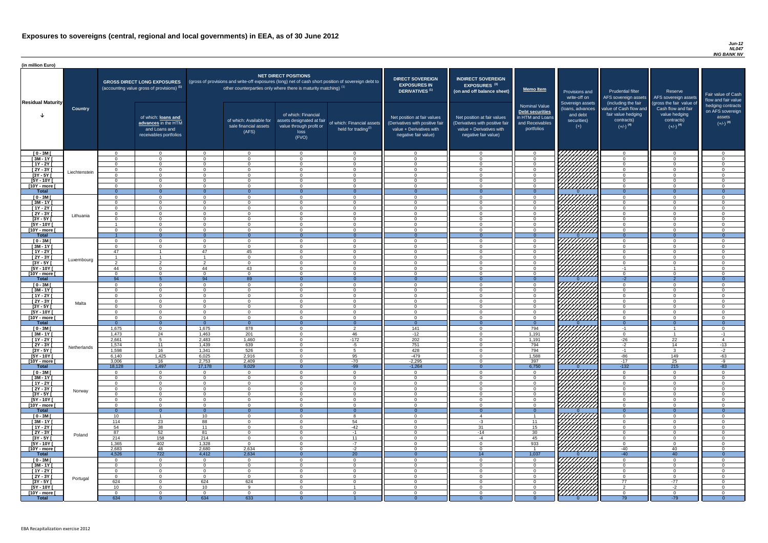#### *Jun-12 NL047 ING BANK NV*

| <b>DIRECT SOVEREIGN</b><br><b>EXPOSURES IN</b><br><b>DERIVATIVES<sup>(1)</sup></b><br>Net position at fair values<br>(Derivatives with positive fair<br>value + Derivatives with<br>negative fair value) | <b>INDIRECT SOVEREIGN</b><br>EXPOSURES <sup>(3)</sup><br>(on and off balance sheet)<br>Net position at fair values<br>(Derivatives with positive fair<br>value + Derivatives with<br>negative fair value) | <b>Memo Item</b><br><b>Nominal Value</b><br>Debt securities<br>in HTM and Loans<br>and Receivables<br>portfolios | Provisions and<br>write-off on<br>Sovereign assets<br>(loans, advances<br>and debt<br>securities)<br>$^{(+)}$ | <b>Prudential filter</b><br>AFS sovereign assets<br>(including the fair<br>value of Cash flow and<br>fair value hedging<br>contracts)<br>$(+/-)$ <sup>(4)</sup> | Reserve<br>AFS sovereign assets<br>(gross the fair value of<br>Cash flow and fair<br>value hedging<br>contracts)<br>$(+/-)$ <sup>(4)</sup> | Fair value of Cash<br>flow and fair value<br>hedging contracts<br>on AFS sovereign<br>assets<br>$(+/-)$ <sup>(4)</sup> |
|----------------------------------------------------------------------------------------------------------------------------------------------------------------------------------------------------------|-----------------------------------------------------------------------------------------------------------------------------------------------------------------------------------------------------------|------------------------------------------------------------------------------------------------------------------|---------------------------------------------------------------------------------------------------------------|-----------------------------------------------------------------------------------------------------------------------------------------------------------------|--------------------------------------------------------------------------------------------------------------------------------------------|------------------------------------------------------------------------------------------------------------------------|
| 0                                                                                                                                                                                                        | 0                                                                                                                                                                                                         | 0                                                                                                                |                                                                                                               | $\mathbf 0$                                                                                                                                                     | 0                                                                                                                                          | 0                                                                                                                      |
| $\mathbf 0$                                                                                                                                                                                              | $\mathbf 0$                                                                                                                                                                                               | $\mathbf 0$                                                                                                      |                                                                                                               | $\mathbf 0$                                                                                                                                                     | $\mathbf 0$                                                                                                                                | $\mathbf 0$                                                                                                            |
| $\mathbf 0$                                                                                                                                                                                              | $\mathbf 0$                                                                                                                                                                                               | 0                                                                                                                |                                                                                                               | $\mathbf 0$                                                                                                                                                     | $\mathbf 0$                                                                                                                                | $\mathbf 0$                                                                                                            |
| $\mathbf 0$                                                                                                                                                                                              | $\mathbf 0$                                                                                                                                                                                               | $\mathbf 0$                                                                                                      |                                                                                                               | $\mathbf 0$                                                                                                                                                     | $\mathbf 0$                                                                                                                                | $\pmb{0}$                                                                                                              |
| $\mathbf 0$                                                                                                                                                                                              | $\mathbf 0$                                                                                                                                                                                               | 0                                                                                                                |                                                                                                               | $\mathbf 0$                                                                                                                                                     | $\mathbf 0$                                                                                                                                | $\mathbf 0$                                                                                                            |
| $\mathbf 0$                                                                                                                                                                                              | $\mathbf 0$                                                                                                                                                                                               | $\pmb{0}$                                                                                                        |                                                                                                               | $\mathbf 0$                                                                                                                                                     | $\mathbf 0$                                                                                                                                | $\mathbf 0$                                                                                                            |
| $\mathbf 0$                                                                                                                                                                                              | $\mathbf 0$                                                                                                                                                                                               | $\mathbf 0$                                                                                                      |                                                                                                               | $\mathbf 0$                                                                                                                                                     | $\mathbf 0$                                                                                                                                | $\mathbf 0$                                                                                                            |
| $\mathbf{0}$                                                                                                                                                                                             | $\overline{0}$                                                                                                                                                                                            | $\overline{0}$                                                                                                   | $\Omega$                                                                                                      | $\overline{0}$                                                                                                                                                  | $\overline{0}$                                                                                                                             | $\overline{0}$                                                                                                         |
| $\mathbf 0$<br>$\pmb{0}$                                                                                                                                                                                 | $\mathbf 0$<br>$\mathbf 0$                                                                                                                                                                                | $\boldsymbol{0}$<br>$\mathbf 0$                                                                                  |                                                                                                               | $\mathbf 0$<br>$\mathbf 0$                                                                                                                                      | $\mathbf 0$<br>$\mathbf 0$                                                                                                                 | $\mathbf 0$<br>$\mathbf 0$                                                                                             |
| $\mathbf 0$                                                                                                                                                                                              | $\mathbf 0$                                                                                                                                                                                               | $\mathbf 0$                                                                                                      |                                                                                                               | $\mathbf 0$                                                                                                                                                     | $\mathbf 0$                                                                                                                                | $\overline{0}$                                                                                                         |
| $\mathbf 0$                                                                                                                                                                                              | $\mathbf 0$                                                                                                                                                                                               | $\mathbf 0$                                                                                                      |                                                                                                               | $\mathbf 0$                                                                                                                                                     | $\overline{0}$                                                                                                                             | $\mathbf 0$                                                                                                            |
| $\mathbf 0$                                                                                                                                                                                              | $\mathbf 0$                                                                                                                                                                                               | $\mathbf 0$                                                                                                      |                                                                                                               | $\mathbf 0$                                                                                                                                                     | $\overline{0}$                                                                                                                             | $\mathbf 0$                                                                                                            |
| $\mathbf 0$                                                                                                                                                                                              | $\mathbf 0$                                                                                                                                                                                               | $\mathbf 0$                                                                                                      |                                                                                                               | $\mathbf 0$                                                                                                                                                     | $\overline{0}$                                                                                                                             | $\mathbf 0$                                                                                                            |
| $\mathbf 0$                                                                                                                                                                                              | $\mathbf 0$                                                                                                                                                                                               | $\mathbf 0$                                                                                                      |                                                                                                               | $\mathbf 0$                                                                                                                                                     | $\mathbf 0$                                                                                                                                | $\mathbf 0$                                                                                                            |
| $\overline{0}$                                                                                                                                                                                           | $\overline{0}$                                                                                                                                                                                            | $\overline{0}$                                                                                                   | $\Omega$                                                                                                      | $\overline{0}$                                                                                                                                                  | $\overline{0}$                                                                                                                             | $\overline{0}$                                                                                                         |
| $\mathbf 0$                                                                                                                                                                                              | $\mathbf 0$                                                                                                                                                                                               | $\boldsymbol{0}$                                                                                                 |                                                                                                               | $\mathbf 0$                                                                                                                                                     | $\overline{0}$                                                                                                                             | $\mathbf 0$                                                                                                            |
| $\mathbf 0$                                                                                                                                                                                              | $\mathbf 0$                                                                                                                                                                                               | $\pmb{0}$                                                                                                        |                                                                                                               | $\mathbf 0$                                                                                                                                                     | $\overline{0}$                                                                                                                             | $\mathbf 0$                                                                                                            |
| $\mathbf 0$                                                                                                                                                                                              | $\mathbf 0$                                                                                                                                                                                               | $\mathbf 0$                                                                                                      |                                                                                                               | $\mathbf 0$                                                                                                                                                     | $\overline{0}$                                                                                                                             | $\mathbf 0$                                                                                                            |
| 0                                                                                                                                                                                                        | 0                                                                                                                                                                                                         | $\boldsymbol{0}$                                                                                                 |                                                                                                               | 0                                                                                                                                                               | 0                                                                                                                                          | $\mathbf 0$                                                                                                            |
| $\Omega$<br>$\mathbf 0$                                                                                                                                                                                  | $\Omega$<br>$\mathbf 0$                                                                                                                                                                                   | $\Omega$<br>$\boldsymbol{0}$                                                                                     |                                                                                                               | $\Omega$                                                                                                                                                        | $\Omega$<br>1                                                                                                                              | $\Omega$<br>$\mathbf 0$                                                                                                |
| $\mathbf 0$                                                                                                                                                                                              | 0                                                                                                                                                                                                         | 0                                                                                                                |                                                                                                               | -1<br>$\mathbf 0$                                                                                                                                               | 0                                                                                                                                          | 0                                                                                                                      |
| $\mathbf{0}$                                                                                                                                                                                             | $\overline{0}$                                                                                                                                                                                            | $\mathbf 0$                                                                                                      | $\Omega$                                                                                                      | $-2$                                                                                                                                                            | $\overline{2}$                                                                                                                             | $\overline{0}$                                                                                                         |
| 0                                                                                                                                                                                                        | 0                                                                                                                                                                                                         | 0                                                                                                                |                                                                                                               | $\mathbf 0$                                                                                                                                                     | 0                                                                                                                                          | 0                                                                                                                      |
| 0                                                                                                                                                                                                        | 0                                                                                                                                                                                                         | 0                                                                                                                |                                                                                                               | $\mathbf 0$                                                                                                                                                     | 0                                                                                                                                          | 0                                                                                                                      |
| $\mathbf 0$                                                                                                                                                                                              | 0                                                                                                                                                                                                         | 0                                                                                                                |                                                                                                               | 0                                                                                                                                                               | 0                                                                                                                                          | 0                                                                                                                      |
| $\pmb{0}$                                                                                                                                                                                                | $\mathbf 0$                                                                                                                                                                                               | 0                                                                                                                |                                                                                                               | $\mathbf 0$                                                                                                                                                     | 0                                                                                                                                          | 0                                                                                                                      |
| $\mathbf 0$                                                                                                                                                                                              | $\mathbf 0$                                                                                                                                                                                               | 0                                                                                                                |                                                                                                               | 0                                                                                                                                                               | 0                                                                                                                                          | 0                                                                                                                      |
| $\mathbf 0$                                                                                                                                                                                              | 0                                                                                                                                                                                                         | 0                                                                                                                |                                                                                                               | 0                                                                                                                                                               | 0                                                                                                                                          | 0                                                                                                                      |
| $\mathbf 0$<br>$\mathbf{0}$                                                                                                                                                                              | 0<br>$\overline{0}$                                                                                                                                                                                       | 0<br>$\overline{0}$                                                                                              | $\Omega$                                                                                                      | 0<br>$\overline{0}$                                                                                                                                             | 0<br>$\mathbf{0}$                                                                                                                          | $\Omega$<br>$\overline{0}$                                                                                             |
| 141                                                                                                                                                                                                      | 0                                                                                                                                                                                                         | 794                                                                                                              |                                                                                                               | -1                                                                                                                                                              | -1                                                                                                                                         | 0                                                                                                                      |
| $-12$                                                                                                                                                                                                    | $\mathbf 0$                                                                                                                                                                                               | 1,191                                                                                                            |                                                                                                               | $\mathbf 0$                                                                                                                                                     | -1                                                                                                                                         | $-1$                                                                                                                   |
| 202                                                                                                                                                                                                      | $\mathbf 0$                                                                                                                                                                                               | 1,191                                                                                                            |                                                                                                               | $-26$                                                                                                                                                           | 22                                                                                                                                         | 4                                                                                                                      |
| 751                                                                                                                                                                                                      | $\mathbf 0$                                                                                                                                                                                               | 794                                                                                                              |                                                                                                               | $-2$                                                                                                                                                            | 14                                                                                                                                         | $-13$                                                                                                                  |
| 428                                                                                                                                                                                                      | $\mathbf 0$                                                                                                                                                                                               | 794                                                                                                              |                                                                                                               | $-1$                                                                                                                                                            | 3                                                                                                                                          | $-2$                                                                                                                   |
| $-479$                                                                                                                                                                                                   | 0                                                                                                                                                                                                         | 1,588                                                                                                            |                                                                                                               | $-86$                                                                                                                                                           | 149                                                                                                                                        | $-63$                                                                                                                  |
| $-2,295$                                                                                                                                                                                                 | 0                                                                                                                                                                                                         | 397                                                                                                              |                                                                                                               | $-17$                                                                                                                                                           | 25                                                                                                                                         | -9                                                                                                                     |
| $-1,264$                                                                                                                                                                                                 | $\overline{0}$                                                                                                                                                                                            | 6,750                                                                                                            | $\overline{0}$                                                                                                | $-132$                                                                                                                                                          | 215                                                                                                                                        | $-83$                                                                                                                  |
| 0<br>$\boldsymbol{0}$                                                                                                                                                                                    | 0<br>$\mathbf 0$                                                                                                                                                                                          | 0<br>0                                                                                                           |                                                                                                               | $\mathbf 0$<br>$\mathbf 0$                                                                                                                                      | 0<br>0                                                                                                                                     | 0<br>0                                                                                                                 |
| $\mathbf 0$                                                                                                                                                                                              | 0                                                                                                                                                                                                         | $\mathbf 0$                                                                                                      |                                                                                                               | $\mathbf 0$                                                                                                                                                     | 0                                                                                                                                          | 0                                                                                                                      |
| $\mathbf 0$                                                                                                                                                                                              | 0                                                                                                                                                                                                         | $\mathbf 0$                                                                                                      |                                                                                                               | $\mathbf 0$                                                                                                                                                     | 0                                                                                                                                          | 0                                                                                                                      |
| $\boldsymbol{0}$                                                                                                                                                                                         | 0                                                                                                                                                                                                         | $\boldsymbol{0}$                                                                                                 |                                                                                                               | 0                                                                                                                                                               | 0                                                                                                                                          | 0                                                                                                                      |
| $\boldsymbol{0}$                                                                                                                                                                                         | $\mathbf 0$                                                                                                                                                                                               | $\pmb{0}$                                                                                                        |                                                                                                               | $\mathbf 0$                                                                                                                                                     | 0                                                                                                                                          | 0                                                                                                                      |
| $\mathbf 0$                                                                                                                                                                                              | 0                                                                                                                                                                                                         | $\pmb{0}$                                                                                                        |                                                                                                               | 0                                                                                                                                                               | 0                                                                                                                                          | 0                                                                                                                      |
| $\mathbf{0}$                                                                                                                                                                                             | $\overline{0}$                                                                                                                                                                                            | $\overline{0}$                                                                                                   | $\Omega$                                                                                                      | $\overline{0}$                                                                                                                                                  | $\overline{0}$                                                                                                                             | $\overline{0}$                                                                                                         |
| $\mathbf 0$<br>$\mathbf 0$                                                                                                                                                                               | 4<br>$-3$                                                                                                                                                                                                 | 1<br>11                                                                                                          |                                                                                                               | 0<br>$\mathbf 0$                                                                                                                                                | 0<br>0                                                                                                                                     | 0<br>0                                                                                                                 |
| $\mathbf 0$                                                                                                                                                                                              | 31                                                                                                                                                                                                        | 15                                                                                                               |                                                                                                               | 0                                                                                                                                                               | 0                                                                                                                                          | 0                                                                                                                      |
| $\mathbf 0$                                                                                                                                                                                              | $-14$                                                                                                                                                                                                     | 30                                                                                                               |                                                                                                               | 0                                                                                                                                                               | 0                                                                                                                                          | 0                                                                                                                      |
| $\mathbf 0$                                                                                                                                                                                              | $-4$                                                                                                                                                                                                      | 45                                                                                                               |                                                                                                               | 0                                                                                                                                                               | $\mathbf 0$                                                                                                                                | 0                                                                                                                      |
| $\mathbf 0$                                                                                                                                                                                              | 0                                                                                                                                                                                                         | 933                                                                                                              |                                                                                                               | $\mathbf 0$                                                                                                                                                     | $\mathbf 0$                                                                                                                                | 0                                                                                                                      |
| $\mathbf 0$                                                                                                                                                                                              | 0                                                                                                                                                                                                         | $\mathbf{1}$                                                                                                     |                                                                                                               | $-40$                                                                                                                                                           | 40                                                                                                                                         | 0                                                                                                                      |
| $\mathbf{0}$                                                                                                                                                                                             | 14                                                                                                                                                                                                        | 1,037                                                                                                            | 0                                                                                                             | $-40$                                                                                                                                                           | 40                                                                                                                                         | $\overline{0}$                                                                                                         |
| 0                                                                                                                                                                                                        | 0                                                                                                                                                                                                         | 0                                                                                                                |                                                                                                               | 0                                                                                                                                                               | 0                                                                                                                                          | 0                                                                                                                      |
| $\pmb{0}$                                                                                                                                                                                                | $\pmb{0}$                                                                                                                                                                                                 | 0                                                                                                                | 777777777                                                                                                     | 0                                                                                                                                                               | 0                                                                                                                                          | 0                                                                                                                      |
| $\mathbf 0$<br>$\mathbf 0$                                                                                                                                                                               | $\mathbf 0$<br>$\overline{0}$                                                                                                                                                                             | $\mathbf 0$<br>$\pmb{0}$                                                                                         |                                                                                                               | $\overline{0}$<br>$\overline{0}$                                                                                                                                | $\overline{0}$<br>$\overline{0}$                                                                                                           | $\mathbf 0$<br>$\overline{0}$                                                                                          |
| $\mathbf 0$                                                                                                                                                                                              | $\overline{0}$                                                                                                                                                                                            | $\mathbf 0$                                                                                                      |                                                                                                               | 77                                                                                                                                                              | $-77$                                                                                                                                      | $\overline{0}$                                                                                                         |
| $\mathbf 0$                                                                                                                                                                                              | $\overline{0}$                                                                                                                                                                                            | $\mathbf 0$                                                                                                      |                                                                                                               | $\overline{2}$                                                                                                                                                  | $-2$                                                                                                                                       | $\overline{0}$                                                                                                         |
| $\mathbf 0$                                                                                                                                                                                              | $\mathbf 0$                                                                                                                                                                                               | 0                                                                                                                |                                                                                                               | $\overline{0}$                                                                                                                                                  | $\overline{0}$                                                                                                                             | $\mathbf 0$                                                                                                            |
| $\overline{0}$                                                                                                                                                                                           | $\overline{0}$                                                                                                                                                                                            | $\overline{0}$                                                                                                   | $\Omega$                                                                                                      | 79                                                                                                                                                              | $-79$                                                                                                                                      | $\overline{0}$                                                                                                         |
|                                                                                                                                                                                                          |                                                                                                                                                                                                           |                                                                                                                  |                                                                                                               |                                                                                                                                                                 |                                                                                                                                            |                                                                                                                        |

| (in million Euro)             |                |                      |                                                                                             |                      |                                                                                                                                                                          |                                                                                              |                                                               |                                                                                                                    |                                                                                                                    |                                                                                              |                                                                          |                                                                                                             |                                                                                                         |                                            |
|-------------------------------|----------------|----------------------|---------------------------------------------------------------------------------------------|----------------------|--------------------------------------------------------------------------------------------------------------------------------------------------------------------------|----------------------------------------------------------------------------------------------|---------------------------------------------------------------|--------------------------------------------------------------------------------------------------------------------|--------------------------------------------------------------------------------------------------------------------|----------------------------------------------------------------------------------------------|--------------------------------------------------------------------------|-------------------------------------------------------------------------------------------------------------|---------------------------------------------------------------------------------------------------------|--------------------------------------------|
| <b>Residual Maturity</b>      |                |                      | <b>GROSS DIRECT LONG EXPOSURES</b><br>(accounting value gross of provisions) <sup>(1)</sup> |                      | (gross of provisions and write-off exposures (long) net of cash short position of sovereign debt to<br>other counterparties only where there is maturity matching) $(1)$ | <b>NET DIRECT POSITIONS</b>                                                                  |                                                               | <b>DIRECT SOVEREIGN</b><br><b>EXPOSURES IN</b><br><b>DERIVATIVES<sup>(1)</sup></b>                                 | <b>INDIRECT SOVEREIGN</b><br>EXPOSURES <sup>(3)</sup><br>(on and off balance sheet)                                | <b>Memo Item</b>                                                                             | Provisions and<br>write-off on                                           | <b>Prudential filter</b><br>AFS sovereign assets                                                            | Reserve<br>AFS sovereign assets                                                                         | Fair value<br>flow and fa                  |
|                               | <b>Country</b> |                      | of which: loans and<br>advances in the HTM<br>and Loans and<br>receivables portfolios       |                      | of which: Available for<br>sale financial assets<br>(AFS)                                                                                                                | of which: Financial<br>assets designated at fair<br>value through profit or<br>loss<br>(FVO) | of which: Financial assets<br>held for trading <sup>(2)</sup> | Net position at fair values<br>(Derivatives with positive fair<br>value + Derivatives with<br>negative fair value) | Net position at fair values<br>(Derivatives with positive fair<br>value + Derivatives with<br>negative fair value) | <b>Nominal Value</b><br>Debt securities<br>in HTM and Loans<br>and Receivables<br>portfolios | Sovereign assets<br>(loans, advances<br>and debt<br>securities)<br>$(+)$ | (including the fair<br>value of Cash flow and<br>fair value hedging<br>contracts)<br>$(+/-)$ <sup>(4)</sup> | (gross the fair value of<br>Cash flow and fair<br>value hedging<br>contracts)<br>$(+/-)$ <sup>(4)</sup> | hedging co<br>on AFS sc<br>asse<br>$(+/-)$ |
| $[0 - 3M]$                    |                | $\cap$               | $\overline{0}$                                                                              | - വ                  | $\Omega$                                                                                                                                                                 | - 0                                                                                          | $\overline{0}$                                                | $\Omega$                                                                                                           | $\overline{0}$                                                                                                     | $\overline{0}$                                                                               |                                                                          | $\cap$                                                                                                      | $\overline{0}$                                                                                          |                                            |
| $[3M - 1Y]$<br>$[1Y - 2Y]$    |                | $\cap$<br>$\cap$     | $\Omega$<br>$\Omega$                                                                        | - 0<br>റ             | $\Omega$<br>$\Omega$                                                                                                                                                     | $\cap$<br>$\cap$                                                                             | $\Omega$<br>$\Omega$                                          | റ<br>$\cap$                                                                                                        | $\Omega$<br>$\Omega$                                                                                               | $\Omega$<br>$\cap$                                                                           |                                                                          | $\Omega$                                                                                                    | $\Omega$<br>$\Omega$                                                                                    |                                            |
| $[2Y - 3Y]$                   | Liechtenstein  | $\cap$               | $\Omega$                                                                                    | $\sqrt{ }$           | $\Omega$                                                                                                                                                                 | $\cap$                                                                                       | $\Omega$                                                      | $\cap$                                                                                                             | $\overline{0}$                                                                                                     | $\overline{0}$                                                                               |                                                                          | $\Omega$                                                                                                    | $\Omega$                                                                                                |                                            |
| $[3Y - 5Y]$                   |                | $\cap$               | $\Omega$                                                                                    | $\Omega$             | $\Omega$                                                                                                                                                                 | $\Omega$                                                                                     | $\Omega$                                                      | $\cap$                                                                                                             | $\Omega$                                                                                                           | $\Omega$                                                                                     | William                                                                  | $\cap$                                                                                                      | $\cap$                                                                                                  |                                            |
| $[5Y - 10Y]$<br>[10Y - more [ |                | $\Omega$<br>$\Omega$ | $\Omega$<br>$\Omega$                                                                        | $\sqrt{ }$<br>$\cap$ | $\Omega$<br>$\Omega$                                                                                                                                                     | $\cap$<br>$\Omega$                                                                           | $\overline{0}$<br>$\overline{0}$                              | $\Omega$<br>$\Omega$                                                                                               | $\Omega$<br>$\overline{0}$                                                                                         | $\Omega$<br>$\overline{0}$                                                                   |                                                                          | $\cap$<br>$\cap$                                                                                            | $\Omega$<br>$\Omega$                                                                                    |                                            |
| <b>Total</b>                  |                | $\Omega$             | $\Omega$                                                                                    | $\Omega$             | $\Omega$                                                                                                                                                                 | - 0                                                                                          | $\Omega$                                                      | $\Omega$                                                                                                           | $\Omega$                                                                                                           | $\Omega$                                                                                     |                                                                          | $\Omega$                                                                                                    | $\Omega$                                                                                                |                                            |
| $[0 - 3M]$                    |                | $\Omega$             | $\Omega$                                                                                    | $\cap$<br>- വ        | $\Omega$                                                                                                                                                                 | $\Omega$<br>$\cap$                                                                           | $\Omega$                                                      | $\Omega$                                                                                                           | $\Omega$                                                                                                           | $\overline{0}$                                                                               | VIIIII A                                                                 | $\Omega$<br>$\cap$                                                                                          | $\Omega$                                                                                                |                                            |
| $[3M - 1Y]$<br>$[1Y - 2Y]$    |                | $\cap$               | $\Omega$<br>$\Omega$                                                                        |                      | $\Omega$<br>$\Omega$                                                                                                                                                     | $\cap$                                                                                       | $\Omega$<br>$\Omega$                                          | $\cap$                                                                                                             | $\Omega$<br>$\Omega$                                                                                               | $\Omega$<br>$\Omega$                                                                         |                                                                          |                                                                                                             | $\Omega$<br>$\Omega$                                                                                    | $\cap$                                     |
| $[2Y - 3Y]$                   | Lithuania      | $\Omega$             | $\Omega$                                                                                    |                      | $\Omega$                                                                                                                                                                 | $\cap$                                                                                       | $\Omega$                                                      |                                                                                                                    | $\overline{0}$                                                                                                     | $\Omega$                                                                                     | HAHARA KU                                                                |                                                                                                             | $\Omega$                                                                                                |                                            |
| $[3Y - 5Y]$                   |                | $\cap$               | $\Omega$                                                                                    | - വ                  | $\Omega$<br>$\cap$                                                                                                                                                       | $\cap$<br>$\cap$                                                                             | $\Omega$                                                      | $\cap$<br>$\Omega$                                                                                                 | $\overline{0}$                                                                                                     | - 0<br>$\cap$                                                                                |                                                                          | $\cap$                                                                                                      | $\Omega$<br>$\Omega$                                                                                    | $\Omega$                                   |
| $[5Y - 10Y]$<br>[10Y - more [ |                | $\cap$               | $\Omega$<br>$\Omega$                                                                        | റ                    | $\Omega$                                                                                                                                                                 | $\cap$                                                                                       | $\Omega$<br>$\Omega$                                          | $\Omega$                                                                                                           | $\Omega$<br>$\Omega$                                                                                               | . വ                                                                                          |                                                                          | $\cap$                                                                                                      | $\cap$                                                                                                  | $\Omega$                                   |
| <b>Total</b>                  |                |                      | $\Omega$                                                                                    | - റ                  | $\Omega$                                                                                                                                                                 | - റ                                                                                          | $\Omega$                                                      | $\Omega$                                                                                                           | $\Omega$                                                                                                           | $\Omega$                                                                                     |                                                                          |                                                                                                             | $\Omega$                                                                                                | $\Omega$                                   |
| $[0 - 3M]$<br>$[3M - 1Y]$     |                | $\cap$<br>$\cap$     | $\Omega$<br>$\Omega$                                                                        | - വ<br>$\cap$        | $\cap$<br>$\cap$                                                                                                                                                         | $\cap$<br>$\sqrt{ }$                                                                         | $\Omega$<br>$\Omega$                                          | $\cap$<br>$\Omega$                                                                                                 | $\Omega$<br>$\Omega$                                                                                               | - 0<br>$\Omega$                                                                              | HAHAS SAHARA                                                             | $\cap$<br>$\Omega$                                                                                          | $\cap$<br>$\Omega$                                                                                      | $\cap$<br>$\Omega$                         |
| $[1Y - 2Y]$                   |                | 47                   |                                                                                             | 47                   | 45                                                                                                                                                                       | $\cap$                                                                                       | $\Omega$                                                      | $\Omega$                                                                                                           | $\Omega$                                                                                                           | $\overline{0}$                                                                               |                                                                          | $\Omega$                                                                                                    | $\Omega$                                                                                                | $\Omega$                                   |
| $[2Y - 3Y]$                   | Luxembourg     | $\overline{1}$       |                                                                                             |                      | $\Omega$                                                                                                                                                                 | $\cap$                                                                                       | $\Omega$                                                      | $\Omega$                                                                                                           | $\Omega$                                                                                                           | $\Omega$                                                                                     |                                                                          | $\cap$                                                                                                      | $\Omega$                                                                                                | $\cap$                                     |
| $[3Y - 5Y]$<br>$[5Y - 10Y]$   |                | 44                   | $\Omega$                                                                                    | 44                   | 43                                                                                                                                                                       | - 0                                                                                          | $\Omega$                                                      |                                                                                                                    | $\Omega$                                                                                                           | $\Omega$                                                                                     | <i>HHHH</i> A                                                            | $-1$                                                                                                        |                                                                                                         |                                            |
| [10Y - more ]                 |                | $\cap$               | $\Omega$                                                                                    | $\cap$               | $\Omega$                                                                                                                                                                 | $\cap$                                                                                       | $\Omega$                                                      |                                                                                                                    | $\Omega$                                                                                                           | $\Omega$                                                                                     | 777777777                                                                | $\cap$                                                                                                      |                                                                                                         |                                            |
| <b>Total</b>                  |                | 94                   |                                                                                             | 94                   | 89                                                                                                                                                                       | $\cap$                                                                                       | $\Omega$                                                      | $\Omega$                                                                                                           | $\Omega$                                                                                                           | $\Omega$                                                                                     |                                                                          | $-2$                                                                                                        | $\Omega$                                                                                                |                                            |
| $[0 - 3M]$<br>$[3M - 1Y]$     |                | $\cap$<br>$\cap$     | $\Omega$<br>$\Omega$                                                                        | $\cap$<br>- 0        | $\Omega$<br>$\Omega$                                                                                                                                                     | - 0<br>- 0                                                                                   | $\Omega$<br>$\Omega$                                          |                                                                                                                    | $\Omega$<br>- 0                                                                                                    | $\Omega$<br>$\Omega$                                                                         |                                                                          |                                                                                                             | $\Omega$<br>$\Omega$                                                                                    |                                            |
| $[1Y - 2Y]$                   |                | $\Omega$             | $\overline{0}$                                                                              | $\Omega$             | $\Omega$                                                                                                                                                                 | $\Omega$                                                                                     | $\overline{0}$                                                | $\Omega$                                                                                                           | $\Omega$                                                                                                           | $\Omega$                                                                                     |                                                                          | $\cap$                                                                                                      | $\Omega$                                                                                                |                                            |
| $[2Y - 3Y]$                   | Malta          | റ                    | $\Omega$                                                                                    | $\cap$               | $\Omega$                                                                                                                                                                 | $\cap$                                                                                       | $\Omega$                                                      | $\Omega$                                                                                                           | $\Omega$                                                                                                           | - 0                                                                                          |                                                                          | $\cap$                                                                                                      | $\Omega$                                                                                                |                                            |
| $[3Y - 5Y]$<br>$[5Y - 10Y]$   |                | $\Omega$<br>$\cap$   | $\Omega$<br>$\overline{0}$                                                                  | $\Omega$<br>$\Omega$ | $\Omega$<br>$\Omega$                                                                                                                                                     | $\Omega$<br>$\Omega$                                                                         | $\Omega$<br>$\overline{0}$                                    | $\cap$<br>$\Omega$                                                                                                 | $\Omega$<br>$\overline{0}$                                                                                         | $\Omega$<br>$\Omega$                                                                         |                                                                          | $\cap$<br>$\Omega$                                                                                          | $\cap$<br>$\Omega$                                                                                      |                                            |
| [10Y - more [                 |                | $\cap$               | $\Omega$                                                                                    | $\cap$               | $\Omega$                                                                                                                                                                 | $\cap$                                                                                       | $\overline{0}$                                                | $\cap$                                                                                                             | $\Omega$                                                                                                           | - 0                                                                                          | HHHH                                                                     | $\cap$                                                                                                      | $\Omega$                                                                                                |                                            |
| <b>Total</b>                  |                | $\Omega$             | $\Omega$                                                                                    | $\overline{0}$       | $\overline{0}$                                                                                                                                                           | $\Omega$                                                                                     | $\Omega$                                                      | $\Omega$                                                                                                           | $\Omega$                                                                                                           | $\Omega$                                                                                     |                                                                          | $\Omega$                                                                                                    | $\Omega$                                                                                                |                                            |
| $[0 - 3M]$<br>$[3M - 1Y]$     |                | 1,675<br>1,473       | $\overline{0}$<br>24                                                                        | 1,675<br>1,463       | 878<br>201                                                                                                                                                               | $\Omega$<br>- 0                                                                              | $\overline{2}$<br>46                                          | 141<br>$-12$                                                                                                       | $\overline{0}$<br>$\Omega$                                                                                         | 794<br>1,191                                                                                 | 侅                                                                        | $-1$<br>$\Omega$                                                                                            | $\overline{1}$                                                                                          |                                            |
| $[1Y - 2Y]$                   |                | 2,661                | -5                                                                                          | 2,483                | 1,460                                                                                                                                                                    | $\cap$                                                                                       | $-172$                                                        | 202                                                                                                                | $\Omega$                                                                                                           | 1,191                                                                                        |                                                                          | $-26$                                                                                                       | 22                                                                                                      | 4                                          |
| $[2Y - 3Y]$                   | Netherlands    | 1,574                | 11                                                                                          | 1,439                | 639                                                                                                                                                                      | - റ<br>- 0                                                                                   | $-5$                                                          | 751                                                                                                                | $\Omega$                                                                                                           | 794                                                                                          | <b>V</b>                                                                 | $-2$                                                                                                        | 14                                                                                                      | $-13$                                      |
| $[3Y - 5Y]$<br>[5Y - 10Y [    |                | 1,598<br>6,140       | 16<br>1,425                                                                                 | 1,341<br>6,025       | 526<br>2,916                                                                                                                                                             | - 0                                                                                          | 95                                                            | 428<br>$-479$                                                                                                      | $\Omega$<br>- 0                                                                                                    | 794<br>1,588                                                                                 | $\not\!\!\!Z$                                                            | $-1$<br>$-86$                                                                                               | 149                                                                                                     | $-2$<br>$-63$                              |
| [10Y - more [                 |                | 3,006                | 16                                                                                          | 2,753                | 2,409                                                                                                                                                                    | റ                                                                                            | $-70$                                                         | $-2,295$                                                                                                           | $\Omega$                                                                                                           | 397                                                                                          | HHAN                                                                     | $-17$                                                                                                       | 25                                                                                                      | -9                                         |
| <b>Total</b><br>$[0 - 3M]$    |                | 18,128<br>$\cap$     | 1,497<br>$\overline{0}$                                                                     | 17,178<br>- വ        | 9,029<br>$\Omega$                                                                                                                                                        | - 0<br>$\cap$                                                                                | $-99$<br>$\overline{0}$                                       | $-1,264$<br>$\Omega$                                                                                               | - 0<br>$\Omega$                                                                                                    | 6,750<br>- 0                                                                                 |                                                                          | $-132$<br>$\Omega$                                                                                          | 215<br>$\Omega$                                                                                         | $-83$                                      |
| $[3M - 1Y]$                   |                | $\Omega$             | $\Omega$                                                                                    | - 0                  | $\Omega$                                                                                                                                                                 | റ                                                                                            | $\Omega$                                                      | $\Omega$                                                                                                           | $\Omega$                                                                                                           | $\overline{0}$                                                                               | HA<br>HA                                                                 | $\Omega$                                                                                                    | $\Omega$                                                                                                |                                            |
| $[1Y - 2Y]$                   |                | $\Omega$             | $\Omega$                                                                                    | $\cap$               | $\Omega$                                                                                                                                                                 | $\Omega$                                                                                     | $\Omega$                                                      | $\Omega$                                                                                                           | $\Omega$                                                                                                           | $\overline{0}$                                                                               |                                                                          | $\cap$                                                                                                      | $\Omega$                                                                                                |                                            |
| $[2Y - 3Y]$<br>$[3Y - 5Y]$    | Norway         | $\Omega$<br>$\Omega$ | $\Omega$<br>$\Omega$                                                                        | $\Omega$<br>$\Omega$ | $\Omega$<br>$\Omega$                                                                                                                                                     | $\Omega$<br>$\Omega$                                                                         | $\Omega$<br>$\Omega$                                          | $\Omega$<br>$\Omega$                                                                                               | $\Omega$<br>$\Omega$                                                                                               | $\overline{0}$<br>$\Omega$                                                                   |                                                                          | $\Omega$<br>$\Omega$                                                                                        | $\Omega$<br>$\Omega$                                                                                    |                                            |
| $[5Y - 10Y]$                  |                |                      | $\Omega$                                                                                    | $\cap$               | $\Omega$                                                                                                                                                                 | $\cap$                                                                                       | $\Omega$                                                      |                                                                                                                    | $\Omega$                                                                                                           | $\Omega$                                                                                     |                                                                          | $\cap$                                                                                                      | $\Omega$                                                                                                |                                            |
| [10Y - more [                 |                |                      | $\Omega$                                                                                    | $\cap$               | $\Omega$                                                                                                                                                                 | $\cap$                                                                                       | $\Omega$                                                      |                                                                                                                    | $\Omega$                                                                                                           | $\Omega$                                                                                     |                                                                          |                                                                                                             |                                                                                                         |                                            |
| <b>Total</b><br>$[0 - 3M]$    |                | $\Omega$<br>10       | $\Omega$                                                                                    | $\Omega$<br>10       | $\Omega$<br>$\Omega$                                                                                                                                                     | റ                                                                                            | $\Omega$<br>-8                                                |                                                                                                                    | $\Omega$<br>$\overline{4}$                                                                                         | -C                                                                                           |                                                                          |                                                                                                             | $\Omega$                                                                                                |                                            |
| $[3M - 1Y]$                   |                | 114                  | 23                                                                                          | 88                   | $\Omega$                                                                                                                                                                 | - 0                                                                                          | 54                                                            |                                                                                                                    | $-3$                                                                                                               | 11                                                                                           |                                                                          |                                                                                                             | $\Omega$                                                                                                |                                            |
| $[1Y - 2Y]$                   |                | 54                   | 38                                                                                          | 11                   | $\Omega$                                                                                                                                                                 | $\Omega$                                                                                     | $-42$                                                         |                                                                                                                    | 31                                                                                                                 | 15                                                                                           |                                                                          | $\Omega$                                                                                                    | $\Omega$                                                                                                |                                            |
| $[2Y - 3Y]$<br>$[3Y - 5Y]$    | Poland         | 87<br>214            | 52<br>158                                                                                   | 81<br>214            | $\Omega$<br>$\Omega$                                                                                                                                                     | റ<br>$\cap$                                                                                  | $-1$<br>11                                                    | റ<br>$\cap$                                                                                                        | $-14$<br>-4                                                                                                        | 30<br>45                                                                                     | HITTI KA                                                                 | $\cap$<br>$\cap$                                                                                            | $\Omega$<br>$\cap$                                                                                      |                                            |
| $[5Y - 10Y]$                  |                | 1,365                | 402                                                                                         | 1,328                | $\Omega$                                                                                                                                                                 | $\Omega$                                                                                     | $-7$                                                          | $\cap$                                                                                                             | $\Omega$                                                                                                           | 933                                                                                          |                                                                          | $\Omega$                                                                                                    | $\Omega$                                                                                                |                                            |
| [10Y - more [                 |                | 2,683                | 48                                                                                          | 2,680                | 2,634                                                                                                                                                                    | $\Omega$                                                                                     | $-2$                                                          |                                                                                                                    | $\Omega$                                                                                                           |                                                                                              | <u> 7777777</u>                                                          | -40                                                                                                         | 40                                                                                                      |                                            |
| <b>Total</b><br>$[0 - 3M]$    |                | 4,526<br>$\Omega$    | 722<br>$\overline{0}$                                                                       | 4,412<br>$\cap$      | 2,634<br>$\overline{0}$                                                                                                                                                  | $\Omega$<br>$\Omega$                                                                         | $\overline{20}$<br>$\Omega$                                   | $\Omega$                                                                                                           | 14<br>$\Omega$                                                                                                     | 1,037<br>- 0                                                                                 | 777777777                                                                | $-40$<br>$\Omega$                                                                                           | 40<br>$\Omega$                                                                                          |                                            |
| $[3M - 1Y]$                   |                |                      | $\overline{0}$                                                                              |                      | $\mathbf{0}$                                                                                                                                                             | - 0                                                                                          | $\overline{0}$                                                |                                                                                                                    | $\overline{0}$                                                                                                     | $\Omega$                                                                                     |                                                                          | $\Omega$                                                                                                    | $\Omega$                                                                                                |                                            |
| $[1Y - 2Y]$                   |                |                      | $\overline{0}$                                                                              | $\Omega$             | $\Omega$                                                                                                                                                                 | $\Omega$                                                                                     | $\overline{0}$                                                | $\Omega$                                                                                                           | $\Omega$                                                                                                           | $\Omega$                                                                                     |                                                                          | $\Omega$                                                                                                    | $\Omega$                                                                                                | $\Omega$                                   |
| $[2Y - 3Y]$<br>$[3Y - 5Y]$    | Portugal       | $\Omega$<br>624      | $\overline{0}$<br>$\overline{0}$                                                            | - 0<br>624           | $\Omega$<br>624                                                                                                                                                          | - 0<br>- ೧                                                                                   | $\overline{0}$<br>$\overline{0}$                              | $\Omega$                                                                                                           | $\overline{0}$<br>$\overline{0}$                                                                                   | - 0<br>$\Omega$                                                                              |                                                                          | $\Omega$<br>77                                                                                              | $\Omega$<br>$-77$                                                                                       | $\Omega$<br>$\Omega$                       |
| $[5Y - 10Y]$                  |                | 10                   | $\overline{0}$                                                                              | 10                   | -9                                                                                                                                                                       | - 0                                                                                          |                                                               | $\Omega$                                                                                                           | $\Omega$                                                                                                           | $\Omega$                                                                                     | HANAS<br>HANAS                                                           | $\Omega$                                                                                                    | $-2$                                                                                                    | $\Omega$                                   |
| [10Y - more [                 |                | $\Omega$             | $\overline{0}$                                                                              | - വ                  | $\overline{0}$                                                                                                                                                           | - 0                                                                                          | $\Omega$                                                      | $\Omega$                                                                                                           | $\Omega$                                                                                                           | $\Omega$                                                                                     |                                                                          | - റ                                                                                                         | . റ                                                                                                     | $\Omega$                                   |
| <b>Total</b>                  |                | 634                  | $\overline{0}$                                                                              | 634                  | 633                                                                                                                                                                      | $\Omega$                                                                                     |                                                               |                                                                                                                    | - 0                                                                                                                | - 0                                                                                          |                                                                          | 79                                                                                                          | $-79$                                                                                                   | $\overline{0}$                             |